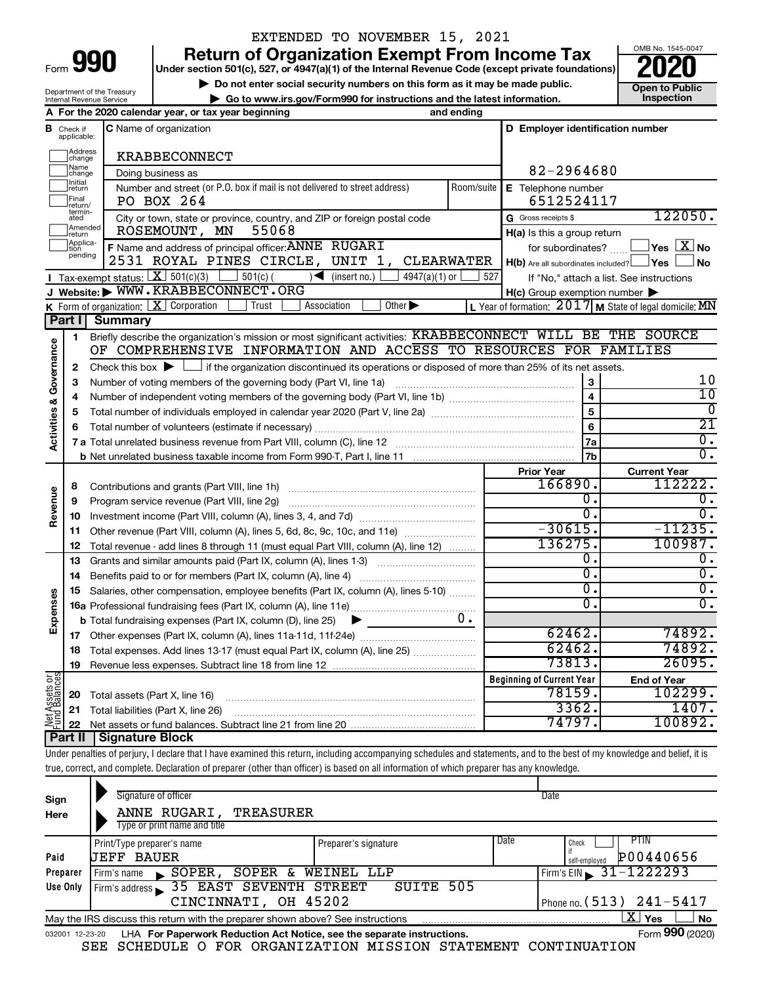# EXTENDED TO NOVEMBER 15, 2021

**Under section 501(c), 527, or 4947(a)(1) of the Internal Revenue Code (except private foundations) Return of Organization Exempt From Income Tax**<br>r section 501(c), 527, or 4947(a)(1) of the Internal Revenue Code (except private foundations)<br>**2020** 



122050.

| Department of the Treasury<br>Internal Revenue Service |                   | Do not enter social security numbers on this form as it may be made public.<br>Go to www.irs.gov/Form990 for instructions and the latest information. |                   |                                                     | Open to Public<br>Inspection     |
|--------------------------------------------------------|-------------------|-------------------------------------------------------------------------------------------------------------------------------------------------------|-------------------|-----------------------------------------------------|----------------------------------|
|                                                        |                   | A For the 2020 calendar year, or tax year beginning                                                                                                   | and ending        |                                                     |                                  |
| <b>B</b> Check if<br>applicable:                       |                   | <b>C</b> Name of organization                                                                                                                         |                   | D Employer identification number                    |                                  |
| 1Address<br>change                                     |                   | <b>KRABBECONNECT</b>                                                                                                                                  |                   |                                                     |                                  |
| ]Name<br>]change                                       | Doing business as |                                                                                                                                                       |                   | 82-2964680                                          |                                  |
| ]Initial<br>]return<br>Final<br> return/               |                   | Number and street (or P.O. box if mail is not delivered to street address)<br>PO BOX 264                                                              | Room/suite        | Telephone number<br>Е.<br>6512524117                |                                  |
| termin-<br>ated                                        |                   | City or town, state or province, country, and ZIP or foreign postal code                                                                              |                   | G Gross receipts \$                                 | 122050                           |
| Amended<br>Ireturn                                     |                   | 55068<br>ROSEMOUNT, MN                                                                                                                                |                   | $H(a)$ is this a group return                       |                                  |
| ]Applica-<br>]tion                                     |                   | RUGARI<br>F Name and address of principal officer: ANNE                                                                                               |                   | for subordinates?                                   | $\overline{\text{X}}$ No<br> Yes |
| pending                                                | 2531              | ROYAL PINES CIRCLE,<br>UNIT                                                                                                                           | <b>CLEARWATER</b> | $H(b)$ Are all subordinates included? $\Box$ Yes    | No                               |
|                                                        |                   | <b>I</b> Tax-exempt status: $X \mid 501(c)(3)$<br>$4947(a)(1)$ or<br>$501(c)$ (<br>(inset no.)                                                        | 527               | If "No," attach a list. See instructions            |                                  |
|                                                        |                   | J Website: WWW.KRABBECONNECT.ORG                                                                                                                      |                   | $H(c)$ Group exemption number $\blacktriangleright$ |                                  |

|                                | J Website: WWW.KRABBECONNECT.ORG<br>$H(c)$ Group exemption number $\blacktriangleright$ |                                                                                                                                             |                                                         |                     |
|--------------------------------|-----------------------------------------------------------------------------------------|---------------------------------------------------------------------------------------------------------------------------------------------|---------------------------------------------------------|---------------------|
|                                |                                                                                         | K Form of organization: $X$ Corporation<br>Trust<br>Other $\blacktriangleright$<br>Association                                              | L Year of formation: 2017 M State of legal domicile: MN |                     |
| Part I                         |                                                                                         | <b>Summary</b>                                                                                                                              |                                                         |                     |
|                                | 1                                                                                       | Briefly describe the organization's mission or most significant activities: KRABBECONNECT WILL BE THE SOURCE                                |                                                         |                     |
| Governance                     |                                                                                         | OF COMPREHENSIVE INFORMATION AND ACCESS TO RESOURCES FOR FAMILIES                                                                           |                                                         |                     |
|                                | $\mathbf{2}$                                                                            | Check this box $\blacktriangleright$ $\Box$ if the organization discontinued its operations or disposed of more than 25% of its net assets. |                                                         |                     |
|                                | 3                                                                                       | Number of voting members of the governing body (Part VI, line 1a)                                                                           |                                                         | 10                  |
|                                | 4                                                                                       |                                                                                                                                             |                                                         | 10                  |
|                                | 5                                                                                       |                                                                                                                                             |                                                         | <sup>0</sup>        |
|                                | 6                                                                                       | Total number of volunteers (estimate if necessary)                                                                                          | 6                                                       | $\overline{21}$     |
| <b>Activities &amp;</b>        | 7а                                                                                      |                                                                                                                                             | 7a                                                      | $\overline{0}$ .    |
|                                |                                                                                         |                                                                                                                                             | 7 <sub>b</sub>                                          | $\overline{0}$ .    |
|                                |                                                                                         | <b>Prior Year</b>                                                                                                                           |                                                         | <b>Current Year</b> |
|                                | 8                                                                                       |                                                                                                                                             | 166890.                                                 | 112222.             |
| Revenue                        | 9                                                                                       | Program service revenue (Part VIII, line 2g)                                                                                                | 0.                                                      | 0.                  |
|                                | 10                                                                                      |                                                                                                                                             | 0.                                                      | 0.                  |
|                                | 11                                                                                      | Other revenue (Part VIII, column (A), lines 5, 6d, 8c, 9c, 10c, and 11e)                                                                    | $-30615.$                                               | $-11235.$           |
|                                | 12                                                                                      | Total revenue - add lines 8 through 11 (must equal Part VIII, column (A), line 12)                                                          | 136275.                                                 | 100987.             |
|                                | 13                                                                                      | Grants and similar amounts paid (Part IX, column (A), lines 1-3)                                                                            | 0.                                                      | О.                  |
|                                | 14                                                                                      | Benefits paid to or for members (Part IX, column (A), line 4)                                                                               | σ.                                                      | 0.                  |
|                                | 15                                                                                      | Salaries, other compensation, employee benefits (Part IX, column (A), lines 5-10)                                                           | σ.                                                      | 0.                  |
| Expenses                       |                                                                                         |                                                                                                                                             | 0.                                                      | $\overline{0}$ .    |
|                                |                                                                                         | $0$ .<br><b>b</b> Total fundraising expenses (Part IX, column (D), line 25) $\rightarrow$                                                   |                                                         |                     |
|                                | 17                                                                                      |                                                                                                                                             | 62462.                                                  | 74892.              |
|                                | 18                                                                                      | Total expenses. Add lines 13-17 (must equal Part IX, column (A), line 25)                                                                   | 62462.                                                  | 74892.              |
|                                | 19                                                                                      |                                                                                                                                             | 73813.                                                  | 26095.              |
|                                |                                                                                         |                                                                                                                                             | <b>Beginning of Current Year</b>                        | <b>End of Year</b>  |
|                                | 20                                                                                      | Total assets (Part X, line 16)                                                                                                              | 78159.                                                  | 102299.             |
| Net Assets or<br>Fund Balances | 21                                                                                      | Total liabilities (Part X, line 26)                                                                                                         | 3362.                                                   | 1407.               |
|                                |                                                                                         | والمجالط وسيطو وملاحاته البالا                                                                                                              | 74797.                                                  | 100892.             |

**Part II Signature Block**

┯

Under penalties of perjury, I declare that I have examined this return, including accompanying schedules and statements, and to the best of my knowledge and belief, it is true, correct, and complete. Declaration of preparer (other than officer) is based on all information of which preparer has any knowledge.

| Sign<br>Here | Signature of officer<br>ANNE RUGARI,<br><b>TREASURER</b><br>Type or print name and title                     |                      |      | Date                                        |  |  |  |
|--------------|--------------------------------------------------------------------------------------------------------------|----------------------|------|---------------------------------------------|--|--|--|
| Paid         | Print/Type preparer's name<br>UEFF BAUER                                                                     | Preparer's signature | Date | PTIN<br>Check<br>P00440656<br>self-employed |  |  |  |
| Preparer     | $\sim$ SOPER,<br>SOPER & WEINEL LLP<br>Firm's name                                                           |                      |      | Firm's EIN $\frac{31-1222293}{5}$           |  |  |  |
| Use Only     | Firm's address 35 EAST SEVENTH STREET<br>CINCINNATI, OH 45202                                                | SUITE 505            |      | Phone no. $(513)$ $241 - 5417$              |  |  |  |
|              | ΧI<br>No<br>Yes<br>May the IRS discuss this return with the preparer shown above? See instructions           |                      |      |                                             |  |  |  |
|              | Form 990 (2020)<br>LHA For Paperwork Reduction Act Notice, see the separate instructions.<br>032001 12-23-20 |                      |      |                                             |  |  |  |

SEE SCHEDULE O FOR ORGANIZATION MISSION STATEMENT CONTINUATION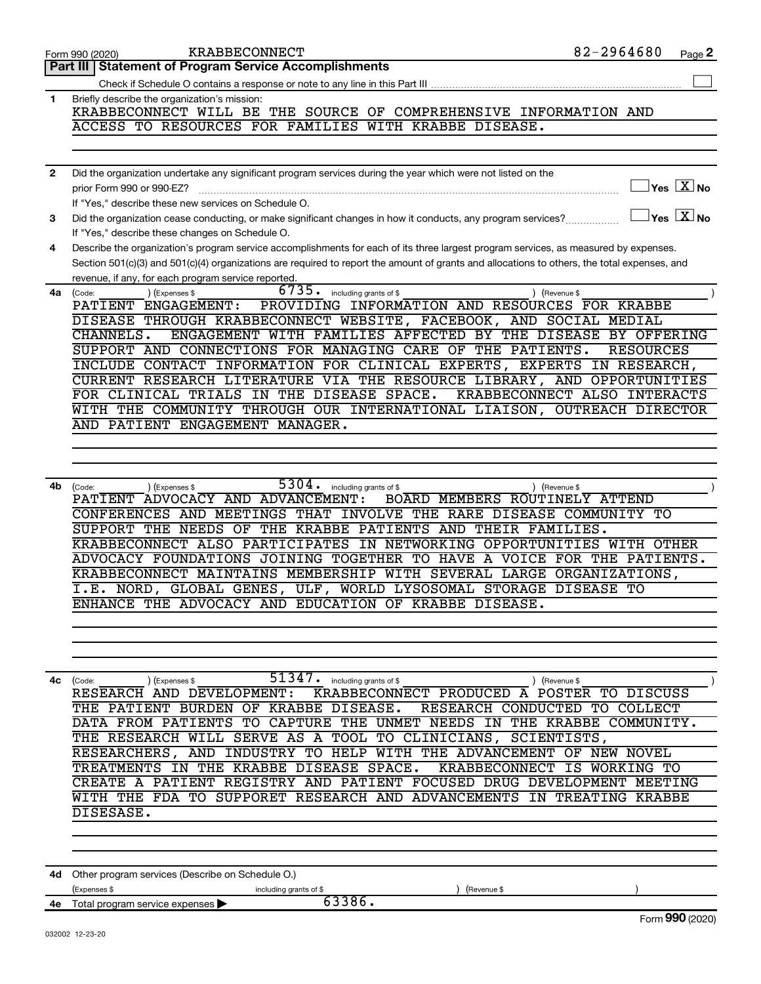|              | <b>KRABBECONNECT</b><br>Form 990 (2020)                                                                                                      | 82-2964680<br>Page 2                                               |
|--------------|----------------------------------------------------------------------------------------------------------------------------------------------|--------------------------------------------------------------------|
|              | <b>Part III   Statement of Program Service Accomplishments</b>                                                                               |                                                                    |
|              |                                                                                                                                              |                                                                    |
| 1            | Briefly describe the organization's mission:                                                                                                 |                                                                    |
|              | KRABBECONNECT WILL BE THE SOURCE OF COMPREHENSIVE INFORMATION AND                                                                            |                                                                    |
|              | ACCESS TO RESOURCES FOR FAMILIES WITH KRABBE DISEASE.                                                                                        |                                                                    |
|              |                                                                                                                                              |                                                                    |
| $\mathbf{2}$ | Did the organization undertake any significant program services during the year which were not listed on the                                 |                                                                    |
|              | prior Form 990 or 990-EZ?                                                                                                                    | $\sqrt{\mathsf{Yes}\mathord{\;\mathbb{X}}\mathord{\;\mathsf{No}}}$ |
|              | If "Yes," describe these new services on Schedule O.                                                                                         |                                                                    |
| 3            | Did the organization cease conducting, or make significant changes in how it conducts, any program services?                                 | $\exists$ Yes $\boxed{\text{X}}$ No                                |
|              | If "Yes," describe these changes on Schedule O.                                                                                              |                                                                    |
| 4            | Describe the organization's program service accomplishments for each of its three largest program services, as measured by expenses.         |                                                                    |
|              | Section 501(c)(3) and 501(c)(4) organizations are required to report the amount of grants and allocations to others, the total expenses, and |                                                                    |
|              | revenue, if any, for each program service reported.                                                                                          |                                                                    |
| 4a           | 6735.<br>(Expenses \$<br>including grants of \$<br>(Code:                                                                                    | ) (Revenue \$                                                      |
|              | PROVIDING INFORMATION AND RESOURCES FOR KRABBE<br>PATIENT ENGAGEMENT:<br>DISEASE THROUGH KRABBECONNECT WEBSITE, FACEBOOK, AND SOCIAL MEDIAL  |                                                                    |
|              | ENGAGEMENT WITH FAMILIES AFFECTED BY THE DISEASE BY OFFERING<br>CHANNELS.                                                                    |                                                                    |
|              | SUPPORT AND CONNECTIONS FOR MANAGING CARE OF THE PATIENTS.                                                                                   | <b>RESOURCES</b>                                                   |
|              | INCLUDE CONTACT INFORMATION FOR CLINICAL EXPERTS, EXPERTS IN RESEARCH,                                                                       |                                                                    |
|              | CURRENT RESEARCH LITERATURE VIA THE RESOURCE LIBRARY, AND OPPORTUNITIES                                                                      |                                                                    |
|              | FOR CLINICAL TRIALS IN THE DISEASE SPACE.                                                                                                    | KRABBECONNECT ALSO INTERACTS                                       |
|              | WITH THE COMMUNITY THROUGH OUR INTERNATIONAL LIAISON, OUTREACH DIRECTOR                                                                      |                                                                    |
|              | AND PATIENT ENGAGEMENT MANAGER.                                                                                                              |                                                                    |
|              |                                                                                                                                              |                                                                    |
|              |                                                                                                                                              |                                                                    |
|              | 5304.                                                                                                                                        |                                                                    |
| 4b           | including grants of \$<br>(Expenses \$<br>(Code:<br>PATIENT ADVOCACY AND ADVANCEMENT:<br>BOARD MEMBERS ROUTINELY ATTEND                      | ) (Revenue \$                                                      |
|              | CONFERENCES AND MEETINGS THAT INVOLVE THE RARE DISEASE COMMUNITY TO                                                                          |                                                                    |
|              | SUPPORT THE NEEDS OF THE KRABBE PATIENTS AND THEIR FAMILIES.                                                                                 |                                                                    |
|              | KRABBECONNECT ALSO PARTICIPATES IN NETWORKING OPPORTUNITIES WITH OTHER                                                                       |                                                                    |
|              | ADVOCACY FOUNDATIONS JOINING TOGETHER TO HAVE A VOICE FOR THE PATIENTS.                                                                      |                                                                    |
|              | KRABBECONNECT MAINTAINS MEMBERSHIP WITH SEVERAL LARGE ORGANIZATIONS,                                                                         |                                                                    |
|              | I.E. NORD, GLOBAL GENES, ULF, WORLD LYSOSOMAL STORAGE DISEASE TO                                                                             |                                                                    |
|              | ENHANCE THE ADVOCACY AND EDUCATION OF KRABBE DISEASE.                                                                                        |                                                                    |
|              |                                                                                                                                              |                                                                    |
|              |                                                                                                                                              |                                                                    |
|              |                                                                                                                                              |                                                                    |
| 4с           | 51347.<br>including grants of \$<br>(Expenses \$<br>(Code:                                                                                   | ) (Revenue \$                                                      |
|              | RESEARCH AND DEVELOPMENT:<br>KRABBECONNECT PRODUCED A POSTER TO DISCUSS                                                                      |                                                                    |
|              | THE PATIENT BURDEN OF KRABBE DISEASE.<br>RESEARCH CONDUCTED TO COLLECT                                                                       |                                                                    |
|              | DATA FROM PATIENTS TO CAPTURE THE UNMET NEEDS IN THE KRABBE COMMUNITY.                                                                       |                                                                    |
|              | THE RESEARCH WILL SERVE AS A TOOL TO CLINICIANS, SCIENTISTS,                                                                                 |                                                                    |
|              | RESEARCHERS, AND INDUSTRY TO HELP WITH THE ADVANCEMENT OF NEW NOVEL                                                                          |                                                                    |
|              | TREATMENTS IN THE KRABBE DISEASE SPACE.                                                                                                      | KRABBECONNECT IS WORKING TO                                        |
|              | CREATE A PATIENT REGISTRY AND PATIENT FOCUSED DRUG DEVELOPMENT MEETING                                                                       |                                                                    |
|              | WITH THE FDA TO SUPPORET RESEARCH AND ADVANCEMENTS IN TREATING KRABBE                                                                        |                                                                    |
|              | DISESASE.                                                                                                                                    |                                                                    |
|              |                                                                                                                                              |                                                                    |
|              |                                                                                                                                              |                                                                    |
|              | 4d Other program services (Describe on Schedule O.)                                                                                          |                                                                    |
|              | (Expenses \$<br>including grants of \$<br>(Revenue \$                                                                                        |                                                                    |
|              | 63386.<br>4e Total program service expenses                                                                                                  |                                                                    |
|              |                                                                                                                                              | Form 990 (2020)                                                    |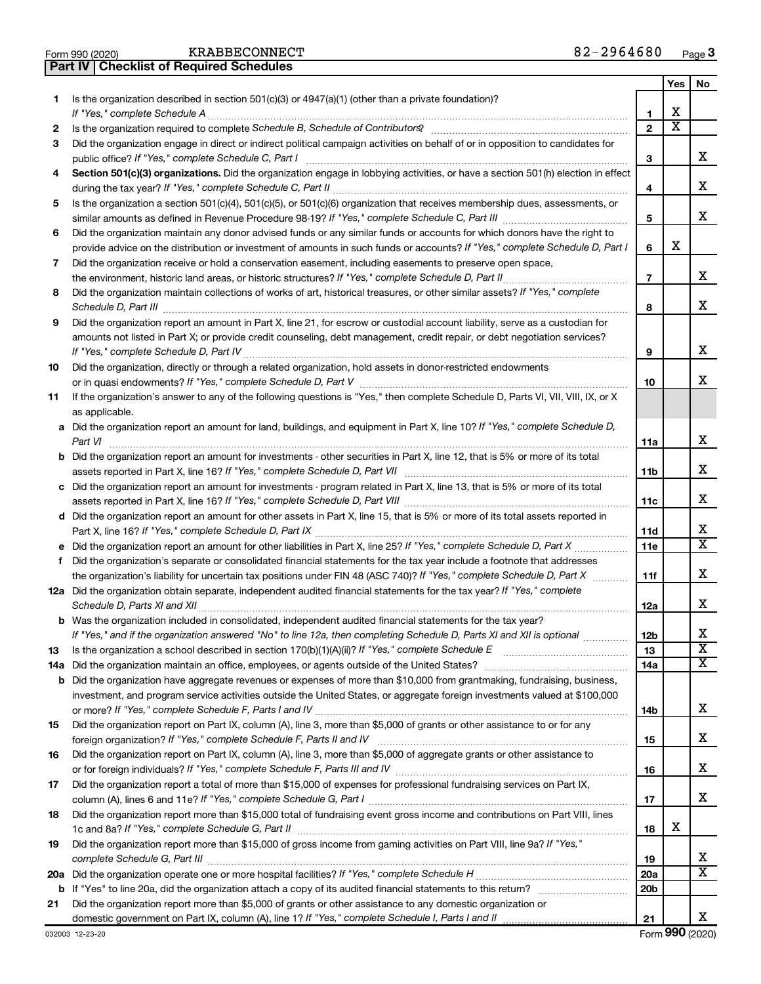| Form 990 (2020) | KRABBECONNECT                                    |
|-----------------|--------------------------------------------------|
|                 | <b>Part IV   Checklist of Required Schedules</b> |

|     | Part IV   Checklist of Required Schedules                                                                                                                                                                                           |                 |                       |                         |
|-----|-------------------------------------------------------------------------------------------------------------------------------------------------------------------------------------------------------------------------------------|-----------------|-----------------------|-------------------------|
|     |                                                                                                                                                                                                                                     |                 | Yes                   | No                      |
| 1   | Is the organization described in section 501(c)(3) or $4947(a)(1)$ (other than a private foundation)?                                                                                                                               |                 |                       |                         |
|     |                                                                                                                                                                                                                                     | 1               | X                     |                         |
| 2   | Is the organization required to complete Schedule B, Schedule of Contributors? [111] [12] the organization required to complete Schedule B, Schedule of Contributors? [11] [12] 12] the organization required to complete Sche      | $\overline{2}$  | $\overline{\text{x}}$ |                         |
| 3   | Did the organization engage in direct or indirect political campaign activities on behalf of or in opposition to candidates for                                                                                                     |                 |                       |                         |
|     |                                                                                                                                                                                                                                     | 3               |                       | х                       |
|     |                                                                                                                                                                                                                                     |                 |                       |                         |
| 4   | Section 501(c)(3) organizations. Did the organization engage in lobbying activities, or have a section 501(h) election in effect                                                                                                    |                 |                       | х                       |
|     |                                                                                                                                                                                                                                     | 4               |                       |                         |
| 5   | Is the organization a section 501(c)(4), 501(c)(5), or 501(c)(6) organization that receives membership dues, assessments, or                                                                                                        |                 |                       |                         |
|     |                                                                                                                                                                                                                                     | 5               |                       | х                       |
| 6   | Did the organization maintain any donor advised funds or any similar funds or accounts for which donors have the right to                                                                                                           |                 |                       |                         |
|     | provide advice on the distribution or investment of amounts in such funds or accounts? If "Yes," complete Schedule D, Part I                                                                                                        | 6               | X                     |                         |
| 7   | Did the organization receive or hold a conservation easement, including easements to preserve open space,                                                                                                                           |                 |                       |                         |
|     | the environment, historic land areas, or historic structures? If "Yes," complete Schedule D, Part II                                                                                                                                | $\overline{7}$  |                       | х                       |
| 8   | Did the organization maintain collections of works of art, historical treasures, or other similar assets? If "Yes," complete                                                                                                        |                 |                       |                         |
|     | Schedule D, Part III <b>Marting Constructs</b> 2014 11 2014 12:00 12:00 12:00 12:00 12:00 12:00 12:00 12:00 12:00 12:00 12:00 12:00 12:00 12:00 12:00 12:00 12:00 12:00 12:00 12:00 12:00 12:00 12:00 12:00 12:00 12:00 12:00 12:00 | 8               |                       | x                       |
| 9   | Did the organization report an amount in Part X, line 21, for escrow or custodial account liability, serve as a custodian for                                                                                                       |                 |                       |                         |
|     | amounts not listed in Part X; or provide credit counseling, debt management, credit repair, or debt negotiation services?                                                                                                           |                 |                       |                         |
|     |                                                                                                                                                                                                                                     | 9               |                       | х                       |
| 10  | Did the organization, directly or through a related organization, hold assets in donor-restricted endowments                                                                                                                        |                 |                       |                         |
|     |                                                                                                                                                                                                                                     | 10              |                       | х                       |
| 11  | If the organization's answer to any of the following questions is "Yes," then complete Schedule D, Parts VI, VII, VIII, IX, or X                                                                                                    |                 |                       |                         |
|     | as applicable.                                                                                                                                                                                                                      |                 |                       |                         |
|     | a Did the organization report an amount for land, buildings, and equipment in Part X, line 10? If "Yes," complete Schedule D,                                                                                                       |                 |                       |                         |
|     | Part VI                                                                                                                                                                                                                             | 11a             |                       | х                       |
|     | <b>b</b> Did the organization report an amount for investments - other securities in Part X, line 12, that is 5% or more of its total                                                                                               |                 |                       |                         |
|     |                                                                                                                                                                                                                                     | 11b             |                       | x                       |
|     |                                                                                                                                                                                                                                     |                 |                       |                         |
|     | c Did the organization report an amount for investments - program related in Part X, line 13, that is 5% or more of its total                                                                                                       |                 |                       | х                       |
|     |                                                                                                                                                                                                                                     | 11c             |                       |                         |
|     | d Did the organization report an amount for other assets in Part X, line 15, that is 5% or more of its total assets reported in                                                                                                     |                 |                       | х                       |
|     |                                                                                                                                                                                                                                     | 11d             |                       | $\overline{\text{X}}$   |
|     | e Did the organization report an amount for other liabilities in Part X, line 25? If "Yes," complete Schedule D, Part X                                                                                                             | 11e             |                       |                         |
| f.  | Did the organization's separate or consolidated financial statements for the tax year include a footnote that addresses                                                                                                             |                 |                       | x                       |
|     | the organization's liability for uncertain tax positions under FIN 48 (ASC 740)? If "Yes," complete Schedule D, Part X                                                                                                              | 11f             |                       |                         |
|     | 12a Did the organization obtain separate, independent audited financial statements for the tax year? If "Yes," complete                                                                                                             |                 |                       | x                       |
|     |                                                                                                                                                                                                                                     | 12a             |                       |                         |
| b   | Was the organization included in consolidated, independent audited financial statements for the tax year?                                                                                                                           |                 |                       | х                       |
|     | If "Yes," and if the organization answered "No" to line 12a, then completing Schedule D, Parts XI and XII is optional                                                                                                               | 12 <sub>b</sub> |                       | $\overline{\mathbf{X}}$ |
| 13  |                                                                                                                                                                                                                                     | 13              |                       | X                       |
| 14a |                                                                                                                                                                                                                                     | 14a             |                       |                         |
| b   | Did the organization have aggregate revenues or expenses of more than \$10,000 from grantmaking, fundraising, business,                                                                                                             |                 |                       |                         |
|     | investment, and program service activities outside the United States, or aggregate foreign investments valued at \$100,000                                                                                                          |                 |                       |                         |
|     |                                                                                                                                                                                                                                     | 14b             |                       | x                       |
| 15  | Did the organization report on Part IX, column (A), line 3, more than \$5,000 of grants or other assistance to or for any                                                                                                           |                 |                       |                         |
|     |                                                                                                                                                                                                                                     | 15              |                       | х                       |
| 16  | Did the organization report on Part IX, column (A), line 3, more than \$5,000 of aggregate grants or other assistance to                                                                                                            |                 |                       |                         |
|     |                                                                                                                                                                                                                                     | 16              |                       | x                       |
| 17  | Did the organization report a total of more than \$15,000 of expenses for professional fundraising services on Part IX,                                                                                                             |                 |                       |                         |
|     |                                                                                                                                                                                                                                     | 17              |                       | x                       |
| 18  | Did the organization report more than \$15,000 total of fundraising event gross income and contributions on Part VIII, lines                                                                                                        |                 |                       |                         |
|     |                                                                                                                                                                                                                                     | 18              | х                     |                         |
| 19  | Did the organization report more than \$15,000 of gross income from gaming activities on Part VIII, line 9a? If "Yes,"                                                                                                              |                 |                       |                         |
|     |                                                                                                                                                                                                                                     | 19              |                       | x                       |
|     |                                                                                                                                                                                                                                     | <b>20a</b>      |                       | X                       |
| b   |                                                                                                                                                                                                                                     | 20 <sub>b</sub> |                       |                         |
| 21  | Did the organization report more than \$5,000 of grants or other assistance to any domestic organization or                                                                                                                         |                 |                       |                         |
|     |                                                                                                                                                                                                                                     | 21              |                       | x                       |
|     |                                                                                                                                                                                                                                     |                 |                       |                         |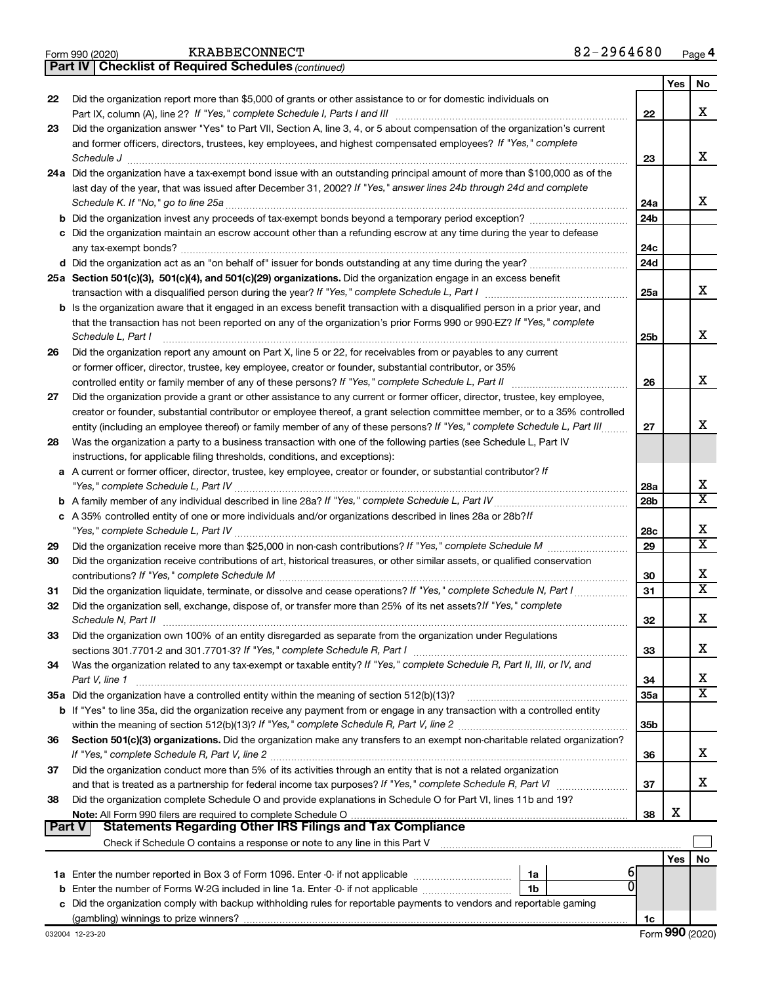|  | Form 990 (2020) |
|--|-----------------|
|  |                 |

*(continued)* **Part IV Checklist of Required Schedules**

|               |                                                                                                                                                                                                                            |                 | Yes | No                      |
|---------------|----------------------------------------------------------------------------------------------------------------------------------------------------------------------------------------------------------------------------|-----------------|-----|-------------------------|
| 22            | Did the organization report more than \$5,000 of grants or other assistance to or for domestic individuals on                                                                                                              |                 |     |                         |
|               |                                                                                                                                                                                                                            | 22              |     | x                       |
| 23            | Did the organization answer "Yes" to Part VII, Section A, line 3, 4, or 5 about compensation of the organization's current                                                                                                 |                 |     |                         |
|               | and former officers, directors, trustees, key employees, and highest compensated employees? If "Yes," complete                                                                                                             |                 |     |                         |
|               | Schedule J                                                                                                                                                                                                                 | 23              |     | x                       |
|               | 24a Did the organization have a tax-exempt bond issue with an outstanding principal amount of more than \$100,000 as of the                                                                                                |                 |     |                         |
|               | last day of the year, that was issued after December 31, 2002? If "Yes," answer lines 24b through 24d and complete                                                                                                         |                 |     |                         |
|               |                                                                                                                                                                                                                            | 24a             |     | x                       |
|               |                                                                                                                                                                                                                            | 24 <sub>b</sub> |     |                         |
|               | c Did the organization maintain an escrow account other than a refunding escrow at any time during the year to defease                                                                                                     |                 |     |                         |
|               |                                                                                                                                                                                                                            | 24c             |     |                         |
|               |                                                                                                                                                                                                                            | 24d             |     |                         |
|               | 25a Section 501(c)(3), 501(c)(4), and 501(c)(29) organizations. Did the organization engage in an excess benefit                                                                                                           |                 |     | x                       |
|               |                                                                                                                                                                                                                            | 25a             |     |                         |
|               | <b>b</b> Is the organization aware that it engaged in an excess benefit transaction with a disqualified person in a prior year, and                                                                                        |                 |     |                         |
|               | that the transaction has not been reported on any of the organization's prior Forms 990 or 990-EZ? If "Yes," complete                                                                                                      |                 |     | х                       |
|               | Schedule L, Part I                                                                                                                                                                                                         | 25b             |     |                         |
| 26            | Did the organization report any amount on Part X, line 5 or 22, for receivables from or payables to any current<br>or former officer, director, trustee, key employee, creator or founder, substantial contributor, or 35% |                 |     |                         |
|               |                                                                                                                                                                                                                            | 26              |     | х                       |
| 27            | Did the organization provide a grant or other assistance to any current or former officer, director, trustee, key employee,                                                                                                |                 |     |                         |
|               | creator or founder, substantial contributor or employee thereof, a grant selection committee member, or to a 35% controlled                                                                                                |                 |     |                         |
|               | entity (including an employee thereof) or family member of any of these persons? If "Yes," complete Schedule L, Part III                                                                                                   | 27              |     | х                       |
| 28            | Was the organization a party to a business transaction with one of the following parties (see Schedule L, Part IV                                                                                                          |                 |     |                         |
|               | instructions, for applicable filing thresholds, conditions, and exceptions):                                                                                                                                               |                 |     |                         |
|               | a A current or former officer, director, trustee, key employee, creator or founder, or substantial contributor? If                                                                                                         |                 |     |                         |
|               |                                                                                                                                                                                                                            | 28a             |     | х                       |
|               |                                                                                                                                                                                                                            | 28 <sub>b</sub> |     | $\overline{\text{x}}$   |
|               | c A 35% controlled entity of one or more individuals and/or organizations described in lines 28a or 28b?If                                                                                                                 |                 |     |                         |
|               |                                                                                                                                                                                                                            | 28c             |     | x                       |
| 29            |                                                                                                                                                                                                                            | 29              |     | $\overline{\text{x}}$   |
| 30            | Did the organization receive contributions of art, historical treasures, or other similar assets, or qualified conservation                                                                                                |                 |     |                         |
|               |                                                                                                                                                                                                                            | 30              |     | x                       |
| 31            | Did the organization liquidate, terminate, or dissolve and cease operations? If "Yes," complete Schedule N, Part I                                                                                                         | 31              |     | $\overline{\texttt{x}}$ |
| 32            | Did the organization sell, exchange, dispose of, or transfer more than 25% of its net assets? If "Yes," complete                                                                                                           |                 |     |                         |
|               | Schedule N, Part II                                                                                                                                                                                                        | 32              |     | х                       |
| 33            | Did the organization own 100% of an entity disregarded as separate from the organization under Regulations                                                                                                                 |                 |     |                         |
|               |                                                                                                                                                                                                                            | 33              |     | х                       |
| 34            | Was the organization related to any tax-exempt or taxable entity? If "Yes," complete Schedule R, Part II, III, or IV, and                                                                                                  |                 |     |                         |
|               | Part V, line 1                                                                                                                                                                                                             | 34              |     | х                       |
|               |                                                                                                                                                                                                                            | 35a             |     | $\overline{\text{X}}$   |
|               | b If "Yes" to line 35a, did the organization receive any payment from or engage in any transaction with a controlled entity                                                                                                |                 |     |                         |
|               |                                                                                                                                                                                                                            | 35b             |     |                         |
| 36            | Section 501(c)(3) organizations. Did the organization make any transfers to an exempt non-charitable related organization?                                                                                                 |                 |     |                         |
|               |                                                                                                                                                                                                                            | 36              |     | х                       |
| 37            | Did the organization conduct more than 5% of its activities through an entity that is not a related organization                                                                                                           |                 |     | х                       |
|               | and that is treated as a partnership for federal income tax purposes? If "Yes," complete Schedule R, Part VI                                                                                                               | 37              |     |                         |
| 38            | Did the organization complete Schedule O and provide explanations in Schedule O for Part VI, lines 11b and 19?                                                                                                             |                 | Х   |                         |
| <b>Part V</b> | Statements Regarding Other IRS Filings and Tax Compliance                                                                                                                                                                  | 38              |     |                         |
|               |                                                                                                                                                                                                                            |                 |     |                         |
|               |                                                                                                                                                                                                                            |                 | Yes | No                      |
|               | 1a                                                                                                                                                                                                                         |                 |     |                         |
| b             | $\Omega$<br>Enter the number of Forms W-2G included in line 1a. Enter -0- if not applicable<br>1b                                                                                                                          |                 |     |                         |
| с             | Did the organization comply with backup withholding rules for reportable payments to vendors and reportable gaming                                                                                                         |                 |     |                         |
|               |                                                                                                                                                                                                                            | 1c              |     |                         |
|               |                                                                                                                                                                                                                            |                 |     |                         |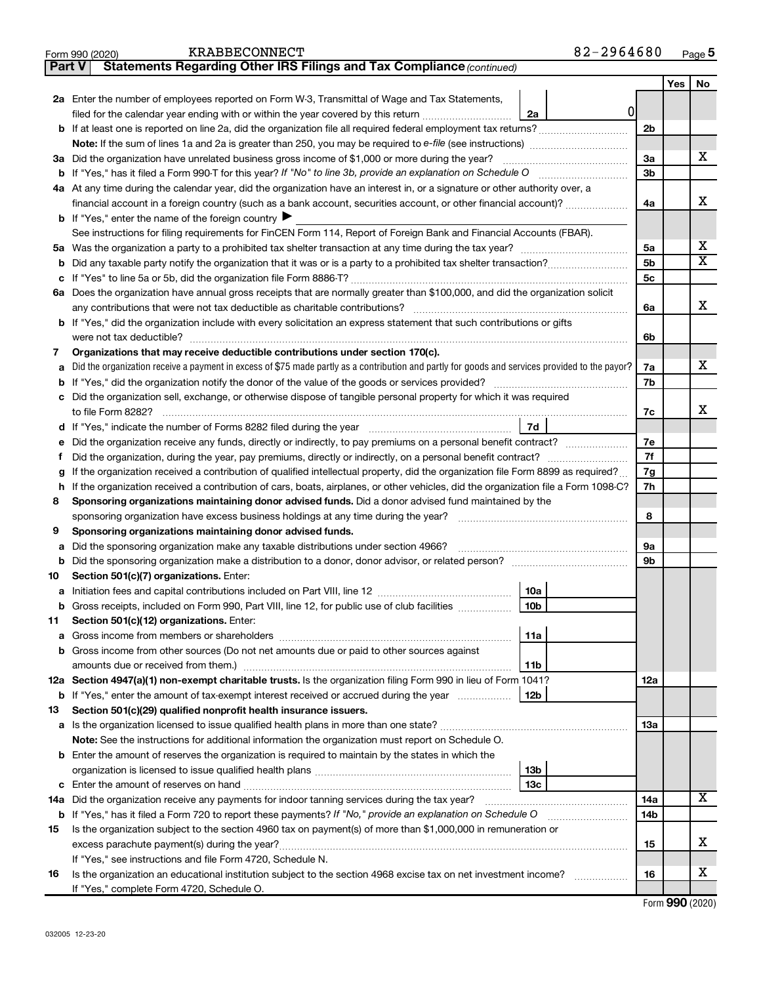| (2020) 990 |  |
|------------|--|
|            |  |

**Part V** Statements Regarding Other IRS Filings and Tax Compliance (continued)

|    |                                                                                                                                                   |                | Yes | No                           |
|----|---------------------------------------------------------------------------------------------------------------------------------------------------|----------------|-----|------------------------------|
|    | 2a Enter the number of employees reported on Form W-3, Transmittal of Wage and Tax Statements,                                                    |                |     |                              |
|    | 0<br>filed for the calendar year ending with or within the year covered by this return<br>2a                                                      |                |     |                              |
|    |                                                                                                                                                   | 2b             |     |                              |
|    |                                                                                                                                                   |                |     |                              |
|    | 3a Did the organization have unrelated business gross income of \$1,000 or more during the year?                                                  | 3a             |     | x                            |
|    |                                                                                                                                                   | 3b             |     |                              |
|    | 4a At any time during the calendar year, did the organization have an interest in, or a signature or other authority over, a                      |                |     |                              |
|    | financial account in a foreign country (such as a bank account, securities account, or other financial account)?                                  | 4a             |     | х                            |
|    | <b>b</b> If "Yes," enter the name of the foreign country $\triangleright$                                                                         |                |     |                              |
|    | See instructions for filing requirements for FinCEN Form 114, Report of Foreign Bank and Financial Accounts (FBAR).                               |                |     |                              |
|    |                                                                                                                                                   | 5a             |     | х<br>$\overline{\textbf{X}}$ |
|    |                                                                                                                                                   | 5b             |     |                              |
|    |                                                                                                                                                   | 5 <sub>c</sub> |     |                              |
|    | 6a Does the organization have annual gross receipts that are normally greater than \$100,000, and did the organization solicit                    |                |     | x                            |
|    |                                                                                                                                                   | 6a             |     |                              |
|    | <b>b</b> If "Yes," did the organization include with every solicitation an express statement that such contributions or gifts                     |                |     |                              |
|    | Organizations that may receive deductible contributions under section 170(c).                                                                     | 6b             |     |                              |
| 7  |                                                                                                                                                   |                |     | x                            |
|    | a Did the organization receive a payment in excess of \$75 made partly as a contribution and partly for goods and services provided to the payor? | 7a<br>7b       |     |                              |
|    | c Did the organization sell, exchange, or otherwise dispose of tangible personal property for which it was required                               |                |     |                              |
|    |                                                                                                                                                   | 7c             |     | х                            |
|    | 7d                                                                                                                                                |                |     |                              |
| е  |                                                                                                                                                   | 7e             |     |                              |
|    |                                                                                                                                                   | 7f             |     |                              |
| g  | If the organization received a contribution of qualified intellectual property, did the organization file Form 8899 as required?                  | 7g             |     |                              |
| h. | If the organization received a contribution of cars, boats, airplanes, or other vehicles, did the organization file a Form 1098-C?                |                |     |                              |
| 8  | Sponsoring organizations maintaining donor advised funds. Did a donor advised fund maintained by the                                              |                |     |                              |
|    |                                                                                                                                                   |                |     |                              |
| 9  | Sponsoring organizations maintaining donor advised funds.                                                                                         |                |     |                              |
| а  | Did the sponsoring organization make any taxable distributions under section 4966?                                                                | 9а             |     |                              |
| b  |                                                                                                                                                   | 9b             |     |                              |
| 10 | Section 501(c)(7) organizations. Enter:                                                                                                           |                |     |                              |
|    | 10a                                                                                                                                               |                |     |                              |
| b  | 10 <sub>b</sub><br>Gross receipts, included on Form 990, Part VIII, line 12, for public use of club facilities                                    |                |     |                              |
| 11 | Section 501(c)(12) organizations. Enter:                                                                                                          |                |     |                              |
|    | 11a<br><b>a</b> Gross income from members or shareholders                                                                                         |                |     |                              |
|    | <b>b</b> Gross income from other sources (Do not net amounts due or paid to other sources against                                                 |                |     |                              |
|    | 11b                                                                                                                                               |                |     |                              |
|    | 12a Section 4947(a)(1) non-exempt charitable trusts. Is the organization filing Form 990 in lieu of Form 1041?                                    | 12a            |     |                              |
|    | 12b<br><b>b</b> If "Yes," enter the amount of tax-exempt interest received or accrued during the year                                             |                |     |                              |
| 13 | Section 501(c)(29) qualified nonprofit health insurance issuers.                                                                                  |                |     |                              |
|    |                                                                                                                                                   | 13a            |     |                              |
|    | Note: See the instructions for additional information the organization must report on Schedule O.                                                 |                |     |                              |
|    | <b>b</b> Enter the amount of reserves the organization is required to maintain by the states in which the                                         |                |     |                              |
|    | 13 <sub>b</sub>                                                                                                                                   |                |     |                              |
|    | 13с                                                                                                                                               |                |     |                              |
|    | 14a Did the organization receive any payments for indoor tanning services during the tax year?                                                    | 14a            |     | x                            |
|    | <b>b</b> If "Yes," has it filed a Form 720 to report these payments? If "No," provide an explanation on Schedule O                                | 14b            |     |                              |
| 15 | Is the organization subject to the section 4960 tax on payment(s) of more than \$1,000,000 in remuneration or                                     |                |     |                              |
|    |                                                                                                                                                   | 15             |     | х                            |
|    | If "Yes," see instructions and file Form 4720, Schedule N.                                                                                        |                |     |                              |
| 16 | Is the organization an educational institution subject to the section 4968 excise tax on net investment income?                                   | 16             |     | х                            |
|    | If "Yes," complete Form 4720, Schedule O.                                                                                                         |                |     |                              |

Form (2020) **990**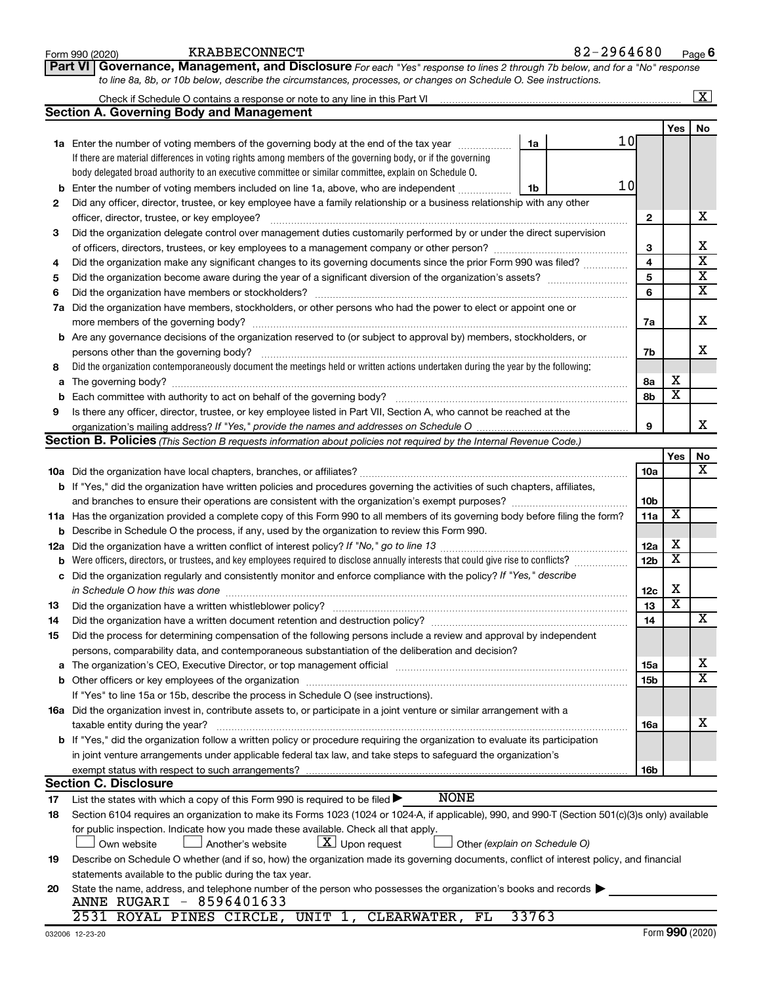|    | <b>KRABBECONNECT</b><br>Form 990 (2020)                                                                                                                                     | 82-2964680      |                 |                         | Page $6$                                           |
|----|-----------------------------------------------------------------------------------------------------------------------------------------------------------------------------|-----------------|-----------------|-------------------------|----------------------------------------------------|
|    | Governance, Management, and Disclosure For each "Yes" response to lines 2 through 7b below, and for a "No" response<br><b>Part VI</b>                                       |                 |                 |                         |                                                    |
|    | to line 8a, 8b, or 10b below, describe the circumstances, processes, or changes on Schedule O. See instructions.                                                            |                 |                 |                         |                                                    |
|    |                                                                                                                                                                             |                 |                 |                         | $\overline{\mathbf{x}}$                            |
|    | <b>Section A. Governing Body and Management</b>                                                                                                                             |                 |                 |                         |                                                    |
|    |                                                                                                                                                                             |                 |                 | Yes                     | No                                                 |
|    | 1a Enter the number of voting members of the governing body at the end of the tax year<br>1a                                                                                | 10 <sub>l</sub> |                 |                         |                                                    |
|    | If there are material differences in voting rights among members of the governing body, or if the governing                                                                 |                 |                 |                         |                                                    |
|    | body delegated broad authority to an executive committee or similar committee, explain on Schedule O.                                                                       |                 |                 |                         |                                                    |
|    | <b>b</b> Enter the number of voting members included on line 1a, above, who are independent <i>manumum</i><br>1b                                                            | 10              |                 |                         |                                                    |
| 2  | Did any officer, director, trustee, or key employee have a family relationship or a business relationship with any other                                                    |                 |                 |                         |                                                    |
|    | officer, director, trustee, or key employee?                                                                                                                                |                 | $\mathbf{2}$    |                         | х                                                  |
| 3  | Did the organization delegate control over management duties customarily performed by or under the direct supervision                                                       |                 |                 |                         |                                                    |
|    |                                                                                                                                                                             |                 | 3               |                         | х                                                  |
| 4  | Did the organization make any significant changes to its governing documents since the prior Form 990 was filed?                                                            |                 | 4               |                         | $\overline{\text{x}}$                              |
| 5  |                                                                                                                                                                             |                 | 5               |                         | $\overline{\textbf{x}}$<br>$\overline{\textbf{x}}$ |
| 6  |                                                                                                                                                                             |                 | 6               |                         |                                                    |
|    | 7a Did the organization have members, stockholders, or other persons who had the power to elect or appoint one or                                                           |                 |                 |                         | х                                                  |
|    |                                                                                                                                                                             |                 | 7a              |                         |                                                    |
|    | <b>b</b> Are any governance decisions of the organization reserved to (or subject to approval by) members, stockholders, or                                                 |                 |                 |                         | x                                                  |
|    | persons other than the governing body?<br>Did the organization contemporaneously document the meetings held or written actions undertaken during the year by the following: |                 | 7b              |                         |                                                    |
| 8  |                                                                                                                                                                             |                 | 8а              | х                       |                                                    |
|    | <b>b</b> Each committee with authority to act on behalf of the governing body?                                                                                              |                 | 8b              | $\overline{\mathbf{x}}$ |                                                    |
| 9  | Is there any officer, director, trustee, or key employee listed in Part VII, Section A, who cannot be reached at the                                                        |                 |                 |                         |                                                    |
|    |                                                                                                                                                                             |                 | 9               |                         | x                                                  |
|    | Section B. Policies (This Section B requests information about policies not required by the Internal Revenue Code.)                                                         |                 |                 |                         |                                                    |
|    |                                                                                                                                                                             |                 |                 | Yes                     | No                                                 |
|    |                                                                                                                                                                             |                 | 10a             |                         | х                                                  |
|    | <b>b</b> If "Yes," did the organization have written policies and procedures governing the activities of such chapters, affiliates,                                         |                 |                 |                         |                                                    |
|    | and branches to ensure their operations are consistent with the organization's exempt purposes?                                                                             |                 | 10b             |                         |                                                    |
|    | 11a Has the organization provided a complete copy of this Form 990 to all members of its governing body before filing the form?                                             |                 | 11a             | X                       |                                                    |
|    | <b>b</b> Describe in Schedule O the process, if any, used by the organization to review this Form 990.                                                                      |                 |                 |                         |                                                    |
|    |                                                                                                                                                                             |                 | 12a             | х                       |                                                    |
|    | <b>b</b> Were officers, directors, or trustees, and key employees required to disclose annually interests that could give rise to conflicts?                                |                 | 12 <sub>b</sub> | $\overline{\mathbf{X}}$ |                                                    |
|    | c Did the organization regularly and consistently monitor and enforce compliance with the policy? If "Yes," describe                                                        |                 |                 |                         |                                                    |
|    |                                                                                                                                                                             |                 | 12c             | х                       |                                                    |
| 13 | Did the organization have a written whistleblower policy?                                                                                                                   |                 | 13              | $\overline{\texttt{x}}$ |                                                    |
| 14 |                                                                                                                                                                             |                 | 14              |                         | X                                                  |
| 15 | Did the process for determining compensation of the following persons include a review and approval by independent                                                          |                 |                 |                         |                                                    |
|    | persons, comparability data, and contemporaneous substantiation of the deliberation and decision?                                                                           |                 |                 |                         |                                                    |
|    |                                                                                                                                                                             |                 | <b>15a</b>      |                         | х<br>$\overline{\textbf{X}}$                       |
|    |                                                                                                                                                                             |                 | 15b             |                         |                                                    |
|    | If "Yes" to line 15a or 15b, describe the process in Schedule O (see instructions).                                                                                         |                 |                 |                         |                                                    |
|    | 16a Did the organization invest in, contribute assets to, or participate in a joint venture or similar arrangement with a                                                   |                 |                 |                         | х                                                  |
|    | taxable entity during the year?<br>b If "Yes," did the organization follow a written policy or procedure requiring the organization to evaluate its participation           |                 | 16a             |                         |                                                    |
|    | in joint venture arrangements under applicable federal tax law, and take steps to safeguard the organization's                                                              |                 |                 |                         |                                                    |
|    | exempt status with respect to such arrangements?                                                                                                                            |                 | 16b             |                         |                                                    |
|    | <b>Section C. Disclosure</b>                                                                                                                                                |                 |                 |                         |                                                    |
| 17 | <b>NONE</b><br>List the states with which a copy of this Form 990 is required to be filed $\blacktriangleright$                                                             |                 |                 |                         |                                                    |
| 18 | Section 6104 requires an organization to make its Forms 1023 (1024 or 1024-A, if applicable), 990, and 990-T (Section 501(c)(3)s only) available                            |                 |                 |                         |                                                    |
|    | for public inspection. Indicate how you made these available. Check all that apply.                                                                                         |                 |                 |                         |                                                    |
|    | $X$ Upon request<br>Another's website<br>Other (explain on Schedule O)<br>Own website                                                                                       |                 |                 |                         |                                                    |
| 19 | Describe on Schedule O whether (and if so, how) the organization made its governing documents, conflict of interest policy, and financial                                   |                 |                 |                         |                                                    |
|    | statements available to the public during the tax year.                                                                                                                     |                 |                 |                         |                                                    |
| 20 | State the name, address, and telephone number of the person who possesses the organization's books and records                                                              |                 |                 |                         |                                                    |
|    | ANNE RUGARI - 8596401633                                                                                                                                                    |                 |                 |                         |                                                    |
|    | 33763<br>2531 ROYAL PINES CIRCLE, UNIT 1, CLEARWATER,<br>FL                                                                                                                 |                 |                 |                         |                                                    |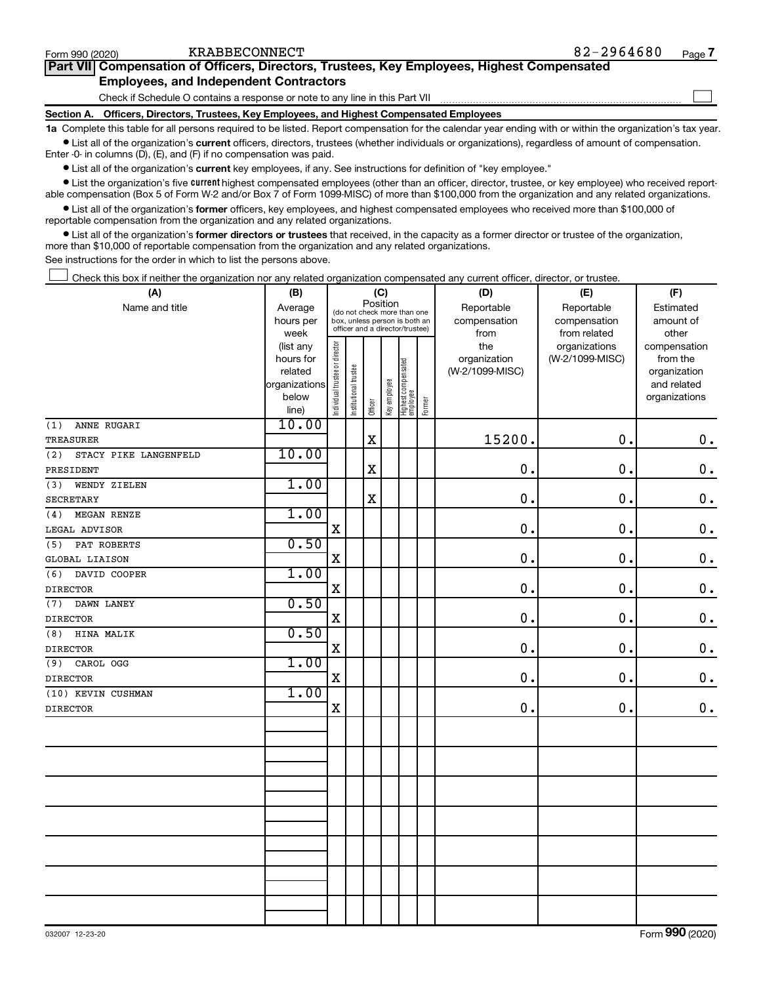| Part VII Compensation of Officers, Directors, Trustees, Key Employees, Highest Compensated |  |  |  |  |  |  |
|--------------------------------------------------------------------------------------------|--|--|--|--|--|--|
|                                                                                            |  |  |  |  |  |  |
| <b>Employees, and Independent Contractors</b>                                              |  |  |  |  |  |  |
| Check if Schedule O contains a response or note to any line in this Part VII               |  |  |  |  |  |  |
| Section A. Officers, Directors, Trustees, Key Employees, and Highest Compensated Employees |  |  |  |  |  |  |

**1a**  Complete this table for all persons required to be listed. Report compensation for the calendar year ending with or within the organization's tax year.  $\bullet$  List all of the organization's current officers, directors, trustees (whether individuals or organizations), regardless of amount of compensation.

Enter -0- in columns (D), (E), and (F) if no compensation was paid.

**•** List all of the organization's current key employees, if any. See instructions for definition of "key employee."

• List the organization's five *current* highest compensated employees (other than an officer, director, trustee, or key employee) who received reportable compensation (Box 5 of Form W-2 and/or Box 7 of Form 1099-MISC) of more than \$100,000 from the organization and any related organizations.

 $\bullet$  List all of the organization's former officers, key employees, and highest compensated employees who received more than \$100,000 of reportable compensation from the organization and any related organizations.

**•** List all of the organization's former directors or trustees that received, in the capacity as a former director or trustee of the organization, more than \$10,000 of reportable compensation from the organization and any related organizations.

See instructions for the order in which to list the persons above.

Check this box if neither the organization nor any related organization compensated any current officer, director, or trustee.  $\Box$ 

| (A)                          | (B)           |                                                                  |                       |                       | (C)          |                                 |              | (D)             | (E)             | (F)           |
|------------------------------|---------------|------------------------------------------------------------------|-----------------------|-----------------------|--------------|---------------------------------|--------------|-----------------|-----------------|---------------|
| Name and title               | Average       | Position<br>(do not check more than one                          |                       |                       |              |                                 |              | Reportable      | Reportable      | Estimated     |
|                              | hours per     | box, unless person is both an<br>officer and a director/trustee) |                       |                       |              |                                 | compensation | compensation    | amount of       |               |
|                              | week          |                                                                  |                       |                       |              |                                 |              | from            | from related    | other         |
|                              | (list any     |                                                                  |                       |                       |              |                                 |              | the             | organizations   | compensation  |
|                              | hours for     |                                                                  |                       |                       |              |                                 |              | organization    | (W-2/1099-MISC) | from the      |
|                              | related       |                                                                  |                       |                       |              |                                 |              | (W-2/1099-MISC) |                 | organization  |
|                              | organizations |                                                                  |                       |                       |              |                                 |              |                 |                 | and related   |
|                              | below         | Individual trustee or director                                   | Institutional trustee | Officer               | Key employee | Highest compensated<br>employee | Former       |                 |                 | organizations |
|                              | line)         |                                                                  |                       |                       |              |                                 |              |                 |                 |               |
| ANNE RUGARI<br>(1)           | 10.00         |                                                                  |                       |                       |              |                                 |              |                 |                 |               |
| <b>TREASURER</b>             |               |                                                                  |                       | $\overline{\text{X}}$ |              |                                 |              | 15200.          | 0.              | $\mathbf 0$ . |
| (2)<br>STACY PIKE LANGENFELD | 10.00         |                                                                  |                       |                       |              |                                 |              |                 |                 |               |
| PRESIDENT                    |               |                                                                  |                       | X                     |              |                                 |              | 0.              | 0.              | $\mathbf 0$ . |
| (3)<br>WENDY ZIELEN          | 1.00          |                                                                  |                       |                       |              |                                 |              |                 |                 |               |
| <b>SECRETARY</b>             |               |                                                                  |                       | X                     |              |                                 |              | 0.              | 0.              | $\mathbf 0$ . |
| MEGAN RENZE<br>(4)           | 1.00          |                                                                  |                       |                       |              |                                 |              |                 |                 |               |
| LEGAL ADVISOR                |               | X                                                                |                       |                       |              |                                 |              | 0.              | 0.              | $\mathbf 0$ . |
| PAT ROBERTS<br>(5)           | 0.50          |                                                                  |                       |                       |              |                                 |              |                 |                 |               |
| <b>GLOBAL LIAISON</b>        |               | $\rm X$                                                          |                       |                       |              |                                 |              | 0.              | 0.              | $\mathbf 0$ . |
| (6)<br>DAVID COOPER          | 1.00          |                                                                  |                       |                       |              |                                 |              |                 |                 |               |
| <b>DIRECTOR</b>              |               | $\mathbf X$                                                      |                       |                       |              |                                 |              | $\mathbf 0$ .   | 0.              | $\mathbf 0$ . |
| DAWN LANEY<br>(7)            | 0.50          |                                                                  |                       |                       |              |                                 |              |                 |                 |               |
| <b>DIRECTOR</b>              |               | $\mathbf x$                                                      |                       |                       |              |                                 |              | $\mathbf 0$ .   | 0.              | $\mathbf 0$ . |
| HINA MALIK<br>(8)            | 0.50          |                                                                  |                       |                       |              |                                 |              |                 |                 |               |
| <b>DIRECTOR</b>              |               | $\mathbf X$                                                      |                       |                       |              |                                 |              | 0.              | 0.              | $\mathbf 0$ . |
| CAROL OGG<br>(9)             | 1.00          |                                                                  |                       |                       |              |                                 |              |                 |                 |               |
| <b>DIRECTOR</b>              |               | $\mathbf X$                                                      |                       |                       |              |                                 |              | 0.              | 0.              | $\mathbf 0$ . |
| (10) KEVIN CUSHMAN           | 1.00          |                                                                  |                       |                       |              |                                 |              |                 |                 |               |
| <b>DIRECTOR</b>              |               | X                                                                |                       |                       |              |                                 |              | $\mathbf 0$     | 0.              | $\mathbf 0$ . |
|                              |               |                                                                  |                       |                       |              |                                 |              |                 |                 |               |
|                              |               |                                                                  |                       |                       |              |                                 |              |                 |                 |               |
|                              |               |                                                                  |                       |                       |              |                                 |              |                 |                 |               |
|                              |               |                                                                  |                       |                       |              |                                 |              |                 |                 |               |
|                              |               |                                                                  |                       |                       |              |                                 |              |                 |                 |               |
|                              |               |                                                                  |                       |                       |              |                                 |              |                 |                 |               |
|                              |               |                                                                  |                       |                       |              |                                 |              |                 |                 |               |
|                              |               |                                                                  |                       |                       |              |                                 |              |                 |                 |               |
|                              |               |                                                                  |                       |                       |              |                                 |              |                 |                 |               |
|                              |               |                                                                  |                       |                       |              |                                 |              |                 |                 |               |
|                              |               |                                                                  |                       |                       |              |                                 |              |                 |                 |               |
|                              |               |                                                                  |                       |                       |              |                                 |              |                 |                 |               |
|                              |               |                                                                  |                       |                       |              |                                 |              |                 |                 |               |
|                              |               |                                                                  |                       |                       |              |                                 |              |                 |                 |               |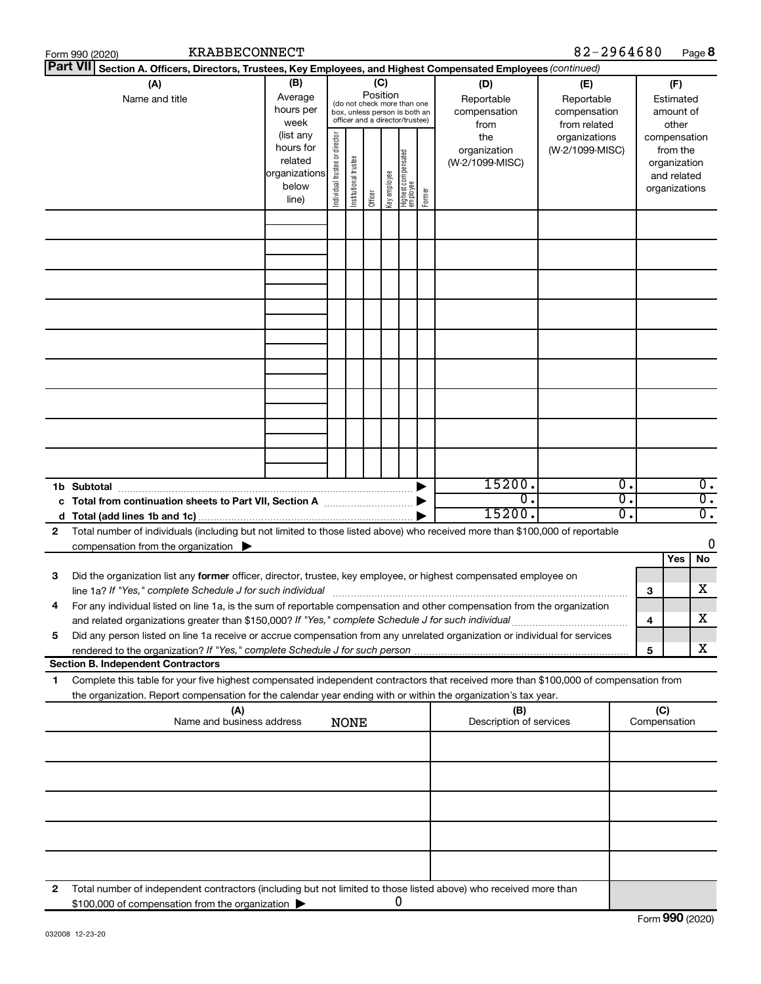|                 | <b>KRABBECONNECT</b><br>Form 990 (2020)                                                                                                                                                                                                                |                                            |                       |                       |         |                                                                                                                                                                                    |                                   |        |                                 | 82-2964680                                                         |          |                                                        | Page 8                                                   |
|-----------------|--------------------------------------------------------------------------------------------------------------------------------------------------------------------------------------------------------------------------------------------------------|--------------------------------------------|-----------------------|-----------------------|---------|------------------------------------------------------------------------------------------------------------------------------------------------------------------------------------|-----------------------------------|--------|---------------------------------|--------------------------------------------------------------------|----------|--------------------------------------------------------|----------------------------------------------------------|
| <b>Part VII</b> | Section A. Officers, Directors, Trustees, Key Employees, and Highest Compensated Employees (continued)                                                                                                                                                 |                                            |                       |                       |         |                                                                                                                                                                                    |                                   |        |                                 |                                                                    |          |                                                        |                                                          |
|                 | (B)<br>(A)<br>Average<br>Name and title<br>hours per<br>week<br>(list any<br>hours for                                                                                                                                                                 |                                            |                       |                       |         | (C)<br>(D)<br>Position<br>Reportable<br>(do not check more than one<br>compensation<br>box, unless person is both an<br>officer and a director/trustee)<br>from<br>director<br>the |                                   |        |                                 | (E)<br>Reportable<br>compensation<br>from related<br>organizations |          | (F)<br>Estimated<br>amount of<br>other<br>compensation |                                                          |
|                 |                                                                                                                                                                                                                                                        | related<br>organizations<br>below<br>line) | Individual trustee or | Institutional trustee | Officer | Key employee                                                                                                                                                                       | Highest compensated<br>  employee | Former | organization<br>(W-2/1099-MISC) | (W-2/1099-MISC)                                                    |          |                                                        | from the<br>organization<br>and related<br>organizations |
|                 |                                                                                                                                                                                                                                                        |                                            |                       |                       |         |                                                                                                                                                                                    |                                   |        |                                 |                                                                    |          |                                                        |                                                          |
|                 |                                                                                                                                                                                                                                                        |                                            |                       |                       |         |                                                                                                                                                                                    |                                   |        |                                 |                                                                    |          |                                                        |                                                          |
|                 |                                                                                                                                                                                                                                                        |                                            |                       |                       |         |                                                                                                                                                                                    |                                   |        |                                 |                                                                    |          |                                                        |                                                          |
|                 |                                                                                                                                                                                                                                                        |                                            |                       |                       |         |                                                                                                                                                                                    |                                   |        |                                 |                                                                    |          |                                                        |                                                          |
|                 |                                                                                                                                                                                                                                                        |                                            |                       |                       |         |                                                                                                                                                                                    |                                   |        |                                 |                                                                    |          |                                                        |                                                          |
|                 |                                                                                                                                                                                                                                                        |                                            |                       |                       |         |                                                                                                                                                                                    |                                   |        |                                 |                                                                    |          |                                                        |                                                          |
|                 |                                                                                                                                                                                                                                                        |                                            |                       |                       |         |                                                                                                                                                                                    |                                   |        |                                 |                                                                    |          |                                                        |                                                          |
|                 |                                                                                                                                                                                                                                                        |                                            |                       |                       |         |                                                                                                                                                                                    |                                   |        |                                 |                                                                    |          |                                                        |                                                          |
|                 | 1b Subtotal                                                                                                                                                                                                                                            |                                            |                       |                       |         |                                                                                                                                                                                    |                                   |        | 15200.                          |                                                                    | Ο.       |                                                        | $\overline{0}$ .                                         |
|                 | c Total from continuation sheets to Part VII, Section A manufactured by                                                                                                                                                                                |                                            |                       |                       |         |                                                                                                                                                                                    |                                   |        | 0.<br>15200.                    |                                                                    | σ.<br>σ. |                                                        | $\overline{0}$ .<br>$\overline{0}$ .                     |
| 2               | Total number of individuals (including but not limited to those listed above) who received more than \$100,000 of reportable<br>compensation from the organization $\blacktriangleright$                                                               |                                            |                       |                       |         |                                                                                                                                                                                    |                                   |        |                                 |                                                                    |          |                                                        | 0                                                        |
|                 |                                                                                                                                                                                                                                                        |                                            |                       |                       |         |                                                                                                                                                                                    |                                   |        |                                 |                                                                    |          |                                                        | No<br>Yes                                                |
| 3               | Did the organization list any former officer, director, trustee, key employee, or highest compensated employee on                                                                                                                                      |                                            |                       |                       |         |                                                                                                                                                                                    |                                   |        |                                 |                                                                    |          | 3                                                      | X                                                        |
|                 | For any individual listed on line 1a, is the sum of reportable compensation and other compensation from the organization<br>and related organizations greater than \$150,000? If "Yes," complete Schedule J for such individual                        |                                            |                       |                       |         |                                                                                                                                                                                    |                                   |        |                                 |                                                                    |          | 4                                                      | X                                                        |
| 5               | Did any person listed on line 1a receive or accrue compensation from any unrelated organization or individual for services                                                                                                                             |                                            |                       |                       |         |                                                                                                                                                                                    |                                   |        |                                 |                                                                    |          | 5                                                      | x                                                        |
|                 | <b>Section B. Independent Contractors</b>                                                                                                                                                                                                              |                                            |                       |                       |         |                                                                                                                                                                                    |                                   |        |                                 |                                                                    |          |                                                        |                                                          |
| 1.              | Complete this table for your five highest compensated independent contractors that received more than \$100,000 of compensation from<br>the organization. Report compensation for the calendar year ending with or within the organization's tax year. |                                            |                       |                       |         |                                                                                                                                                                                    |                                   |        |                                 |                                                                    |          |                                                        |                                                          |
|                 | (A)<br>Name and business address                                                                                                                                                                                                                       |                                            |                       | <b>NONE</b>           |         |                                                                                                                                                                                    |                                   |        | (B)<br>Description of services  |                                                                    |          | (C)<br>Compensation                                    |                                                          |
|                 |                                                                                                                                                                                                                                                        |                                            |                       |                       |         |                                                                                                                                                                                    |                                   |        |                                 |                                                                    |          |                                                        |                                                          |
|                 |                                                                                                                                                                                                                                                        |                                            |                       |                       |         |                                                                                                                                                                                    |                                   |        |                                 |                                                                    |          |                                                        |                                                          |
|                 |                                                                                                                                                                                                                                                        |                                            |                       |                       |         |                                                                                                                                                                                    |                                   |        |                                 |                                                                    |          |                                                        |                                                          |
|                 |                                                                                                                                                                                                                                                        |                                            |                       |                       |         |                                                                                                                                                                                    |                                   |        |                                 |                                                                    |          |                                                        |                                                          |
| 2               | Total number of independent contractors (including but not limited to those listed above) who received more than                                                                                                                                       |                                            |                       |                       |         |                                                                                                                                                                                    |                                   |        |                                 |                                                                    |          |                                                        |                                                          |
|                 | \$100,000 of compensation from the organization                                                                                                                                                                                                        |                                            |                       |                       |         |                                                                                                                                                                                    | 0                                 |        |                                 |                                                                    |          |                                                        |                                                          |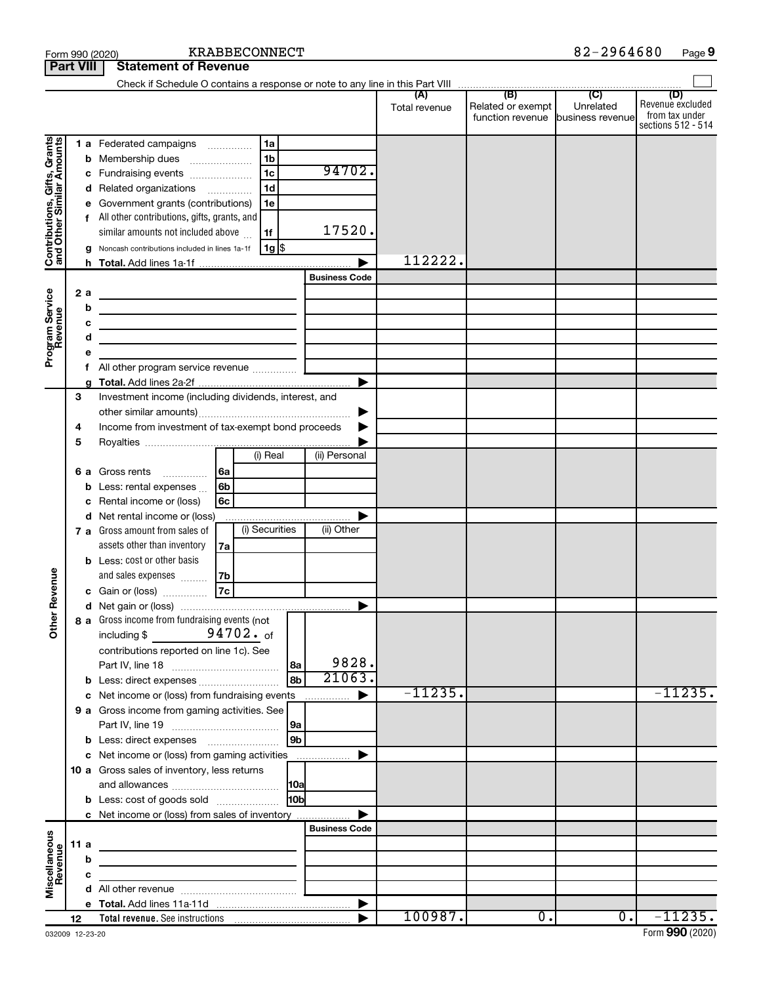|                                                           |                  | <b>KRABBECONNECT</b><br>Form 990 (2020)                                                                              |                      |               |                                       | 82-2964680                    | Page 9                                                          |
|-----------------------------------------------------------|------------------|----------------------------------------------------------------------------------------------------------------------|----------------------|---------------|---------------------------------------|-------------------------------|-----------------------------------------------------------------|
|                                                           | <b>Part VIII</b> | <b>Statement of Revenue</b>                                                                                          |                      |               |                                       |                               |                                                                 |
|                                                           |                  |                                                                                                                      |                      |               |                                       |                               |                                                                 |
|                                                           |                  |                                                                                                                      |                      | Total revenue | Related or exempt<br>function revenue | Unrelated<br>business revenue | (D)<br>Revenue excluded<br>from tax under<br>sections 512 - 514 |
|                                                           |                  | 1a<br>1 a Federated campaigns                                                                                        |                      |               |                                       |                               |                                                                 |
| Contributions, Gifts, Grants<br>and Other Similar Amounts |                  | 1 <sub>b</sub><br><b>b</b> Membership dues                                                                           |                      |               |                                       |                               |                                                                 |
|                                                           | с                | 1 <sub>c</sub><br>Fundraising events                                                                                 | 94702.               |               |                                       |                               |                                                                 |
|                                                           | d                | 1 <sub>d</sub><br>Related organizations                                                                              |                      |               |                                       |                               |                                                                 |
|                                                           | е                | Government grants (contributions)<br>1e                                                                              |                      |               |                                       |                               |                                                                 |
|                                                           | f                | All other contributions, gifts, grants, and                                                                          |                      |               |                                       |                               |                                                                 |
|                                                           |                  | similar amounts not included above<br>1f                                                                             | 17520.               |               |                                       |                               |                                                                 |
|                                                           |                  | 1g  \$<br>Noncash contributions included in lines 1a-1f                                                              |                      |               |                                       |                               |                                                                 |
|                                                           |                  |                                                                                                                      |                      | 112222.       |                                       |                               |                                                                 |
|                                                           |                  |                                                                                                                      | <b>Business Code</b> |               |                                       |                               |                                                                 |
|                                                           | 2 a              | <u> 1989 - Johann Barn, mars ann an t-Amhain Aonaich an t-Aonaich an t-Aonaich ann an t-Aonaich ann an t-Aonaich</u> |                      |               |                                       |                               |                                                                 |
| Program Service<br>Revenue                                | b                | <u> 1989 - Johann Barn, fransk politik (d. 1989)</u>                                                                 |                      |               |                                       |                               |                                                                 |
|                                                           | c                |                                                                                                                      |                      |               |                                       |                               |                                                                 |
|                                                           | d                | <u> 1989 - Johann Barn, fransk politik (d. 1989)</u>                                                                 |                      |               |                                       |                               |                                                                 |
|                                                           | е                |                                                                                                                      |                      |               |                                       |                               |                                                                 |
|                                                           | f                |                                                                                                                      |                      |               |                                       |                               |                                                                 |
|                                                           |                  |                                                                                                                      | ▶                    |               |                                       |                               |                                                                 |
|                                                           | 3                | Investment income (including dividends, interest, and                                                                |                      |               |                                       |                               |                                                                 |
|                                                           |                  |                                                                                                                      |                      |               |                                       |                               |                                                                 |
|                                                           | 4                | Income from investment of tax-exempt bond proceeds                                                                   |                      |               |                                       |                               |                                                                 |
|                                                           | 5                |                                                                                                                      |                      |               |                                       |                               |                                                                 |
|                                                           |                  | (i) Real                                                                                                             | (ii) Personal        |               |                                       |                               |                                                                 |
|                                                           |                  | 6a<br><b>6 a</b> Gross rents                                                                                         |                      |               |                                       |                               |                                                                 |
|                                                           | b                | 6b<br>Less: rental expenses                                                                                          |                      |               |                                       |                               |                                                                 |
|                                                           | c                | 6c<br>Rental income or (loss)                                                                                        |                      |               |                                       |                               |                                                                 |
|                                                           | d                | Net rental income or (loss)                                                                                          |                      |               |                                       |                               |                                                                 |
|                                                           |                  | (i) Securities<br>7 a Gross amount from sales of                                                                     | (ii) Other           |               |                                       |                               |                                                                 |
|                                                           |                  | assets other than inventory<br>7a                                                                                    |                      |               |                                       |                               |                                                                 |
|                                                           |                  | <b>b</b> Less: cost or other basis                                                                                   |                      |               |                                       |                               |                                                                 |
|                                                           |                  | and sales expenses<br>7b                                                                                             |                      |               |                                       |                               |                                                                 |
| evenue                                                    |                  | 7c<br>c Gain or (loss)                                                                                               |                      |               |                                       |                               |                                                                 |
|                                                           |                  |                                                                                                                      |                      |               |                                       |                               |                                                                 |
| Other F                                                   |                  | 8 a Gross income from fundraising events (not                                                                        |                      |               |                                       |                               |                                                                 |
|                                                           |                  | including \$ $94702 \cdot \text{of}$                                                                                 |                      |               |                                       |                               |                                                                 |
|                                                           |                  | contributions reported on line 1c). See                                                                              | 9828.                |               |                                       |                               |                                                                 |
|                                                           |                  |                                                                                                                      | 21063.               |               |                                       |                               |                                                                 |
|                                                           |                  | 8b<br><b>b</b> Less: direct expenses                                                                                 |                      | $-11235.$     |                                       |                               | $-11235.$                                                       |
|                                                           |                  | c Net income or (loss) from fundraising events                                                                       | ▶                    |               |                                       |                               |                                                                 |
|                                                           |                  | 9 a Gross income from gaming activities. See                                                                         |                      |               |                                       |                               |                                                                 |
|                                                           |                  | l 9b                                                                                                                 |                      |               |                                       |                               |                                                                 |
|                                                           |                  |                                                                                                                      |                      |               |                                       |                               |                                                                 |
|                                                           |                  | c Net income or (loss) from gaming activities<br>10 a Gross sales of inventory, less returns                         | ▶                    |               |                                       |                               |                                                                 |
|                                                           |                  |                                                                                                                      |                      |               |                                       |                               |                                                                 |
|                                                           |                  | 10 <sub>b</sub><br><b>b</b> Less: cost of goods sold                                                                 |                      |               |                                       |                               |                                                                 |
|                                                           |                  | c Net income or (loss) from sales of inventory                                                                       |                      |               |                                       |                               |                                                                 |
|                                                           |                  |                                                                                                                      | <b>Business Code</b> |               |                                       |                               |                                                                 |
| Miscellaneous<br>Revenue                                  | 11 a             |                                                                                                                      |                      |               |                                       |                               |                                                                 |
|                                                           | b                |                                                                                                                      |                      |               |                                       |                               |                                                                 |
|                                                           | c                | <u> 1989 - Johann Stein, mars an deutscher Stein († 1958)</u>                                                        |                      |               |                                       |                               |                                                                 |
|                                                           |                  |                                                                                                                      |                      |               |                                       |                               |                                                                 |
|                                                           |                  |                                                                                                                      |                      |               |                                       |                               |                                                                 |
|                                                           | 12               |                                                                                                                      |                      | 100987.       | $\overline{0}$ .                      | $\overline{0}$ .              | $-11235.$                                                       |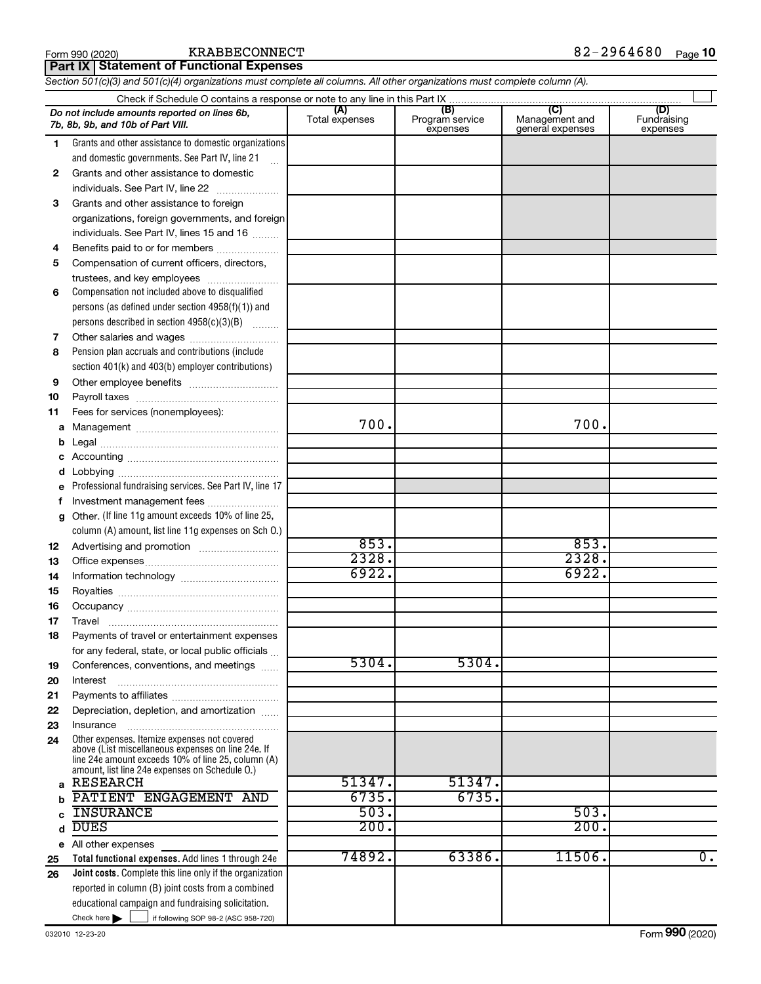**Part IX Statement of Functional Expenses**

*Section 501(c)(3) and 501(c)(4) organizations must complete all columns. All other organizations must complete column (A).*

|          | Do not include amounts reported on lines 6b,<br>7b, 8b, 9b, and 10b of Part VIII.                    | (A)<br>Total expenses | (B)<br>Program service<br>expenses | (C)<br>Management and<br>general expenses | (D)<br>Fundraising<br>expenses |  |  |  |  |  |  |
|----------|------------------------------------------------------------------------------------------------------|-----------------------|------------------------------------|-------------------------------------------|--------------------------------|--|--|--|--|--|--|
| 1.       | Grants and other assistance to domestic organizations                                                |                       |                                    |                                           |                                |  |  |  |  |  |  |
|          | and domestic governments. See Part IV, line 21<br>$\mathbf{r}$                                       |                       |                                    |                                           |                                |  |  |  |  |  |  |
| 2        | Grants and other assistance to domestic                                                              |                       |                                    |                                           |                                |  |  |  |  |  |  |
|          | individuals. See Part IV, line 22                                                                    |                       |                                    |                                           |                                |  |  |  |  |  |  |
| 3        | Grants and other assistance to foreign                                                               |                       |                                    |                                           |                                |  |  |  |  |  |  |
|          | organizations, foreign governments, and foreign                                                      |                       |                                    |                                           |                                |  |  |  |  |  |  |
|          | individuals. See Part IV, lines 15 and 16                                                            |                       |                                    |                                           |                                |  |  |  |  |  |  |
| 4        | Benefits paid to or for members                                                                      |                       |                                    |                                           |                                |  |  |  |  |  |  |
| 5        | Compensation of current officers, directors,                                                         |                       |                                    |                                           |                                |  |  |  |  |  |  |
|          | trustees, and key employees                                                                          |                       |                                    |                                           |                                |  |  |  |  |  |  |
| 6        | Compensation not included above to disqualified                                                      |                       |                                    |                                           |                                |  |  |  |  |  |  |
|          | persons (as defined under section $4958(f)(1)$ ) and                                                 |                       |                                    |                                           |                                |  |  |  |  |  |  |
|          | persons described in section 4958(c)(3)(B)                                                           |                       |                                    |                                           |                                |  |  |  |  |  |  |
| 7        |                                                                                                      |                       |                                    |                                           |                                |  |  |  |  |  |  |
| 8        | Pension plan accruals and contributions (include                                                     |                       |                                    |                                           |                                |  |  |  |  |  |  |
|          | section 401(k) and 403(b) employer contributions)                                                    |                       |                                    |                                           |                                |  |  |  |  |  |  |
| 9        |                                                                                                      |                       |                                    |                                           |                                |  |  |  |  |  |  |
| 10       |                                                                                                      |                       |                                    |                                           |                                |  |  |  |  |  |  |
| 11       | Fees for services (nonemployees):                                                                    |                       |                                    |                                           |                                |  |  |  |  |  |  |
| а        |                                                                                                      | 700.                  |                                    | 700.                                      |                                |  |  |  |  |  |  |
| b        |                                                                                                      |                       |                                    |                                           |                                |  |  |  |  |  |  |
| с        |                                                                                                      |                       |                                    |                                           |                                |  |  |  |  |  |  |
| d        |                                                                                                      |                       |                                    |                                           |                                |  |  |  |  |  |  |
| е        | Professional fundraising services. See Part IV, line 17                                              |                       |                                    |                                           |                                |  |  |  |  |  |  |
| f        | Investment management fees                                                                           |                       |                                    |                                           |                                |  |  |  |  |  |  |
| g        | Other. (If line 11g amount exceeds 10% of line 25,                                                   |                       |                                    |                                           |                                |  |  |  |  |  |  |
|          | column (A) amount, list line 11g expenses on Sch O.)                                                 |                       |                                    |                                           |                                |  |  |  |  |  |  |
| 12       |                                                                                                      | 853.                  |                                    | 853.                                      |                                |  |  |  |  |  |  |
| 13       |                                                                                                      | 2328.<br>6922.        |                                    | 2328.<br>6922.                            |                                |  |  |  |  |  |  |
| 14       |                                                                                                      |                       |                                    |                                           |                                |  |  |  |  |  |  |
| 15       |                                                                                                      |                       |                                    |                                           |                                |  |  |  |  |  |  |
| 16       |                                                                                                      |                       |                                    |                                           |                                |  |  |  |  |  |  |
| 17       | Travel                                                                                               |                       |                                    |                                           |                                |  |  |  |  |  |  |
| 18       | Payments of travel or entertainment expenses                                                         |                       |                                    |                                           |                                |  |  |  |  |  |  |
|          | for any federal, state, or local public officials                                                    | 5304.                 | 5304.                              |                                           |                                |  |  |  |  |  |  |
| 19       | Conferences, conventions, and meetings                                                               |                       |                                    |                                           |                                |  |  |  |  |  |  |
| 20       | Interest                                                                                             |                       |                                    |                                           |                                |  |  |  |  |  |  |
| 21       | Depreciation, depletion, and amortization                                                            |                       |                                    |                                           |                                |  |  |  |  |  |  |
| 22       |                                                                                                      |                       |                                    |                                           |                                |  |  |  |  |  |  |
| 23<br>24 | Insurance<br>Other expenses. Itemize expenses not covered                                            |                       |                                    |                                           |                                |  |  |  |  |  |  |
|          | above (List miscellaneous expenses on line 24e. If                                                   |                       |                                    |                                           |                                |  |  |  |  |  |  |
|          | line 24e amount exceeds 10% of line 25, column (A)<br>amount, list line 24e expenses on Schedule O.) |                       |                                    |                                           |                                |  |  |  |  |  |  |
| a        | <b>RESEARCH</b>                                                                                      | 51347.                | 51347.                             |                                           |                                |  |  |  |  |  |  |
|          | PATIENT ENGAGEMENT AND                                                                               | 6735.                 | 6735.                              |                                           |                                |  |  |  |  |  |  |
|          | <b>INSURANCE</b>                                                                                     | 503.                  |                                    | 503.                                      |                                |  |  |  |  |  |  |
| d        | <b>DUES</b>                                                                                          | 200.                  |                                    | 200.                                      |                                |  |  |  |  |  |  |
|          | e All other expenses                                                                                 |                       |                                    |                                           |                                |  |  |  |  |  |  |
| 25       | Total functional expenses. Add lines 1 through 24e                                                   | 74892.                | 63386.                             | 11506.                                    | $\overline{0}$ .               |  |  |  |  |  |  |
| 26       | Joint costs. Complete this line only if the organization                                             |                       |                                    |                                           |                                |  |  |  |  |  |  |
|          | reported in column (B) joint costs from a combined                                                   |                       |                                    |                                           |                                |  |  |  |  |  |  |
|          | educational campaign and fundraising solicitation.                                                   |                       |                                    |                                           |                                |  |  |  |  |  |  |
|          | Check here $\blacktriangleright$<br>if following SOP 98-2 (ASC 958-720)                              |                       |                                    |                                           |                                |  |  |  |  |  |  |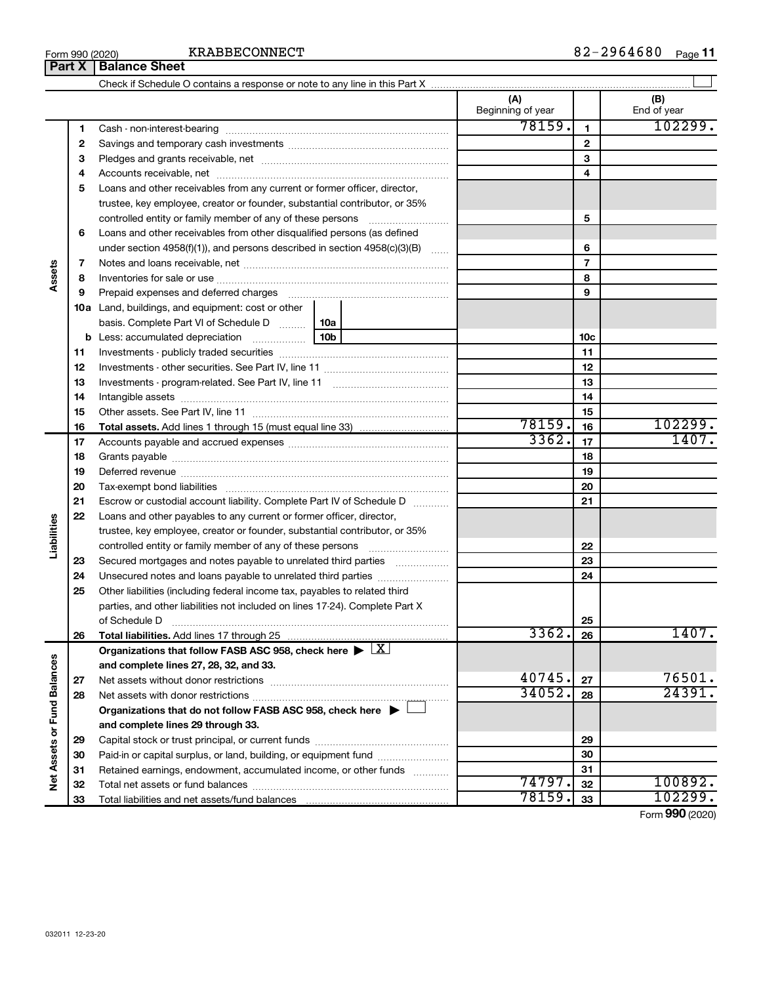| <b>KRABBECONNECT</b><br>Form 990 (2020) | .680<br>n n<br>. הי<br>Page<br>0 H<br>. |
|-----------------------------------------|-----------------------------------------|
|-----------------------------------------|-----------------------------------------|

**Part X Balance Sheet**

|                             |    |                                                                                                        |            | (A)<br>Beginning of year |                | (B)<br>End of year |
|-----------------------------|----|--------------------------------------------------------------------------------------------------------|------------|--------------------------|----------------|--------------------|
|                             | 1  |                                                                                                        |            | 78159.                   | $\mathbf{1}$   | 102299.            |
|                             | 2  |                                                                                                        |            |                          | $\mathbf{2}$   |                    |
|                             | з  |                                                                                                        |            |                          | 3              |                    |
|                             | 4  |                                                                                                        |            |                          | 4              |                    |
|                             | 5  | Loans and other receivables from any current or former officer, director,                              |            |                          |                |                    |
|                             |    | trustee, key employee, creator or founder, substantial contributor, or 35%                             |            |                          |                |                    |
|                             |    | controlled entity or family member of any of these persons                                             |            |                          | 5              |                    |
|                             | 6  | Loans and other receivables from other disqualified persons (as defined                                |            |                          |                |                    |
|                             |    | under section 4958(f)(1)), and persons described in section 4958(c)(3)(B)                              |            |                          | 6              |                    |
|                             | 7  |                                                                                                        |            |                          | $\overline{7}$ |                    |
| Assets                      | 8  |                                                                                                        |            |                          | 8              |                    |
|                             | 9  | Prepaid expenses and deferred charges                                                                  |            |                          | 9              |                    |
|                             |    | <b>10a</b> Land, buildings, and equipment: cost or other                                               |            |                          |                |                    |
|                             |    | basis. Complete Part VI of Schedule D                                                                  | 10a        |                          |                |                    |
|                             |    | <b>b</b> Less: accumulated depreciation<br>$\ldots \ldots \ldots \ldots \ldots$                        | <b>10b</b> |                          | 10c            |                    |
|                             | 11 |                                                                                                        |            |                          | 11             |                    |
|                             | 12 |                                                                                                        |            |                          | 12             |                    |
|                             | 13 |                                                                                                        |            |                          | 13             |                    |
|                             | 14 |                                                                                                        |            |                          | 14             |                    |
|                             | 15 |                                                                                                        |            |                          | 15             |                    |
|                             | 16 |                                                                                                        |            | 78159.                   | 16             | 102299.            |
|                             | 17 |                                                                                                        |            | 3362.                    | 17             | 1407.              |
|                             | 18 |                                                                                                        |            | 18                       |                |                    |
|                             | 19 |                                                                                                        |            | 19                       |                |                    |
|                             | 20 |                                                                                                        |            |                          | 20             |                    |
|                             | 21 | Escrow or custodial account liability. Complete Part IV of Schedule D                                  |            |                          | 21             |                    |
|                             | 22 | Loans and other payables to any current or former officer, director,                                   |            |                          |                |                    |
| Liabilities                 |    | trustee, key employee, creator or founder, substantial contributor, or 35%                             |            |                          |                |                    |
|                             |    |                                                                                                        |            |                          | 22             |                    |
|                             | 23 | Secured mortgages and notes payable to unrelated third parties                                         |            |                          | 23             |                    |
|                             | 24 | Unsecured notes and loans payable to unrelated third parties                                           |            |                          | 24             |                    |
|                             | 25 | Other liabilities (including federal income tax, payables to related third                             |            |                          |                |                    |
|                             |    | parties, and other liabilities not included on lines 17-24). Complete Part X                           |            |                          |                |                    |
|                             |    |                                                                                                        |            |                          | 25             |                    |
|                             | 26 |                                                                                                        |            | 3362.                    | 26             | 1407.              |
|                             |    | Organizations that follow FASB ASC 958, check here $\blacktriangleright \lfloor \underline{X} \rfloor$ |            |                          |                |                    |
|                             |    | and complete lines 27, 28, 32, and 33.                                                                 |            |                          |                |                    |
|                             | 27 |                                                                                                        |            | 40745.                   | 27             | 76501.             |
|                             | 28 |                                                                                                        |            | 34052.                   | 28             | 24391.             |
|                             |    | Organizations that do not follow FASB ASC 958, check here $\blacktriangleright$                        |            |                          |                |                    |
|                             |    | and complete lines 29 through 33.                                                                      |            |                          |                |                    |
| Net Assets or Fund Balances | 29 |                                                                                                        |            |                          | 29             |                    |
|                             | 30 | Paid-in or capital surplus, or land, building, or equipment fund                                       |            |                          | 30             |                    |
|                             | 31 | Retained earnings, endowment, accumulated income, or other funds                                       |            | 74797.                   | 31             | 100892.            |
|                             | 32 |                                                                                                        |            | 78159.                   | 32             | 102299.            |
|                             | 33 |                                                                                                        |            |                          | 33             |                    |

Form (2020) **990**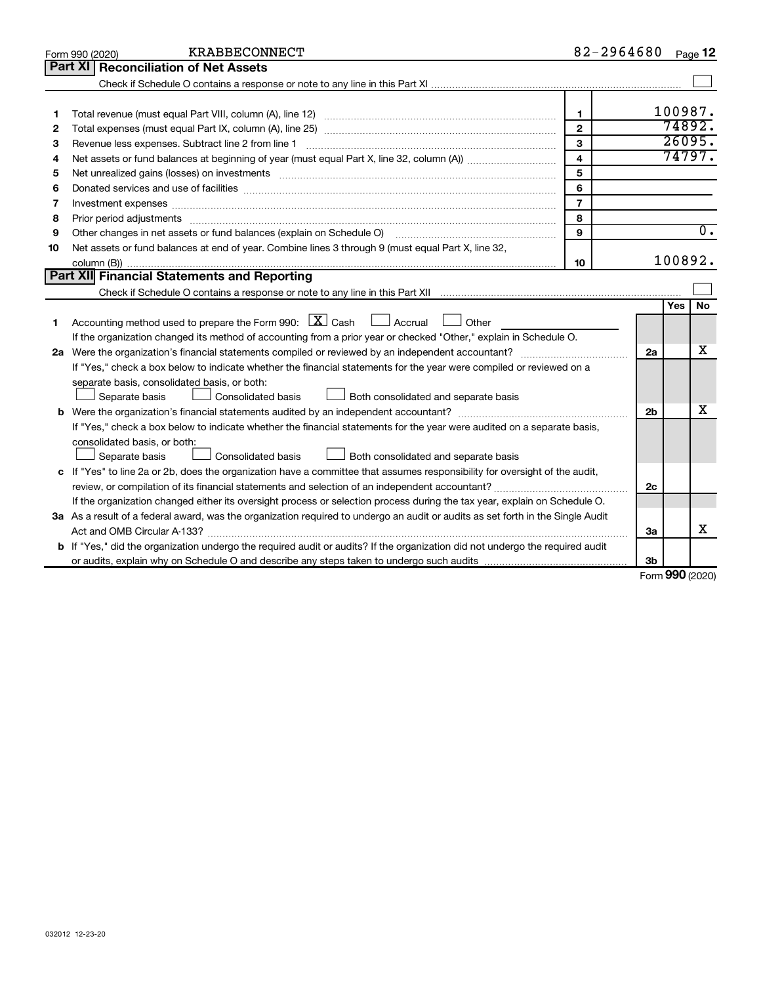|    | <b>KRABBECONNECT</b><br>Form 990 (2020)                                                                                                                                                                                        | 82-2964680              |                |         | Page 12          |
|----|--------------------------------------------------------------------------------------------------------------------------------------------------------------------------------------------------------------------------------|-------------------------|----------------|---------|------------------|
|    | <b>Part XI Reconciliation of Net Assets</b>                                                                                                                                                                                    |                         |                |         |                  |
|    |                                                                                                                                                                                                                                |                         |                |         |                  |
|    |                                                                                                                                                                                                                                |                         |                |         |                  |
| 1  |                                                                                                                                                                                                                                | $\mathbf{1}$            |                | 100987. |                  |
| 2  |                                                                                                                                                                                                                                | $\overline{2}$          |                | 74892.  |                  |
| З  | Revenue less expenses. Subtract line 2 from line 1                                                                                                                                                                             | 3                       |                | 26095.  |                  |
| 4  |                                                                                                                                                                                                                                | $\overline{\mathbf{4}}$ |                | 74797.  |                  |
| 5  | Net unrealized gains (losses) on investments [11] matter than the control of the state of the state of the state of the state of the state of the state of the state of the state of the state of the state of the state of th | 5                       |                |         |                  |
| 6  | Donated services and use of facilities [[111] matter contracts and use of facilities [[11] matter contracts and use of facilities [[11] matter contracts and use of facilities [[11] matter contracts and a service contract o | 6                       |                |         |                  |
| 7  | Investment expenses www.communication.com/www.communication.com/www.communication.com/www.com                                                                                                                                  | $\overline{7}$          |                |         |                  |
| 8  |                                                                                                                                                                                                                                | 8                       |                |         |                  |
| 9  | Other changes in net assets or fund balances (explain on Schedule O)                                                                                                                                                           | 9                       |                |         | $\overline{0}$ . |
| 10 | Net assets or fund balances at end of year. Combine lines 3 through 9 (must equal Part X, line 32,                                                                                                                             |                         |                |         |                  |
|    |                                                                                                                                                                                                                                | 10                      |                | 100892. |                  |
|    | <b>Part XII Financial Statements and Reporting</b>                                                                                                                                                                             |                         |                |         |                  |
|    |                                                                                                                                                                                                                                |                         |                |         |                  |
|    |                                                                                                                                                                                                                                |                         |                | Yes     | <b>No</b>        |
| 1  | Accounting method used to prepare the Form 990: $X \subset X$ Cash $\Box$ Accrual $\Box$ Other                                                                                                                                 |                         |                |         |                  |
|    | If the organization changed its method of accounting from a prior year or checked "Other," explain in Schedule O.                                                                                                              |                         |                |         |                  |
|    |                                                                                                                                                                                                                                |                         | 2a             |         | х                |
|    | If "Yes," check a box below to indicate whether the financial statements for the year were compiled or reviewed on a                                                                                                           |                         |                |         |                  |
|    | separate basis, consolidated basis, or both:                                                                                                                                                                                   |                         |                |         |                  |
|    | Consolidated basis<br>Both consolidated and separate basis<br>Separate basis                                                                                                                                                   |                         |                |         |                  |
| b  |                                                                                                                                                                                                                                |                         | 2 <sub>b</sub> |         | х                |
|    | If "Yes," check a box below to indicate whether the financial statements for the year were audited on a separate basis,                                                                                                        |                         |                |         |                  |
|    | consolidated basis, or both:                                                                                                                                                                                                   |                         |                |         |                  |
|    | Separate basis<br>Consolidated basis<br>Both consolidated and separate basis                                                                                                                                                   |                         |                |         |                  |
|    | c If "Yes" to line 2a or 2b, does the organization have a committee that assumes responsibility for oversight of the audit,                                                                                                    |                         |                |         |                  |
|    |                                                                                                                                                                                                                                |                         | 2c             |         |                  |
|    | If the organization changed either its oversight process or selection process during the tax year, explain on Schedule O.                                                                                                      |                         |                |         |                  |
|    | 3a As a result of a federal award, was the organization required to undergo an audit or audits as set forth in the Single Audit                                                                                                |                         |                |         |                  |
|    |                                                                                                                                                                                                                                |                         | За             |         | х                |
|    | b If "Yes," did the organization undergo the required audit or audits? If the organization did not undergo the required audit                                                                                                  |                         |                |         |                  |
|    |                                                                                                                                                                                                                                |                         | 3b             |         |                  |

Form (2020) **990**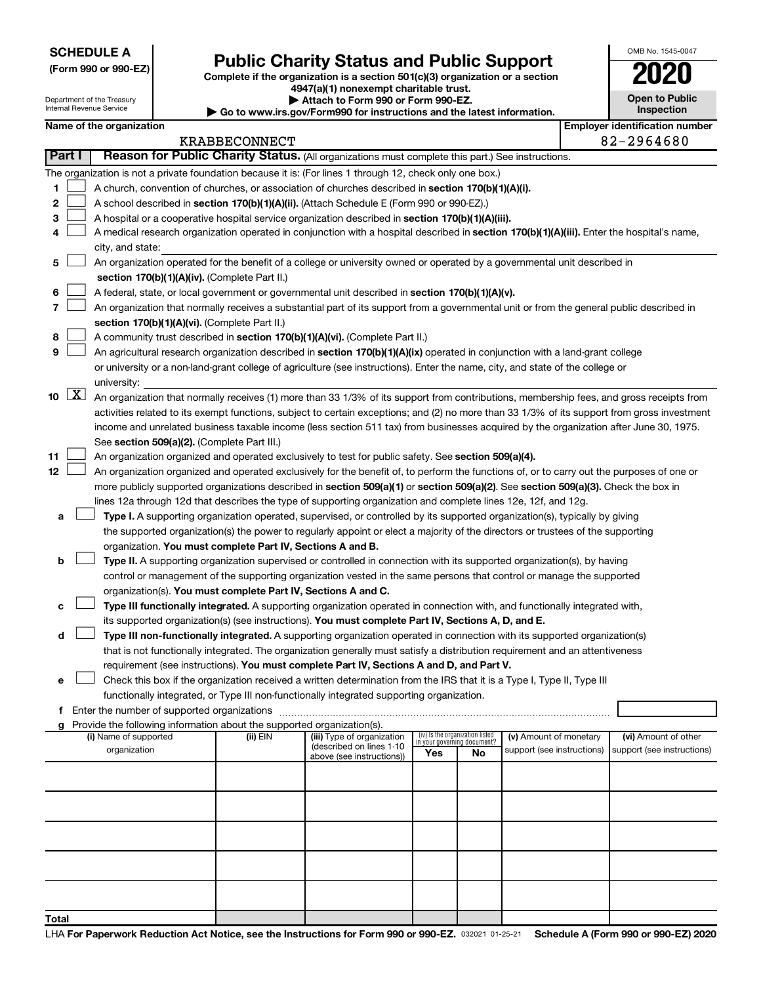**SCHEDULE A**

# Form 990 or 990-EZ) **Public Charity Status and Public Support**<br>
Complete if the organization is a section 501(c)(3) organization or a section<br> **2020 4947(a)(1) nonexempt charitable trust.**

OMB No. 1545-0047

**Open to Public Inspection**

| Department of the Treasury |
|----------------------------|
| Internal Revenue Service   |

# **| Attach to Form 990 or Form 990-EZ.**

**| Go to www.irs.gov/Form990 for instructions and the latest information.**

|        |             | Name of the organization                                                                                                                                                                                            |                      |                                                       |                                                                |    |                            |  | <b>Employer identification number</b> |
|--------|-------------|---------------------------------------------------------------------------------------------------------------------------------------------------------------------------------------------------------------------|----------------------|-------------------------------------------------------|----------------------------------------------------------------|----|----------------------------|--|---------------------------------------|
|        |             |                                                                                                                                                                                                                     | <b>KRABBECONNECT</b> |                                                       |                                                                |    |                            |  | 82-2964680                            |
|        | Part I      | Reason for Public Charity Status. (All organizations must complete this part.) See instructions.                                                                                                                    |                      |                                                       |                                                                |    |                            |  |                                       |
|        |             | The organization is not a private foundation because it is: (For lines 1 through 12, check only one box.)                                                                                                           |                      |                                                       |                                                                |    |                            |  |                                       |
| 1      |             | A church, convention of churches, or association of churches described in section 170(b)(1)(A)(i).                                                                                                                  |                      |                                                       |                                                                |    |                            |  |                                       |
| 2      |             | A school described in section 170(b)(1)(A)(ii). (Attach Schedule E (Form 990 or 990-EZ).)                                                                                                                           |                      |                                                       |                                                                |    |                            |  |                                       |
| з      |             | A hospital or a cooperative hospital service organization described in section 170(b)(1)(A)(iii).                                                                                                                   |                      |                                                       |                                                                |    |                            |  |                                       |
| 4      |             | A medical research organization operated in conjunction with a hospital described in section 170(b)(1)(A)(iii). Enter the hospital's name,                                                                          |                      |                                                       |                                                                |    |                            |  |                                       |
|        |             | city, and state:                                                                                                                                                                                                    |                      |                                                       |                                                                |    |                            |  |                                       |
| 5      |             | An organization operated for the benefit of a college or university owned or operated by a governmental unit described in                                                                                           |                      |                                                       |                                                                |    |                            |  |                                       |
|        |             | section 170(b)(1)(A)(iv). (Complete Part II.)                                                                                                                                                                       |                      |                                                       |                                                                |    |                            |  |                                       |
| 6      |             | A federal, state, or local government or governmental unit described in section 170(b)(1)(A)(v).                                                                                                                    |                      |                                                       |                                                                |    |                            |  |                                       |
| 7      |             | An organization that normally receives a substantial part of its support from a governmental unit or from the general public described in                                                                           |                      |                                                       |                                                                |    |                            |  |                                       |
|        |             | section 170(b)(1)(A)(vi). (Complete Part II.)                                                                                                                                                                       |                      |                                                       |                                                                |    |                            |  |                                       |
| 8<br>9 |             | A community trust described in section 170(b)(1)(A)(vi). (Complete Part II.)<br>An agricultural research organization described in section 170(b)(1)(A)(ix) operated in conjunction with a land-grant college       |                      |                                                       |                                                                |    |                            |  |                                       |
|        |             | or university or a non-land-grant college of agriculture (see instructions). Enter the name, city, and state of the college or                                                                                      |                      |                                                       |                                                                |    |                            |  |                                       |
|        |             | university:                                                                                                                                                                                                         |                      |                                                       |                                                                |    |                            |  |                                       |
|        | $10 \mid X$ | An organization that normally receives (1) more than 33 1/3% of its support from contributions, membership fees, and gross receipts from                                                                            |                      |                                                       |                                                                |    |                            |  |                                       |
|        |             | activities related to its exempt functions, subject to certain exceptions; and (2) no more than 33 1/3% of its support from gross investment                                                                        |                      |                                                       |                                                                |    |                            |  |                                       |
|        |             | income and unrelated business taxable income (less section 511 tax) from businesses acquired by the organization after June 30, 1975.                                                                               |                      |                                                       |                                                                |    |                            |  |                                       |
|        |             | See section 509(a)(2). (Complete Part III.)                                                                                                                                                                         |                      |                                                       |                                                                |    |                            |  |                                       |
| 11     |             | An organization organized and operated exclusively to test for public safety. See section 509(a)(4).                                                                                                                |                      |                                                       |                                                                |    |                            |  |                                       |
| 12     |             | An organization organized and operated exclusively for the benefit of, to perform the functions of, or to carry out the purposes of one or                                                                          |                      |                                                       |                                                                |    |                            |  |                                       |
|        |             | more publicly supported organizations described in section 509(a)(1) or section 509(a)(2). See section 509(a)(3). Check the box in                                                                                  |                      |                                                       |                                                                |    |                            |  |                                       |
|        |             | lines 12a through 12d that describes the type of supporting organization and complete lines 12e, 12f, and 12g.                                                                                                      |                      |                                                       |                                                                |    |                            |  |                                       |
| а      |             | Type I. A supporting organization operated, supervised, or controlled by its supported organization(s), typically by giving                                                                                         |                      |                                                       |                                                                |    |                            |  |                                       |
|        |             | the supported organization(s) the power to regularly appoint or elect a majority of the directors or trustees of the supporting                                                                                     |                      |                                                       |                                                                |    |                            |  |                                       |
|        |             | organization. You must complete Part IV, Sections A and B.                                                                                                                                                          |                      |                                                       |                                                                |    |                            |  |                                       |
| b      |             | Type II. A supporting organization supervised or controlled in connection with its supported organization(s), by having                                                                                             |                      |                                                       |                                                                |    |                            |  |                                       |
|        |             | control or management of the supporting organization vested in the same persons that control or manage the supported                                                                                                |                      |                                                       |                                                                |    |                            |  |                                       |
|        |             | organization(s). You must complete Part IV, Sections A and C.                                                                                                                                                       |                      |                                                       |                                                                |    |                            |  |                                       |
|        |             | Type III functionally integrated. A supporting organization operated in connection with, and functionally integrated with,                                                                                          |                      |                                                       |                                                                |    |                            |  |                                       |
|        |             | its supported organization(s) (see instructions). You must complete Part IV, Sections A, D, and E.                                                                                                                  |                      |                                                       |                                                                |    |                            |  |                                       |
| d      |             | Type III non-functionally integrated. A supporting organization operated in connection with its supported organization(s)                                                                                           |                      |                                                       |                                                                |    |                            |  |                                       |
|        |             | that is not functionally integrated. The organization generally must satisfy a distribution requirement and an attentiveness                                                                                        |                      |                                                       |                                                                |    |                            |  |                                       |
|        |             | requirement (see instructions). You must complete Part IV, Sections A and D, and Part V.<br>Check this box if the organization received a written determination from the IRS that it is a Type I, Type II, Type III |                      |                                                       |                                                                |    |                            |  |                                       |
| е      |             | functionally integrated, or Type III non-functionally integrated supporting organization.                                                                                                                           |                      |                                                       |                                                                |    |                            |  |                                       |
|        |             | f Enter the number of supported organizations                                                                                                                                                                       |                      |                                                       |                                                                |    |                            |  |                                       |
|        |             | Provide the following information about the supported organization(s).                                                                                                                                              |                      |                                                       |                                                                |    |                            |  |                                       |
|        |             | (i) Name of supported                                                                                                                                                                                               | (ii) EIN             | (iii) Type of organization                            | (iv) Is the organization listed<br>in your governing document? |    | (v) Amount of monetary     |  | (vi) Amount of other                  |
|        |             | organization                                                                                                                                                                                                        |                      | (described on lines 1-10<br>above (see instructions)) | Yes                                                            | No | support (see instructions) |  | support (see instructions)            |
|        |             |                                                                                                                                                                                                                     |                      |                                                       |                                                                |    |                            |  |                                       |
|        |             |                                                                                                                                                                                                                     |                      |                                                       |                                                                |    |                            |  |                                       |
|        |             |                                                                                                                                                                                                                     |                      |                                                       |                                                                |    |                            |  |                                       |
|        |             |                                                                                                                                                                                                                     |                      |                                                       |                                                                |    |                            |  |                                       |
|        |             |                                                                                                                                                                                                                     |                      |                                                       |                                                                |    |                            |  |                                       |
|        |             |                                                                                                                                                                                                                     |                      |                                                       |                                                                |    |                            |  |                                       |
|        |             |                                                                                                                                                                                                                     |                      |                                                       |                                                                |    |                            |  |                                       |
|        |             |                                                                                                                                                                                                                     |                      |                                                       |                                                                |    |                            |  |                                       |
|        |             |                                                                                                                                                                                                                     |                      |                                                       |                                                                |    |                            |  |                                       |
|        |             |                                                                                                                                                                                                                     |                      |                                                       |                                                                |    |                            |  |                                       |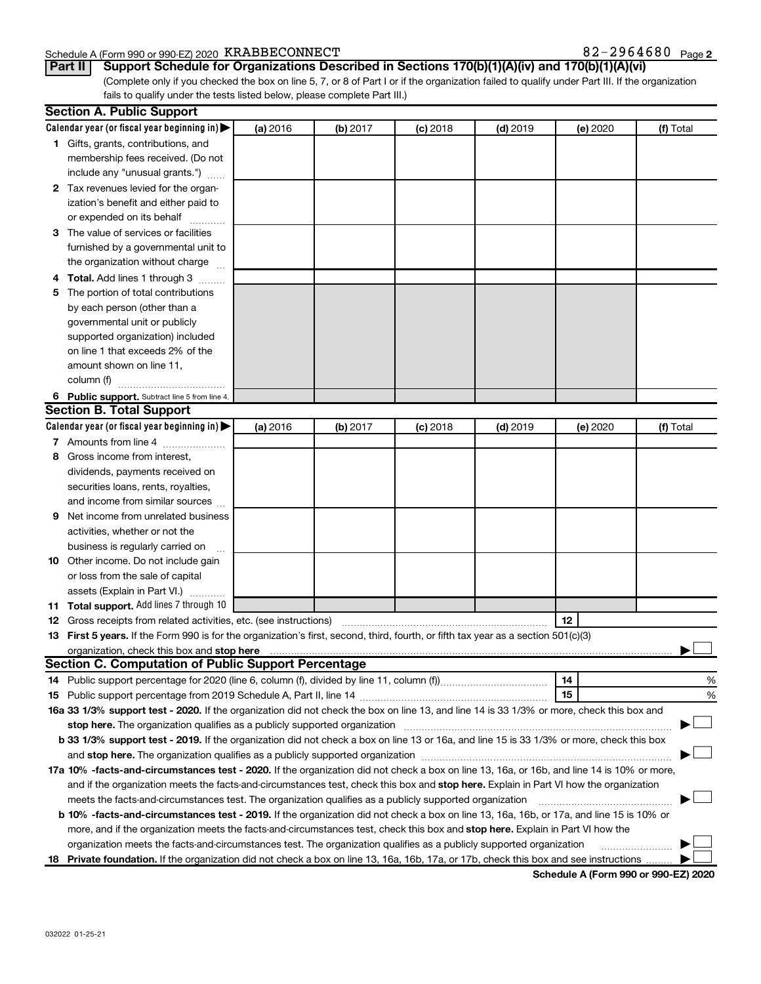### Schedule A (Form 990 or 990-EZ) 2020 KRABBECONNECT  $82-2964680$  Page

(Complete only if you checked the box on line 5, 7, or 8 of Part I or if the organization failed to qualify under Part III. If the organization fails to qualify under the tests listed below, please complete Part III.) **Part II Support Schedule for Organizations Described in Sections 170(b)(1)(A)(iv) and 170(b)(1)(A)(vi)**

|     | <b>Section A. Public Support</b>                                                                                                                                                                                               |          |          |            |            |          |           |
|-----|--------------------------------------------------------------------------------------------------------------------------------------------------------------------------------------------------------------------------------|----------|----------|------------|------------|----------|-----------|
|     | Calendar year (or fiscal year beginning in)                                                                                                                                                                                    | (a) 2016 | (b) 2017 | $(c)$ 2018 | $(d)$ 2019 | (e) 2020 | (f) Total |
|     | 1 Gifts, grants, contributions, and                                                                                                                                                                                            |          |          |            |            |          |           |
|     | membership fees received. (Do not                                                                                                                                                                                              |          |          |            |            |          |           |
|     | include any "unusual grants.")                                                                                                                                                                                                 |          |          |            |            |          |           |
|     | 2 Tax revenues levied for the organ-                                                                                                                                                                                           |          |          |            |            |          |           |
|     | ization's benefit and either paid to                                                                                                                                                                                           |          |          |            |            |          |           |
|     | or expended on its behalf                                                                                                                                                                                                      |          |          |            |            |          |           |
| з   | The value of services or facilities                                                                                                                                                                                            |          |          |            |            |          |           |
|     | furnished by a governmental unit to                                                                                                                                                                                            |          |          |            |            |          |           |
|     | the organization without charge                                                                                                                                                                                                |          |          |            |            |          |           |
| 4   | <b>Total.</b> Add lines 1 through 3                                                                                                                                                                                            |          |          |            |            |          |           |
| 5.  | The portion of total contributions                                                                                                                                                                                             |          |          |            |            |          |           |
|     | by each person (other than a                                                                                                                                                                                                   |          |          |            |            |          |           |
|     | governmental unit or publicly                                                                                                                                                                                                  |          |          |            |            |          |           |
|     | supported organization) included                                                                                                                                                                                               |          |          |            |            |          |           |
|     | on line 1 that exceeds 2% of the                                                                                                                                                                                               |          |          |            |            |          |           |
|     | amount shown on line 11,                                                                                                                                                                                                       |          |          |            |            |          |           |
|     | column (f)                                                                                                                                                                                                                     |          |          |            |            |          |           |
|     | 6 Public support. Subtract line 5 from line 4.                                                                                                                                                                                 |          |          |            |            |          |           |
|     | <b>Section B. Total Support</b>                                                                                                                                                                                                |          |          |            |            |          |           |
|     | Calendar year (or fiscal year beginning in) $\blacktriangleright$                                                                                                                                                              | (a) 2016 | (b) 2017 | $(c)$ 2018 | $(d)$ 2019 | (e) 2020 | (f) Total |
|     | 7 Amounts from line 4                                                                                                                                                                                                          |          |          |            |            |          |           |
| 8   | Gross income from interest,                                                                                                                                                                                                    |          |          |            |            |          |           |
|     | dividends, payments received on                                                                                                                                                                                                |          |          |            |            |          |           |
|     | securities loans, rents, royalties,                                                                                                                                                                                            |          |          |            |            |          |           |
|     | and income from similar sources                                                                                                                                                                                                |          |          |            |            |          |           |
| 9   | Net income from unrelated business                                                                                                                                                                                             |          |          |            |            |          |           |
|     | activities, whether or not the                                                                                                                                                                                                 |          |          |            |            |          |           |
|     | business is regularly carried on                                                                                                                                                                                               |          |          |            |            |          |           |
|     | 10 Other income. Do not include gain                                                                                                                                                                                           |          |          |            |            |          |           |
|     | or loss from the sale of capital                                                                                                                                                                                               |          |          |            |            |          |           |
|     | assets (Explain in Part VI.)                                                                                                                                                                                                   |          |          |            |            |          |           |
|     | <b>11 Total support.</b> Add lines 7 through 10                                                                                                                                                                                |          |          |            |            |          |           |
|     | <b>12</b> Gross receipts from related activities, etc. (see instructions)                                                                                                                                                      |          |          |            |            | 12       |           |
|     | 13 First 5 years. If the Form 990 is for the organization's first, second, third, fourth, or fifth tax year as a section 501(c)(3)                                                                                             |          |          |            |            |          |           |
|     | organization, check this box and stop here<br><b>Section C. Computation of Public Support Percentage</b>                                                                                                                       |          |          |            |            |          |           |
| 14  |                                                                                                                                                                                                                                |          |          |            |            | 14       | %         |
|     |                                                                                                                                                                                                                                |          |          |            |            | 15       | %         |
|     | 16a 33 1/3% support test - 2020. If the organization did not check the box on line 13, and line 14 is 33 1/3% or more, check this box and                                                                                      |          |          |            |            |          |           |
|     | stop here. The organization qualifies as a publicly supported organization manufaction manufacture content and the support of the state of the state of the state of the state of the state of the state of the state of the s |          |          |            |            |          |           |
|     | b 33 1/3% support test - 2019. If the organization did not check a box on line 13 or 16a, and line 15 is 33 1/3% or more, check this box                                                                                       |          |          |            |            |          |           |
|     |                                                                                                                                                                                                                                |          |          |            |            |          |           |
|     | <b>17a 10% -facts-and-circumstances test - 2020.</b> If the organization did not check a box on line 13, 16a, or 16b, and line 14 is 10% or more,                                                                              |          |          |            |            |          |           |
|     | and if the organization meets the facts-and-circumstances test, check this box and stop here. Explain in Part VI how the organization                                                                                          |          |          |            |            |          |           |
|     | meets the facts-and-circumstances test. The organization qualifies as a publicly supported organization                                                                                                                        |          |          |            |            |          |           |
|     | <b>b 10%</b> -facts-and-circumstances test - 2019. If the organization did not check a box on line 13, 16a, 16b, or 17a, and line 15 is 10% or                                                                                 |          |          |            |            |          |           |
|     | more, and if the organization meets the facts-and-circumstances test, check this box and <b>stop here.</b> Explain in Part VI how the                                                                                          |          |          |            |            |          |           |
|     | organization meets the facts-and-circumstances test. The organization qualifies as a publicly supported organization                                                                                                           |          |          |            |            |          |           |
| 18. | Private foundation. If the organization did not check a box on line 13, 16a, 16b, 17a, or 17b, check this box and see instructions                                                                                             |          |          |            |            |          |           |

**Schedule A (Form 990 or 990-EZ) 2020**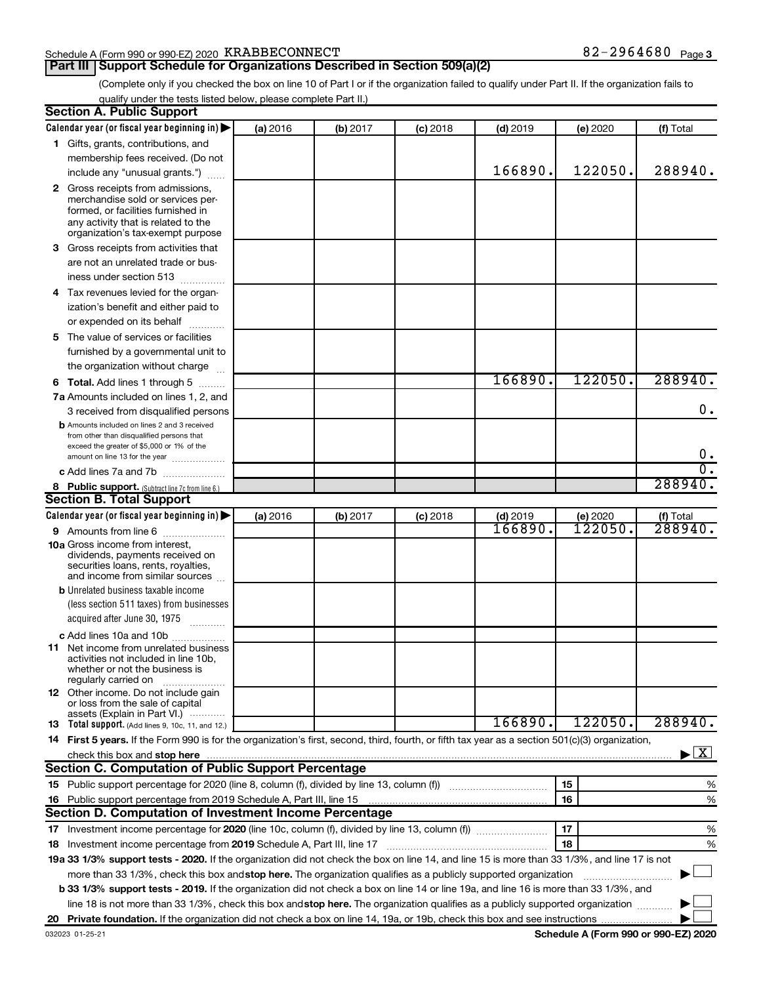### Schedule A (Form 990 or 990-EZ) 2020 KRABBECONNECT  $82-2964680$  Page

## **Part III Support Schedule for Organizations Described in Section 509(a)(2)**

82-2964680 Page 3

(Complete only if you checked the box on line 10 of Part I or if the organization failed to qualify under Part II. If the organization fails to qualify under the tests listed below, please complete Part II.)

| <b>Section A. Public Support</b>                                                                                                                 |          |          |            |            |          |              |
|--------------------------------------------------------------------------------------------------------------------------------------------------|----------|----------|------------|------------|----------|--------------|
| Calendar year (or fiscal year beginning in)                                                                                                      | (a) 2016 | (b) 2017 | $(c)$ 2018 | $(d)$ 2019 | (e) 2020 | (f) Total    |
| 1 Gifts, grants, contributions, and                                                                                                              |          |          |            |            |          |              |
| membership fees received. (Do not                                                                                                                |          |          |            |            |          |              |
| include any "unusual grants.")                                                                                                                   |          |          |            | 166890.    | 122050.  | 288940.      |
| 2 Gross receipts from admissions,                                                                                                                |          |          |            |            |          |              |
| merchandise sold or services per-                                                                                                                |          |          |            |            |          |              |
| formed, or facilities furnished in<br>any activity that is related to the                                                                        |          |          |            |            |          |              |
| organization's tax-exempt purpose                                                                                                                |          |          |            |            |          |              |
| 3 Gross receipts from activities that                                                                                                            |          |          |            |            |          |              |
| are not an unrelated trade or bus-                                                                                                               |          |          |            |            |          |              |
| iness under section 513                                                                                                                          |          |          |            |            |          |              |
| 4 Tax revenues levied for the organ-                                                                                                             |          |          |            |            |          |              |
| ization's benefit and either paid to                                                                                                             |          |          |            |            |          |              |
| or expended on its behalf                                                                                                                        |          |          |            |            |          |              |
| 5 The value of services or facilities                                                                                                            |          |          |            |            |          |              |
| furnished by a governmental unit to                                                                                                              |          |          |            |            |          |              |
| the organization without charge                                                                                                                  |          |          |            |            |          |              |
| 6 Total. Add lines 1 through 5                                                                                                                   |          |          |            | 166890.    | 122050.  | 288940.      |
| 7a Amounts included on lines 1, 2, and                                                                                                           |          |          |            |            |          |              |
| 3 received from disqualified persons                                                                                                             |          |          |            |            |          | 0.           |
| <b>b</b> Amounts included on lines 2 and 3 received                                                                                              |          |          |            |            |          |              |
| from other than disqualified persons that                                                                                                        |          |          |            |            |          |              |
| exceed the greater of \$5,000 or 1% of the<br>amount on line 13 for the year                                                                     |          |          |            |            |          | $0$ .        |
| c Add lines 7a and 7b                                                                                                                            |          |          |            |            |          | σ.           |
| 8 Public support. (Subtract line 7c from line 6.)                                                                                                |          |          |            |            |          | 288940.      |
| <b>Section B. Total Support</b>                                                                                                                  |          |          |            |            |          |              |
| Calendar year (or fiscal year beginning in)                                                                                                      | (a) 2016 | (b) 2017 | $(c)$ 2018 | $(d)$ 2019 | (e) 2020 | (f) Total    |
| <b>9</b> Amounts from line 6                                                                                                                     |          |          |            | 166890     | 122050.  | 288940.      |
| <b>10a</b> Gross income from interest,                                                                                                           |          |          |            |            |          |              |
| dividends, payments received on                                                                                                                  |          |          |            |            |          |              |
| securities loans, rents, royalties,<br>and income from similar sources                                                                           |          |          |            |            |          |              |
| <b>b</b> Unrelated business taxable income                                                                                                       |          |          |            |            |          |              |
| (less section 511 taxes) from businesses                                                                                                         |          |          |            |            |          |              |
| acquired after June 30, 1975                                                                                                                     |          |          |            |            |          |              |
| c Add lines 10a and 10b                                                                                                                          |          |          |            |            |          |              |
| <b>11</b> Net income from unrelated business                                                                                                     |          |          |            |            |          |              |
| activities not included in line 10b,                                                                                                             |          |          |            |            |          |              |
| whether or not the business is                                                                                                                   |          |          |            |            |          |              |
| regularly carried on<br>12 Other income. Do not include gain                                                                                     |          |          |            |            |          |              |
| or loss from the sale of capital                                                                                                                 |          |          |            |            |          |              |
| assets (Explain in Part VI.)                                                                                                                     |          |          |            | 166890.    | 122050.  | 288940.      |
| <b>13</b> Total support. (Add lines 9, 10c, 11, and 12.)                                                                                         |          |          |            |            |          |              |
| 14 First 5 years. If the Form 990 is for the organization's first, second, third, fourth, or fifth tax year as a section 501(c)(3) organization, |          |          |            |            |          | $\mathbf{X}$ |
| Section C. Computation of Public Support Percentage                                                                                              |          |          |            |            |          |              |
|                                                                                                                                                  |          |          |            |            |          |              |
|                                                                                                                                                  |          |          |            |            | 15       | %            |
| 16 Public support percentage from 2019 Schedule A, Part III, line 15                                                                             |          |          |            |            | 16       | %            |
| Section D. Computation of Investment Income Percentage                                                                                           |          |          |            |            |          |              |
|                                                                                                                                                  |          |          |            |            | 17       | %            |
| 18 Investment income percentage from 2019 Schedule A, Part III, line 17                                                                          |          |          |            |            | 18       | %            |
| 19a 33 1/3% support tests - 2020. If the organization did not check the box on line 14, and line 15 is more than 33 1/3%, and line 17 is not     |          |          |            |            |          |              |
| more than 33 1/3%, check this box and stop here. The organization qualifies as a publicly supported organization                                 |          |          |            |            |          |              |
| b 33 1/3% support tests - 2019. If the organization did not check a box on line 14 or line 19a, and line 16 is more than 33 1/3%, and            |          |          |            |            |          |              |
| line 18 is not more than 33 1/3%, check this box and stop here. The organization qualifies as a publicly supported organization                  |          |          |            |            |          |              |
|                                                                                                                                                  |          |          |            |            |          |              |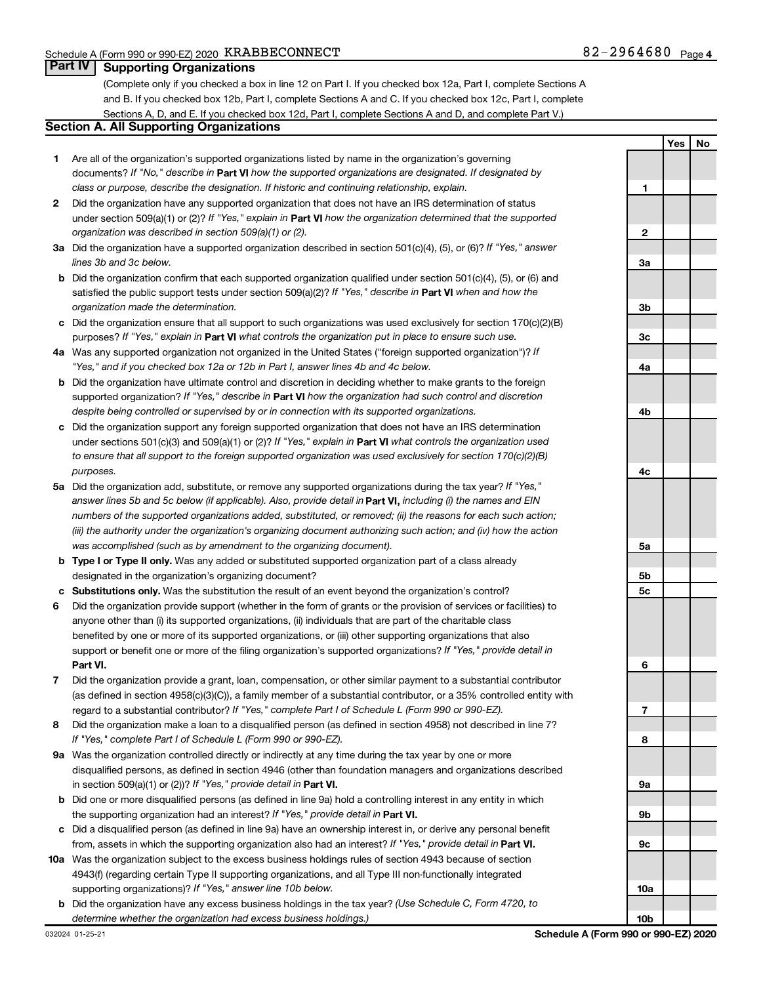### **Part IV Supporting Organizations**

(Complete only if you checked a box in line 12 on Part I. If you checked box 12a, Part I, complete Sections A and B. If you checked box 12b, Part I, complete Sections A and C. If you checked box 12c, Part I, complete Sections A, D, and E. If you checked box 12d, Part I, complete Sections A and D, and complete Part V.)

### **Section A. All Supporting Organizations**

- **1** Are all of the organization's supported organizations listed by name in the organization's governing documents? If "No," describe in Part VI how the supported organizations are designated. If designated by *class or purpose, describe the designation. If historic and continuing relationship, explain.*
- **2** Did the organization have any supported organization that does not have an IRS determination of status under section 509(a)(1) or (2)? If "Yes," explain in Part **VI** how the organization determined that the supported *organization was described in section 509(a)(1) or (2).*
- **3a** Did the organization have a supported organization described in section 501(c)(4), (5), or (6)? If "Yes," answer *lines 3b and 3c below.*
- **b** Did the organization confirm that each supported organization qualified under section 501(c)(4), (5), or (6) and satisfied the public support tests under section 509(a)(2)? If "Yes," describe in Part VI when and how the *organization made the determination.*
- **c** Did the organization ensure that all support to such organizations was used exclusively for section 170(c)(2)(B) purposes? If "Yes," explain in Part VI what controls the organization put in place to ensure such use.
- **4 a** *If* Was any supported organization not organized in the United States ("foreign supported organization")? *"Yes," and if you checked box 12a or 12b in Part I, answer lines 4b and 4c below.*
- **b** Did the organization have ultimate control and discretion in deciding whether to make grants to the foreign supported organization? If "Yes," describe in Part VI how the organization had such control and discretion *despite being controlled or supervised by or in connection with its supported organizations.*
- **c** Did the organization support any foreign supported organization that does not have an IRS determination under sections 501(c)(3) and 509(a)(1) or (2)? If "Yes," explain in Part VI what controls the organization used *to ensure that all support to the foreign supported organization was used exclusively for section 170(c)(2)(B) purposes.*
- **5a** Did the organization add, substitute, or remove any supported organizations during the tax year? If "Yes," answer lines 5b and 5c below (if applicable). Also, provide detail in **Part VI,** including (i) the names and EIN *numbers of the supported organizations added, substituted, or removed; (ii) the reasons for each such action; (iii) the authority under the organization's organizing document authorizing such action; and (iv) how the action was accomplished (such as by amendment to the organizing document).*
- **b** Type I or Type II only. Was any added or substituted supported organization part of a class already designated in the organization's organizing document?
- **c Substitutions only.**  Was the substitution the result of an event beyond the organization's control?
- **6** Did the organization provide support (whether in the form of grants or the provision of services or facilities) to **Part VI.** support or benefit one or more of the filing organization's supported organizations? If "Yes," provide detail in anyone other than (i) its supported organizations, (ii) individuals that are part of the charitable class benefited by one or more of its supported organizations, or (iii) other supporting organizations that also
- **7** Did the organization provide a grant, loan, compensation, or other similar payment to a substantial contributor regard to a substantial contributor? If "Yes," complete Part I of Schedule L (Form 990 or 990-EZ). (as defined in section 4958(c)(3)(C)), a family member of a substantial contributor, or a 35% controlled entity with
- **8** Did the organization make a loan to a disqualified person (as defined in section 4958) not described in line 7? *If "Yes," complete Part I of Schedule L (Form 990 or 990-EZ).*
- **9 a** Was the organization controlled directly or indirectly at any time during the tax year by one or more in section 509(a)(1) or (2))? If "Yes," provide detail in **Part VI.** disqualified persons, as defined in section 4946 (other than foundation managers and organizations described
- **b** Did one or more disqualified persons (as defined in line 9a) hold a controlling interest in any entity in which the supporting organization had an interest? If "Yes," provide detail in Part VI.
- **c** Did a disqualified person (as defined in line 9a) have an ownership interest in, or derive any personal benefit from, assets in which the supporting organization also had an interest? If "Yes," provide detail in Part VI.
- **10 a** Was the organization subject to the excess business holdings rules of section 4943 because of section supporting organizations)? If "Yes," answer line 10b below. 4943(f) (regarding certain Type II supporting organizations, and all Type III non-functionally integrated
	- **b** Did the organization have any excess business holdings in the tax year? (Use Schedule C, Form 4720, to *determine whether the organization had excess business holdings.)*

**Yes No 1 2 3a 3b 3c 4a 4b 4c 5a 5b 5c 6 7 8 9a 9b 9c 10a 10b**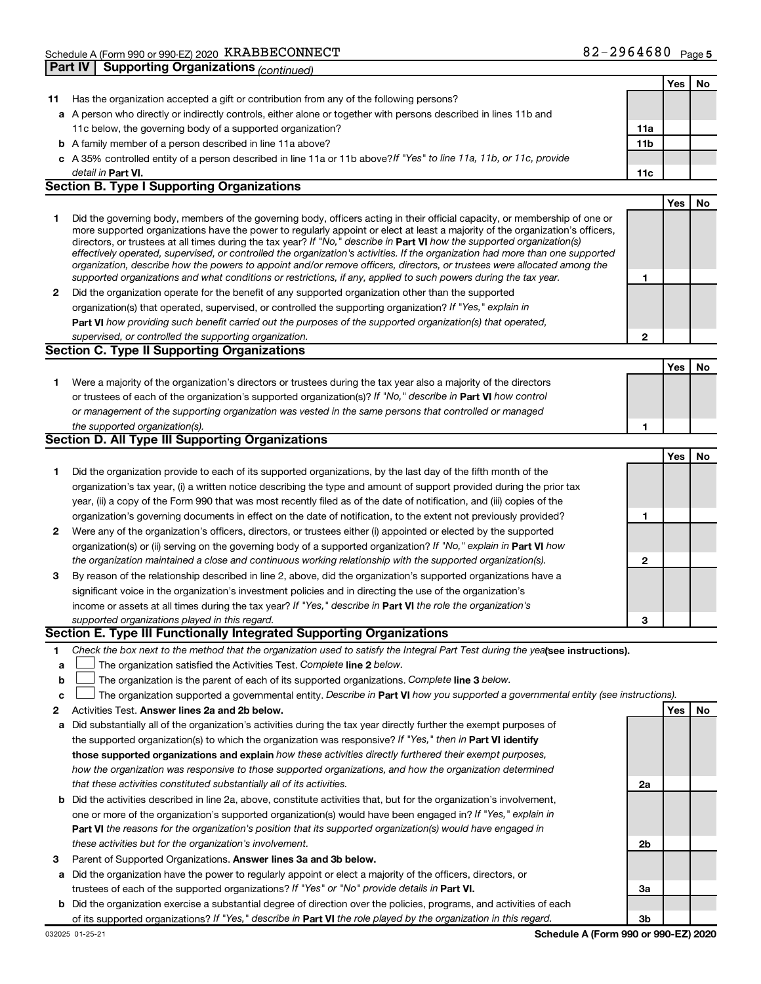|    |                                                                                                                                                                                                                                                           |     | Yes | No  |
|----|-----------------------------------------------------------------------------------------------------------------------------------------------------------------------------------------------------------------------------------------------------------|-----|-----|-----|
| 11 | Has the organization accepted a gift or contribution from any of the following persons?                                                                                                                                                                   |     |     |     |
|    | a A person who directly or indirectly controls, either alone or together with persons described in lines 11b and                                                                                                                                          |     |     |     |
|    | 11c below, the governing body of a supported organization?                                                                                                                                                                                                | 11a |     |     |
|    | <b>b</b> A family member of a person described in line 11a above?                                                                                                                                                                                         | 11b |     |     |
|    | c A 35% controlled entity of a person described in line 11a or 11b above? If "Yes" to line 11a, 11b, or 11c, provide                                                                                                                                      |     |     |     |
|    | detail in Part VI.                                                                                                                                                                                                                                        | 11c |     |     |
|    | <b>Section B. Type I Supporting Organizations</b>                                                                                                                                                                                                         |     |     |     |
|    |                                                                                                                                                                                                                                                           |     | Yes | No. |
| 1  | Did the governing body, members of the governing body, officers acting in their official capacity, or membership of one or                                                                                                                                |     |     |     |
|    | more supported organizations have the power to regularly appoint or elect at least a majority of the organization's officers,                                                                                                                             |     |     |     |
|    | directors, or trustees at all times during the tax year? If "No," describe in Part VI how the supported organization(s)<br>effectively operated, supervised, or controlled the organization's activities. If the organization had more than one supported |     |     |     |
|    | organization, describe how the powers to appoint and/or remove officers, directors, or trustees were allocated among the                                                                                                                                  |     |     |     |
|    | supported organizations and what conditions or restrictions, if any, applied to such powers during the tax year.                                                                                                                                          | 1   |     |     |
| 2  | Did the organization operate for the benefit of any supported organization other than the supported                                                                                                                                                       |     |     |     |
|    | organization(s) that operated, supervised, or controlled the supporting organization? If "Yes," explain in                                                                                                                                                |     |     |     |
|    | <b>Part VI</b> how providing such benefit carried out the purposes of the supported organization(s) that operated,                                                                                                                                        |     |     |     |
|    | supervised, or controlled the supporting organization.                                                                                                                                                                                                    | 2   |     |     |
|    | Section C. Type II Supporting Organizations                                                                                                                                                                                                               |     |     |     |
|    |                                                                                                                                                                                                                                                           |     | Yes | No  |
| 1  | Were a majority of the organization's directors or trustees during the tax year also a majority of the directors                                                                                                                                          |     |     |     |
|    | or trustees of each of the organization's supported organization(s)? If "No," describe in Part VI how control                                                                                                                                             |     |     |     |
|    | or management of the supporting organization was vested in the same persons that controlled or managed                                                                                                                                                    |     |     |     |
|    | the supported organization(s).                                                                                                                                                                                                                            | 1   |     |     |
|    | Section D. All Type III Supporting Organizations                                                                                                                                                                                                          |     |     |     |
|    |                                                                                                                                                                                                                                                           |     | Yes | No  |
| 1  | Did the organization provide to each of its supported organizations, by the last day of the fifth month of the                                                                                                                                            |     |     |     |
|    | organization's tax year, (i) a written notice describing the type and amount of support provided during the prior tax                                                                                                                                     |     |     |     |
|    | year, (ii) a copy of the Form 990 that was most recently filed as of the date of notification, and (iii) copies of the                                                                                                                                    |     |     |     |
|    | organization's governing documents in effect on the date of notification, to the extent not previously provided?                                                                                                                                          | 1   |     |     |
| 2  | Were any of the organization's officers, directors, or trustees either (i) appointed or elected by the supported                                                                                                                                          |     |     |     |
|    | organization(s) or (ii) serving on the governing body of a supported organization? If "No," explain in Part VI how                                                                                                                                        |     |     |     |
|    | the organization maintained a close and continuous working relationship with the supported organization(s).                                                                                                                                               | 2   |     |     |
| 3  | By reason of the relationship described in line 2, above, did the organization's supported organizations have a                                                                                                                                           |     |     |     |
|    | significant voice in the organization's investment policies and in directing the use of the organization's                                                                                                                                                |     |     |     |
|    | income or assets at all times during the tax year? If "Yes," describe in Part VI the role the organization's                                                                                                                                              |     |     |     |
|    | supported organizations played in this regard.                                                                                                                                                                                                            | З   |     |     |
|    | Section E. Type III Functionally Integrated Supporting Organizations                                                                                                                                                                                      |     |     |     |
| 1. | Check the box next to the method that the organization used to satisfy the Integral Part Test during the yealsee instructions).                                                                                                                           |     |     |     |
| а  | The organization satisfied the Activities Test. Complete line 2 below.                                                                                                                                                                                    |     |     |     |
| b  | The organization is the parent of each of its supported organizations. Complete line 3 below.                                                                                                                                                             |     |     |     |
| c  | The organization supported a governmental entity. Describe in Part VI how you supported a governmental entity (see instructions).<br>Activities Test. Answer lines 2a and 2b below.                                                                       |     |     |     |
| 2  |                                                                                                                                                                                                                                                           |     | Yes | No. |
| а  | Did substantially all of the organization's activities during the tax year directly further the exempt purposes of<br>the supported organization(s) to which the organization was responsive? If "Yes," then in Part VI identify                          |     |     |     |
|    | those supported organizations and explain how these activities directly furthered their exempt purposes,                                                                                                                                                  |     |     |     |
|    | how the organization was responsive to those supported organizations, and how the organization determined                                                                                                                                                 |     |     |     |
|    | that these activities constituted substantially all of its activities.                                                                                                                                                                                    | 2a  |     |     |
| b  | Did the activities described in line 2a, above, constitute activities that, but for the organization's involvement,                                                                                                                                       |     |     |     |
|    | one or more of the organization's supported organization(s) would have been engaged in? If "Yes," explain in                                                                                                                                              |     |     |     |
|    | <b>Part VI</b> the reasons for the organization's position that its supported organization(s) would have engaged in                                                                                                                                       |     |     |     |
|    | these activities but for the organization's involvement.                                                                                                                                                                                                  | 2b  |     |     |
| з  | Parent of Supported Organizations. Answer lines 3a and 3b below.                                                                                                                                                                                          |     |     |     |
| а  | Did the organization have the power to regularly appoint or elect a majority of the officers, directors, or                                                                                                                                               |     |     |     |
|    | trustees of each of the supported organizations? If "Yes" or "No" provide details in Part VI.                                                                                                                                                             | За  |     |     |
|    | <b>b</b> Did the organization exercise a substantial degree of direction over the policies, programs, and activities of each                                                                                                                              |     |     |     |

**3b**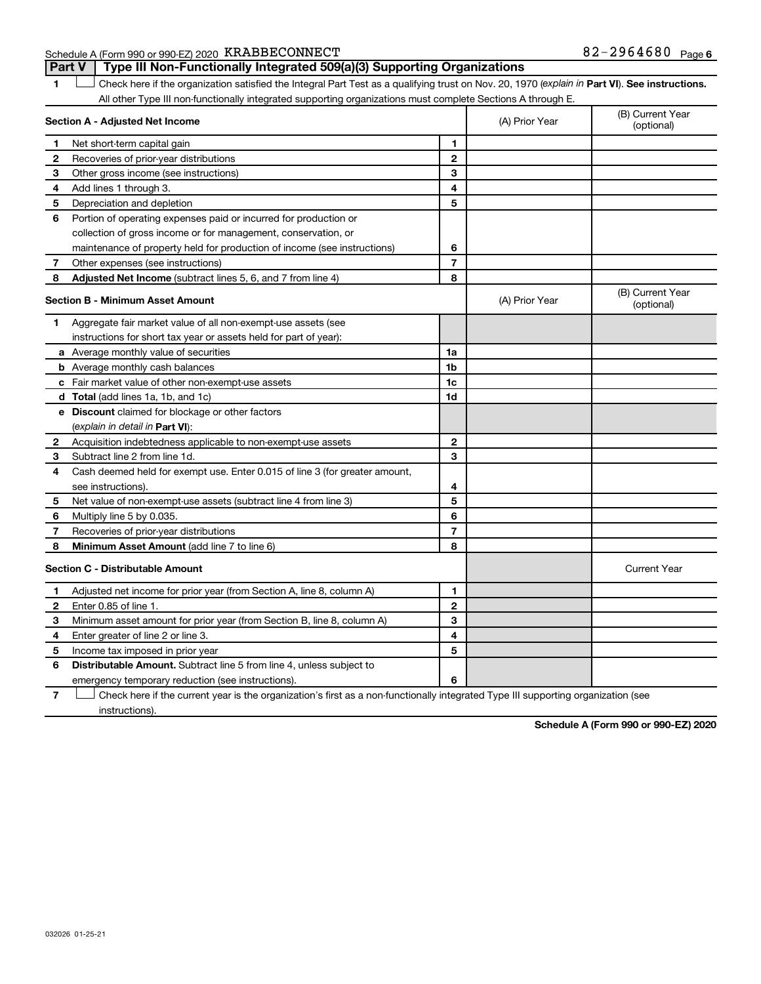Schedule A (Form 990 or 990-EZ) 2020 KRABBECONNECT  $82-2964680$  Page

**Part V Type III Non-Functionally Integrated 509(a)(3) Supporting Organizations** 

1 **Letter See instructions.** Check here if the organization satisfied the Integral Part Test as a qualifying trust on Nov. 20, 1970 (*explain in* Part **VI**). See instructions. All other Type III non-functionally integrated supporting organizations must complete Sections A through E.

| Section A - Adjusted Net Income         |                                                                             | (A) Prior Year | (B) Current Year<br>(optional) |                                |
|-----------------------------------------|-----------------------------------------------------------------------------|----------------|--------------------------------|--------------------------------|
| 1                                       | Net short-term capital gain                                                 | 1              |                                |                                |
| 2                                       | Recoveries of prior-year distributions                                      | $\mathbf{2}$   |                                |                                |
| 3                                       | Other gross income (see instructions)                                       | 3              |                                |                                |
| 4                                       | Add lines 1 through 3.                                                      | 4              |                                |                                |
| 5                                       | Depreciation and depletion                                                  | 5              |                                |                                |
| 6                                       | Portion of operating expenses paid or incurred for production or            |                |                                |                                |
|                                         | collection of gross income or for management, conservation, or              |                |                                |                                |
|                                         | maintenance of property held for production of income (see instructions)    | 6              |                                |                                |
| 7                                       | Other expenses (see instructions)                                           | $\overline{7}$ |                                |                                |
| 8                                       | <b>Adjusted Net Income</b> (subtract lines 5, 6, and 7 from line 4)         | 8              |                                |                                |
| <b>Section B - Minimum Asset Amount</b> |                                                                             |                | (A) Prior Year                 | (B) Current Year<br>(optional) |
| 1.                                      | Aggregate fair market value of all non-exempt-use assets (see               |                |                                |                                |
|                                         | instructions for short tax year or assets held for part of year):           |                |                                |                                |
|                                         | a Average monthly value of securities                                       | 1a             |                                |                                |
|                                         | <b>b</b> Average monthly cash balances                                      | 1 <sub>b</sub> |                                |                                |
|                                         | <b>c</b> Fair market value of other non-exempt-use assets                   | 1c             |                                |                                |
|                                         | d Total (add lines 1a, 1b, and 1c)                                          | 1 <sub>d</sub> |                                |                                |
|                                         | <b>e</b> Discount claimed for blockage or other factors                     |                |                                |                                |
|                                         | (explain in detail in <b>Part VI</b> ):                                     |                |                                |                                |
| $\mathbf{2}$                            | Acquisition indebtedness applicable to non-exempt-use assets                | $\mathbf{2}$   |                                |                                |
| З                                       | Subtract line 2 from line 1d.                                               | 3              |                                |                                |
| 4                                       | Cash deemed held for exempt use. Enter 0.015 of line 3 (for greater amount, |                |                                |                                |
|                                         | see instructions).                                                          | 4              |                                |                                |
| 5                                       | Net value of non-exempt-use assets (subtract line 4 from line 3)            | 5              |                                |                                |
| 6                                       | Multiply line 5 by 0.035.                                                   | 6              |                                |                                |
| 7                                       | Recoveries of prior-year distributions                                      | 7              |                                |                                |
| 8                                       | Minimum Asset Amount (add line 7 to line 6)                                 | 8              |                                |                                |
| <b>Section C - Distributable Amount</b> |                                                                             |                |                                | <b>Current Year</b>            |
| 1                                       | Adjusted net income for prior year (from Section A, line 8, column A)       | 1              |                                |                                |
| $\mathbf{2}$                            | Enter 0.85 of line 1.                                                       | $\mathbf{2}$   |                                |                                |
| 3                                       | Minimum asset amount for prior year (from Section B, line 8, column A)      | 3              |                                |                                |
| 4                                       | Enter greater of line 2 or line 3.                                          | 4              |                                |                                |
| 5                                       | Income tax imposed in prior year                                            | 5              |                                |                                |
| 6                                       | Distributable Amount. Subtract line 5 from line 4, unless subject to        |                |                                |                                |
|                                         | emergency temporary reduction (see instructions).                           | 6              |                                |                                |
|                                         |                                                                             |                |                                |                                |

**7** Check here if the current year is the organization's first as a non-functionally integrated Type III supporting organization (see † instructions).

**Schedule A (Form 990 or 990-EZ) 2020**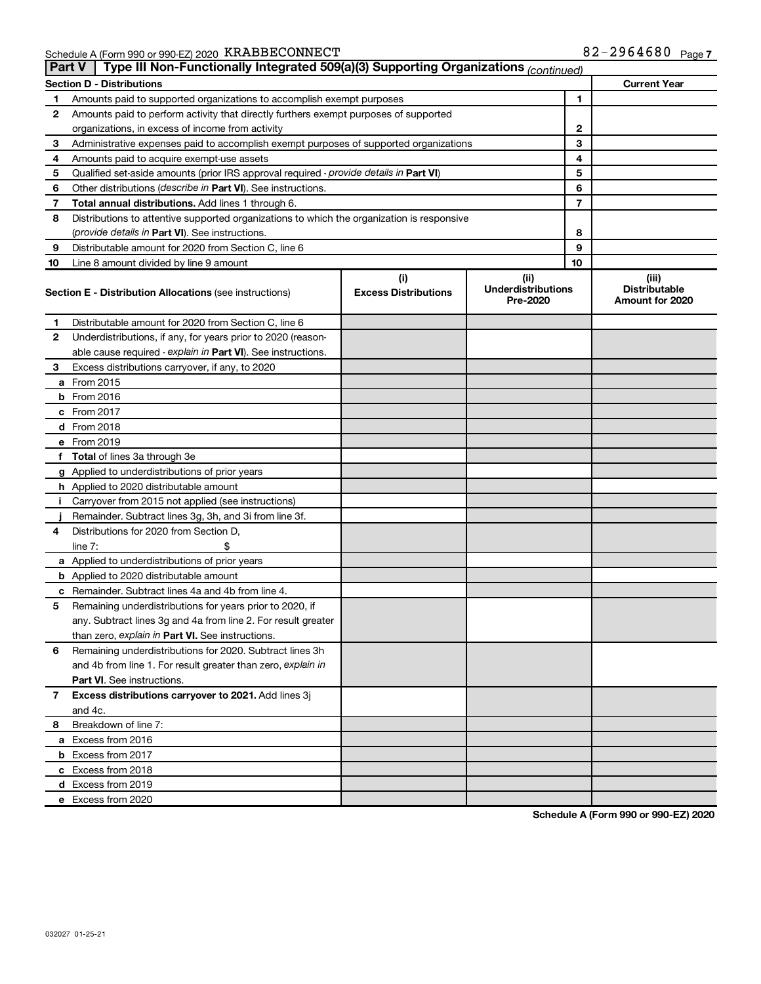|    | Type III Non-Functionally Integrated 509(a)(3) Supporting Organizations (continued)<br>Part V |                                    |                                               |    |                                                  |  |
|----|-----------------------------------------------------------------------------------------------|------------------------------------|-----------------------------------------------|----|--------------------------------------------------|--|
|    | <b>Section D - Distributions</b>                                                              |                                    |                                               |    | <b>Current Year</b>                              |  |
| 1  | Amounts paid to supported organizations to accomplish exempt purposes                         |                                    |                                               | 1  |                                                  |  |
| 2  | Amounts paid to perform activity that directly furthers exempt purposes of supported          |                                    |                                               |    |                                                  |  |
|    | organizations, in excess of income from activity                                              |                                    |                                               | 2  |                                                  |  |
| 3  | Administrative expenses paid to accomplish exempt purposes of supported organizations         |                                    |                                               | 3  |                                                  |  |
| 4  | Amounts paid to acquire exempt-use assets                                                     |                                    |                                               | 4  |                                                  |  |
| 5  | Qualified set-aside amounts (prior IRS approval required - provide details in Part VI)        |                                    |                                               | 5  |                                                  |  |
| 6  | Other distributions (describe in Part VI). See instructions.                                  |                                    |                                               | 6  |                                                  |  |
| 7  | Total annual distributions. Add lines 1 through 6.                                            |                                    |                                               | 7  |                                                  |  |
| 8  | Distributions to attentive supported organizations to which the organization is responsive    |                                    |                                               |    |                                                  |  |
|    | ( <i>provide details in Part VI</i> ). See instructions.                                      |                                    |                                               | 8  |                                                  |  |
| 9  | Distributable amount for 2020 from Section C, line 6                                          |                                    |                                               | 9  |                                                  |  |
| 10 | Line 8 amount divided by line 9 amount                                                        |                                    |                                               | 10 |                                                  |  |
|    | <b>Section E - Distribution Allocations (see instructions)</b>                                | (i)<br><b>Excess Distributions</b> | (ii)<br><b>Underdistributions</b><br>Pre-2020 |    | (iii)<br><b>Distributable</b><br>Amount for 2020 |  |
| 1  | Distributable amount for 2020 from Section C, line 6                                          |                                    |                                               |    |                                                  |  |
| 2  | Underdistributions, if any, for years prior to 2020 (reason-                                  |                                    |                                               |    |                                                  |  |
|    | able cause required - explain in Part VI). See instructions.                                  |                                    |                                               |    |                                                  |  |
| З  | Excess distributions carryover, if any, to 2020                                               |                                    |                                               |    |                                                  |  |
|    | a From 2015                                                                                   |                                    |                                               |    |                                                  |  |
|    | $b$ From 2016                                                                                 |                                    |                                               |    |                                                  |  |
|    | c From 2017                                                                                   |                                    |                                               |    |                                                  |  |
|    | <b>d</b> From 2018                                                                            |                                    |                                               |    |                                                  |  |
|    | e From 2019                                                                                   |                                    |                                               |    |                                                  |  |
|    | f Total of lines 3a through 3e                                                                |                                    |                                               |    |                                                  |  |
|    | g Applied to underdistributions of prior years                                                |                                    |                                               |    |                                                  |  |
|    | <b>h</b> Applied to 2020 distributable amount                                                 |                                    |                                               |    |                                                  |  |
| Ť. | Carryover from 2015 not applied (see instructions)                                            |                                    |                                               |    |                                                  |  |
|    | Remainder. Subtract lines 3g, 3h, and 3i from line 3f.                                        |                                    |                                               |    |                                                  |  |
| 4  | Distributions for 2020 from Section D,                                                        |                                    |                                               |    |                                                  |  |
|    | line $7:$                                                                                     |                                    |                                               |    |                                                  |  |
|    | a Applied to underdistributions of prior years                                                |                                    |                                               |    |                                                  |  |
|    | <b>b</b> Applied to 2020 distributable amount                                                 |                                    |                                               |    |                                                  |  |
|    | c Remainder. Subtract lines 4a and 4b from line 4.                                            |                                    |                                               |    |                                                  |  |
| 5  | Remaining underdistributions for years prior to 2020, if                                      |                                    |                                               |    |                                                  |  |
|    | any. Subtract lines 3g and 4a from line 2. For result greater                                 |                                    |                                               |    |                                                  |  |
|    | than zero, explain in Part VI. See instructions.                                              |                                    |                                               |    |                                                  |  |
| 6  | Remaining underdistributions for 2020. Subtract lines 3h                                      |                                    |                                               |    |                                                  |  |
|    | and 4b from line 1. For result greater than zero, explain in                                  |                                    |                                               |    |                                                  |  |
|    | <b>Part VI.</b> See instructions.                                                             |                                    |                                               |    |                                                  |  |
| 7  | Excess distributions carryover to 2021. Add lines 3j                                          |                                    |                                               |    |                                                  |  |
|    | and 4c.                                                                                       |                                    |                                               |    |                                                  |  |
| 8  | Breakdown of line 7:                                                                          |                                    |                                               |    |                                                  |  |
|    | a Excess from 2016                                                                            |                                    |                                               |    |                                                  |  |
|    | <b>b</b> Excess from 2017                                                                     |                                    |                                               |    |                                                  |  |
|    | c Excess from 2018                                                                            |                                    |                                               |    |                                                  |  |
|    | d Excess from 2019                                                                            |                                    |                                               |    |                                                  |  |
|    | e Excess from 2020                                                                            |                                    |                                               |    |                                                  |  |

**Schedule A (Form 990 or 990-EZ) 2020**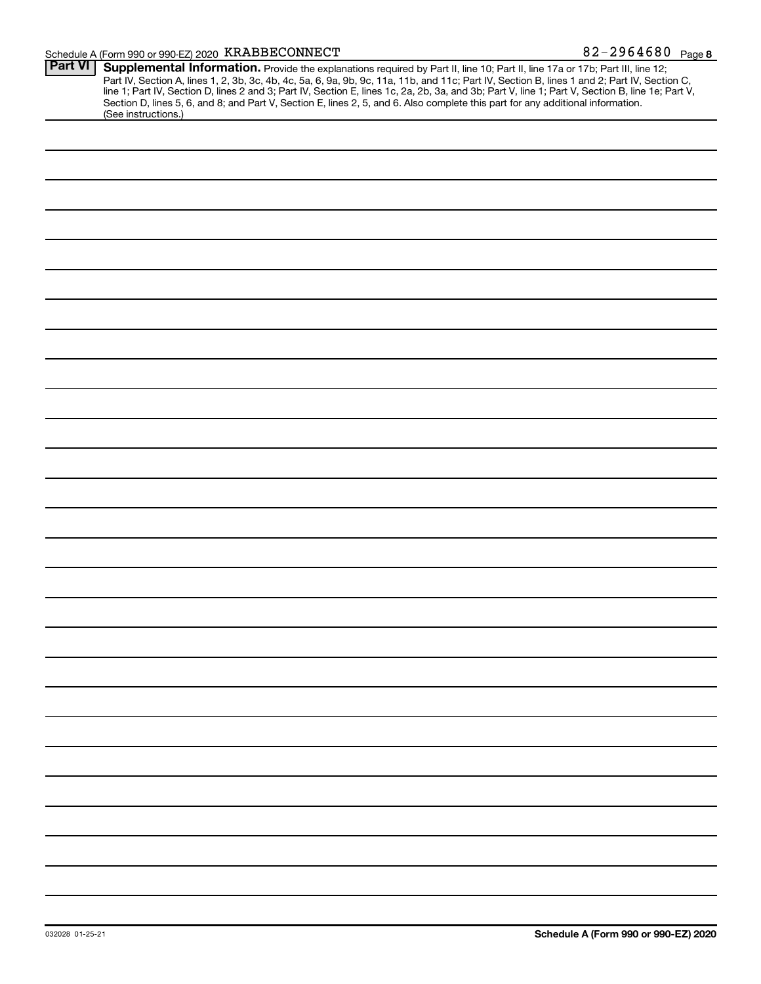### Schedule A (Form 990 or 990-EZ) 2020 KRABBECONNECT  $82-2964680$  Page

|                | . ugo <b>o</b>                                                                                                                                                                                                                                                                                                                                                                                                                    |
|----------------|-----------------------------------------------------------------------------------------------------------------------------------------------------------------------------------------------------------------------------------------------------------------------------------------------------------------------------------------------------------------------------------------------------------------------------------|
| <b>Part VI</b> | Supplemental Information. Provide the explanations required by Part II, line 10; Part II, line 17a or 17b; Part III, line 12;<br>Part IV, Section A, lines 1, 2, 3b, 3c, 4b, 4c, 5a, 6, 9a, 9b, 9c, 11a, 11b, and 11c; Part IV, Section B, lines 1 and 2; Part IV, Section C,<br>line 1; Part IV, Section D, lines 2 and 3; Part IV, Section E, lines 1c, 2a, 2b, 3a, and 3b; Part V, line 1; Part V, Section B, line 1e; Part V, |
|                | Section D, lines 5, 6, and 8; and Part V, Section E, lines 2, 5, and 6. Also complete this part for any additional information.<br>(See instructions.)                                                                                                                                                                                                                                                                            |
|                |                                                                                                                                                                                                                                                                                                                                                                                                                                   |
|                |                                                                                                                                                                                                                                                                                                                                                                                                                                   |
|                |                                                                                                                                                                                                                                                                                                                                                                                                                                   |
|                |                                                                                                                                                                                                                                                                                                                                                                                                                                   |
|                |                                                                                                                                                                                                                                                                                                                                                                                                                                   |
|                |                                                                                                                                                                                                                                                                                                                                                                                                                                   |
|                |                                                                                                                                                                                                                                                                                                                                                                                                                                   |
|                |                                                                                                                                                                                                                                                                                                                                                                                                                                   |
|                |                                                                                                                                                                                                                                                                                                                                                                                                                                   |
|                |                                                                                                                                                                                                                                                                                                                                                                                                                                   |
|                |                                                                                                                                                                                                                                                                                                                                                                                                                                   |
|                |                                                                                                                                                                                                                                                                                                                                                                                                                                   |
|                |                                                                                                                                                                                                                                                                                                                                                                                                                                   |
|                |                                                                                                                                                                                                                                                                                                                                                                                                                                   |
|                |                                                                                                                                                                                                                                                                                                                                                                                                                                   |
|                |                                                                                                                                                                                                                                                                                                                                                                                                                                   |
|                |                                                                                                                                                                                                                                                                                                                                                                                                                                   |
|                |                                                                                                                                                                                                                                                                                                                                                                                                                                   |
|                |                                                                                                                                                                                                                                                                                                                                                                                                                                   |
|                |                                                                                                                                                                                                                                                                                                                                                                                                                                   |
|                |                                                                                                                                                                                                                                                                                                                                                                                                                                   |
|                |                                                                                                                                                                                                                                                                                                                                                                                                                                   |
|                |                                                                                                                                                                                                                                                                                                                                                                                                                                   |
|                |                                                                                                                                                                                                                                                                                                                                                                                                                                   |
|                |                                                                                                                                                                                                                                                                                                                                                                                                                                   |
|                |                                                                                                                                                                                                                                                                                                                                                                                                                                   |
|                |                                                                                                                                                                                                                                                                                                                                                                                                                                   |
|                |                                                                                                                                                                                                                                                                                                                                                                                                                                   |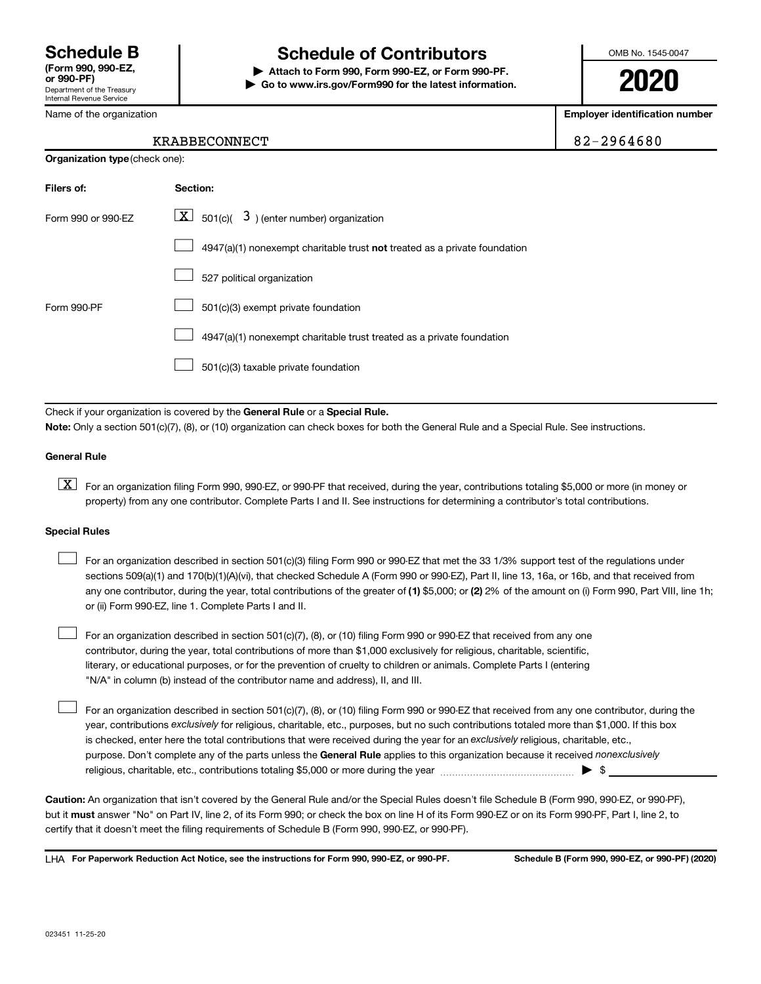Department of the Treasury Internal Revenue Service

# **Schedule B Schedule of Contributors**

**or 990-PF) | Attach to Form 990, Form 990-EZ, or Form 990-PF. | Go to www.irs.gov/Form990 for the latest information.** OMB No. 1545-0047

**2020**

**Employer identification number**

| Name of the organization |
|--------------------------|
|--------------------------|

**Organization type** (check one):

### KRABBECONNECT 82-2964680

| Filers of:         | Section:                                                                  |
|--------------------|---------------------------------------------------------------------------|
| Form 990 or 990-FZ | $\boxed{\textbf{X}}$ 501(c)( 3) (enter number) organization               |
|                    | 4947(a)(1) nonexempt charitable trust not treated as a private foundation |
|                    | 527 political organization                                                |
| Form 990-PF        | 501(c)(3) exempt private foundation                                       |
|                    | 4947(a)(1) nonexempt charitable trust treated as a private foundation     |
|                    | 501(c)(3) taxable private foundation                                      |

Check if your organization is covered by the General Rule or a Special Rule.

**Note:**  Only a section 501(c)(7), (8), or (10) organization can check boxes for both the General Rule and a Special Rule. See instructions.

#### **General Rule**

**K** For an organization filing Form 990, 990-EZ, or 990-PF that received, during the year, contributions totaling \$5,000 or more (in money or property) from any one contributor. Complete Parts I and II. See instructions for determining a contributor's total contributions.

#### **Special Rules**

 $\Box$ 

any one contributor, during the year, total contributions of the greater of (1) \$5,000; or (2) 2% of the amount on (i) Form 990, Part VIII, line 1h; For an organization described in section 501(c)(3) filing Form 990 or 990-EZ that met the 33 1/3% support test of the regulations under sections 509(a)(1) and 170(b)(1)(A)(vi), that checked Schedule A (Form 990 or 990-EZ), Part II, line 13, 16a, or 16b, and that received from or (ii) Form 990-EZ, line 1. Complete Parts I and II.  $\Box$ 

For an organization described in section 501(c)(7), (8), or (10) filing Form 990 or 990-EZ that received from any one contributor, during the year, total contributions of more than \$1,000 exclusively for religious, charitable, scientific, literary, or educational purposes, or for the prevention of cruelty to children or animals. Complete Parts I (entering "N/A" in column (b) instead of the contributor name and address), II, and III.  $\Box$ 

purpose. Don't complete any of the parts unless the General Rule applies to this organization because it received nonexclusively year, contributions exclusively for religious, charitable, etc., purposes, but no such contributions totaled more than \$1,000. If this box is checked, enter here the total contributions that were received during the year for an exclusively religious, charitable, etc., For an organization described in section 501(c)(7), (8), or (10) filing Form 990 or 990-EZ that received from any one contributor, during the religious, charitable, etc., contributions totaling \$5,000 or more during the year  $~\ldots\ldots\ldots\ldots\ldots\ldots\ldots\ldots\blacktriangleright~$ \$

**Caution:**  An organization that isn't covered by the General Rule and/or the Special Rules doesn't file Schedule B (Form 990, 990-EZ, or 990-PF),  **must** but it answer "No" on Part IV, line 2, of its Form 990; or check the box on line H of its Form 990-EZ or on its Form 990-PF, Part I, line 2, to certify that it doesn't meet the filing requirements of Schedule B (Form 990, 990-EZ, or 990-PF).

**For Paperwork Reduction Act Notice, see the instructions for Form 990, 990-EZ, or 990-PF. Schedule B (Form 990, 990-EZ, or 990-PF) (2020)** LHA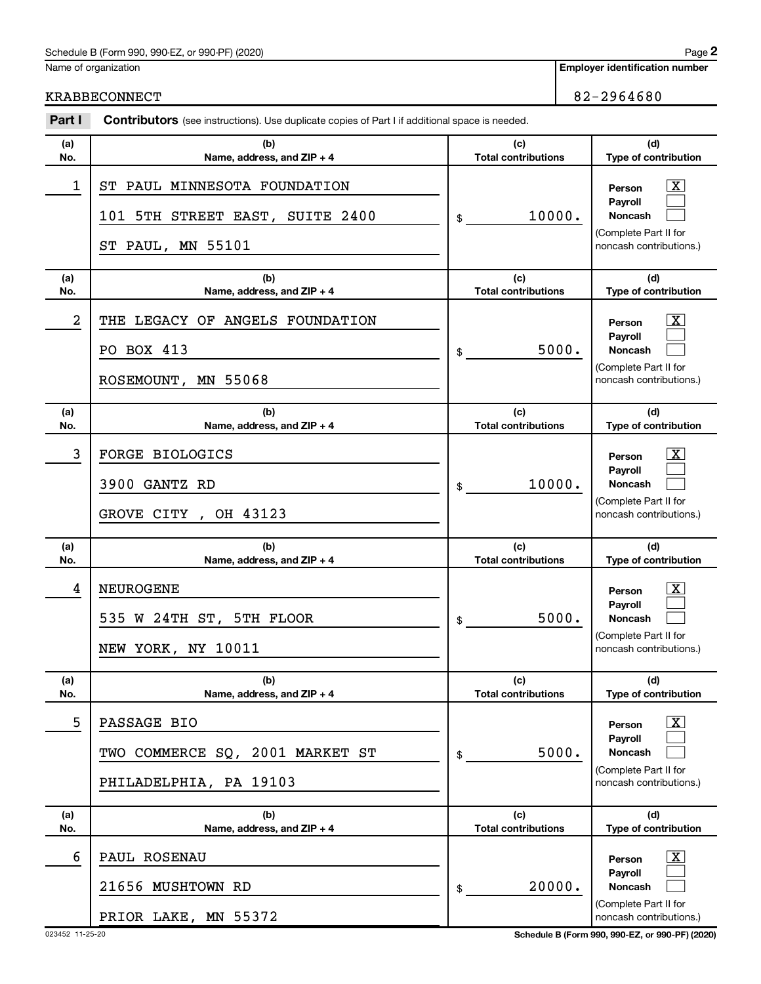### Schedule B (Form 990, 990-EZ, or 990-PF) (2020)

Name of organization

**Employer identification number**

KRABBECONNECT 82-2964680

| Part I     | <b>Contributors</b> (see instructions). Use duplicate copies of Part I if additional space is needed. |                                   |                                                                                                                    |  |  |
|------------|-------------------------------------------------------------------------------------------------------|-----------------------------------|--------------------------------------------------------------------------------------------------------------------|--|--|
| (a)<br>No. | (b)<br>Name, address, and ZIP + 4                                                                     | (c)<br><b>Total contributions</b> | (d)<br>Type of contribution                                                                                        |  |  |
| 1          | ST PAUL MINNESOTA FOUNDATION<br>101 5TH STREET EAST, SUITE 2400<br>ST PAUL, MN 55101                  | 10000.<br>\$                      | $\mathbf{X}$<br>Person<br>Payroll<br><b>Noncash</b><br>(Complete Part II for<br>noncash contributions.)            |  |  |
| (a)<br>No. | (b)<br>Name, address, and ZIP + 4                                                                     | (c)<br><b>Total contributions</b> | (d)<br>Type of contribution                                                                                        |  |  |
| 2          | THE LEGACY OF ANGELS FOUNDATION<br>PO BOX 413<br>ROSEMOUNT, MN 55068                                  | 5000.<br>\$                       | $\mathbf{X}$<br>Person<br>Payroll<br>Noncash<br>(Complete Part II for<br>noncash contributions.)                   |  |  |
| (a)<br>No. | (b)<br>Name, address, and ZIP + 4                                                                     | (c)<br><b>Total contributions</b> | (d)<br>Type of contribution                                                                                        |  |  |
| 3          | FORGE BIOLOGICS<br>3900 GANTZ RD<br>GROVE CITY, OH 43123                                              | 10000.<br>\$                      | $\mathbf{X}$<br>Person<br>Payroll<br><b>Noncash</b><br>(Complete Part II for<br>noncash contributions.)            |  |  |
| (a)<br>No. | (b)<br>Name, address, and ZIP + 4                                                                     | (c)<br><b>Total contributions</b> | (d)<br>Type of contribution                                                                                        |  |  |
| 4          | <b>NEUROGENE</b><br>535 W 24TH ST, 5TH FLOOR<br>NEW YORK, NY 10011                                    | 5000.<br>\$                       | $\mathbf{X}$<br>Person<br>Payroll<br><b>Noncash</b><br>(Complete Part II for<br>noncash contributions.)            |  |  |
| (a)<br>No. | (b)<br>Name, address, and ZIP + 4                                                                     | (c)<br><b>Total contributions</b> | (d)<br>Type of contribution                                                                                        |  |  |
| 5          | PASSAGE BIO<br>2001 MARKET ST<br>TWO COMMERCE SQ,<br>PHILADELPHIA, PA 19103                           | 5000.<br>\$                       | $\mathbf{X}$<br>Person<br>Payroll<br><b>Noncash</b><br>(Complete Part II for<br>noncash contributions.)            |  |  |
| (a)<br>No. | (b)<br>Name, address, and ZIP + 4                                                                     | (c)<br><b>Total contributions</b> | (d)<br>Type of contribution                                                                                        |  |  |
| 6          | PAUL ROSENAU<br>21656 MUSHTOWN RD<br>PRIOR LAKE, MN 55372                                             | 20000.<br>\$                      | $\overline{\mathbf{X}}$<br>Person<br>Payroll<br><b>Noncash</b><br>(Complete Part II for<br>noncash contributions.) |  |  |

023452 11-25-20 **Schedule B (Form 990, 990-EZ, or 990-PF) (2020)**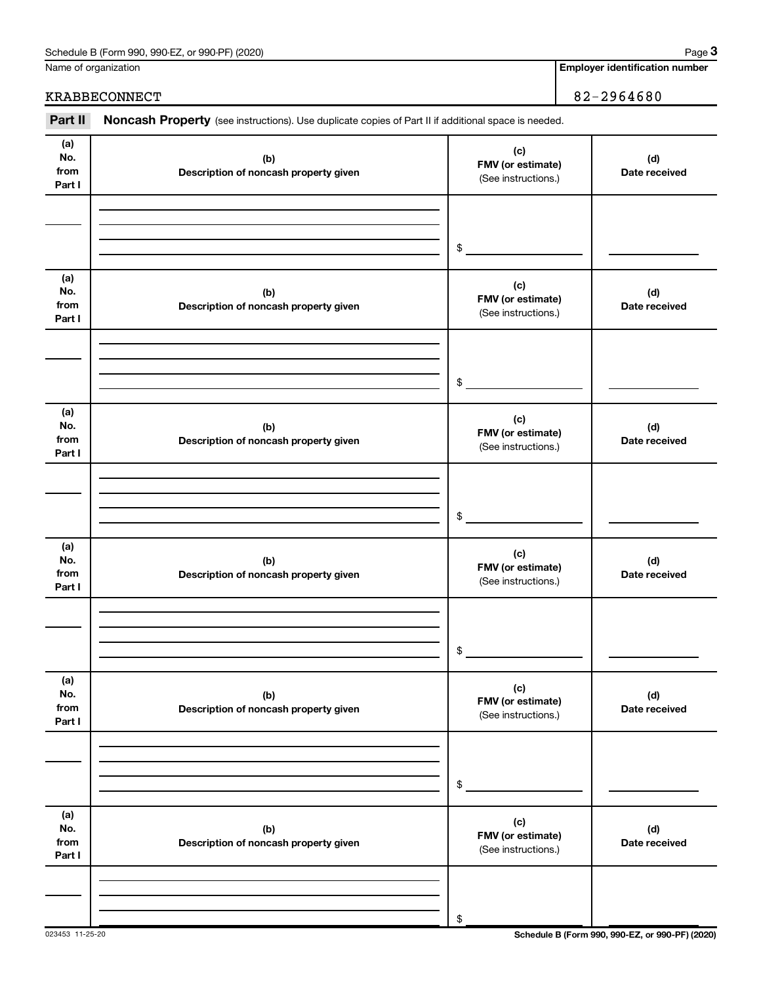| Schedule B (Form 990,<br>or 990-PF) (2020)<br>990-EZ<br>Paɑe |  |
|--------------------------------------------------------------|--|
|--------------------------------------------------------------|--|

Name of organization

**Employer identification number**

## KRABBECONNECT 82-2964680

Part II Noncash Property (see instructions). Use duplicate copies of Part II if additional space is needed.

| (a)<br>No.<br>from<br>Part I | (b)<br>Description of noncash property given | (c)<br>FMV (or estimate)<br>(See instructions.) | (d)<br>Date received |
|------------------------------|----------------------------------------------|-------------------------------------------------|----------------------|
|                              |                                              |                                                 |                      |
|                              |                                              | $\frac{1}{2}$                                   |                      |
|                              |                                              |                                                 |                      |
| (a)<br>No.<br>from<br>Part I | (b)<br>Description of noncash property given | (c)<br>FMV (or estimate)<br>(See instructions.) | (d)<br>Date received |
|                              |                                              |                                                 |                      |
|                              |                                              |                                                 |                      |
|                              |                                              | $\frac{1}{2}$                                   |                      |
| (a)<br>No.<br>from<br>Part I | (b)<br>Description of noncash property given | (c)<br>FMV (or estimate)<br>(See instructions.) | (d)<br>Date received |
|                              |                                              |                                                 |                      |
|                              |                                              |                                                 |                      |
|                              |                                              | $\frac{1}{2}$                                   |                      |
| (a)<br>No.<br>from<br>Part I | (b)<br>Description of noncash property given | (c)<br>FMV (or estimate)<br>(See instructions.) | (d)<br>Date received |
|                              |                                              |                                                 |                      |
|                              |                                              |                                                 |                      |
|                              |                                              | $\$$                                            |                      |
| (a)<br>No.<br>from<br>Part I | (b)<br>Description of noncash property given | (c)<br>FMV (or estimate)<br>(See instructions.) | (d)<br>Date received |
|                              |                                              |                                                 |                      |
|                              |                                              |                                                 |                      |
|                              |                                              | $\$$                                            |                      |
| (a)<br>No.<br>from<br>Part I | (b)<br>Description of noncash property given | (c)<br>FMV (or estimate)<br>(See instructions.) | (d)<br>Date received |
|                              |                                              |                                                 |                      |
|                              |                                              |                                                 |                      |
|                              |                                              | \$                                              |                      |

023453 11-25-20 **Schedule B (Form 990, 990-EZ, or 990-PF) (2020)**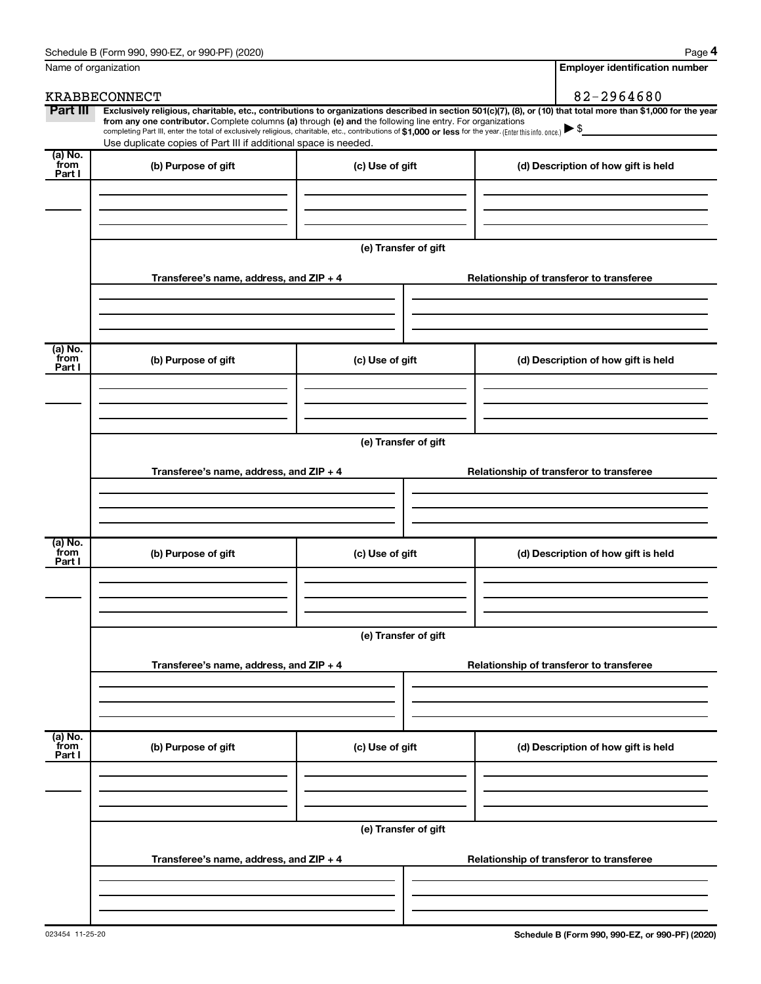| Name of organization      |                                                                                                                                                                                                                                                                                                                                                                    |                      | <b>Employer identification number</b>                                                                                                                          |
|---------------------------|--------------------------------------------------------------------------------------------------------------------------------------------------------------------------------------------------------------------------------------------------------------------------------------------------------------------------------------------------------------------|----------------------|----------------------------------------------------------------------------------------------------------------------------------------------------------------|
|                           | <b>KRABBECONNECT</b>                                                                                                                                                                                                                                                                                                                                               |                      | 82-2964680                                                                                                                                                     |
| Part III                  | from any one contributor. Complete columns (a) through (e) and the following line entry. For organizations<br>completing Part III, enter the total of exclusively religious, charitable, etc., contributions of \$1,000 or less for the year. (Enter this info. once.) $\blacktriangleright$ \$<br>Use duplicate copies of Part III if additional space is needed. |                      | Exclusively religious, charitable, etc., contributions to organizations described in section 501(c)(7), (8), or (10) that total more than \$1,000 for the year |
| (a) No.<br>from           | (b) Purpose of gift                                                                                                                                                                                                                                                                                                                                                | (c) Use of gift      | (d) Description of how gift is held                                                                                                                            |
| Part I                    |                                                                                                                                                                                                                                                                                                                                                                    |                      |                                                                                                                                                                |
|                           |                                                                                                                                                                                                                                                                                                                                                                    | (e) Transfer of gift |                                                                                                                                                                |
|                           | Transferee's name, address, and $ZIP + 4$                                                                                                                                                                                                                                                                                                                          |                      | Relationship of transferor to transferee                                                                                                                       |
| (a) No.<br>from<br>Part I | (b) Purpose of gift                                                                                                                                                                                                                                                                                                                                                | (c) Use of gift      | (d) Description of how gift is held                                                                                                                            |
|                           | Transferee's name, address, and $ZIP + 4$                                                                                                                                                                                                                                                                                                                          | (e) Transfer of gift | Relationship of transferor to transferee                                                                                                                       |
| (a) No.<br>from           |                                                                                                                                                                                                                                                                                                                                                                    |                      |                                                                                                                                                                |
| Part I                    | (b) Purpose of gift                                                                                                                                                                                                                                                                                                                                                | (c) Use of gift      | (d) Description of how gift is held                                                                                                                            |
|                           |                                                                                                                                                                                                                                                                                                                                                                    | (e) Transfer of gift |                                                                                                                                                                |
|                           | Transferee's name, address, and ZIP + 4                                                                                                                                                                                                                                                                                                                            |                      | Relationship of transferor to transferee                                                                                                                       |
| (a) No.<br>from<br>Part I | (b) Purpose of gift                                                                                                                                                                                                                                                                                                                                                | (c) Use of gift      | (d) Description of how gift is held                                                                                                                            |
|                           |                                                                                                                                                                                                                                                                                                                                                                    |                      |                                                                                                                                                                |
|                           | Transferee's name, address, and $ZIP + 4$                                                                                                                                                                                                                                                                                                                          | (e) Transfer of gift | Relationship of transferor to transferee                                                                                                                       |
|                           |                                                                                                                                                                                                                                                                                                                                                                    |                      |                                                                                                                                                                |
|                           |                                                                                                                                                                                                                                                                                                                                                                    |                      |                                                                                                                                                                |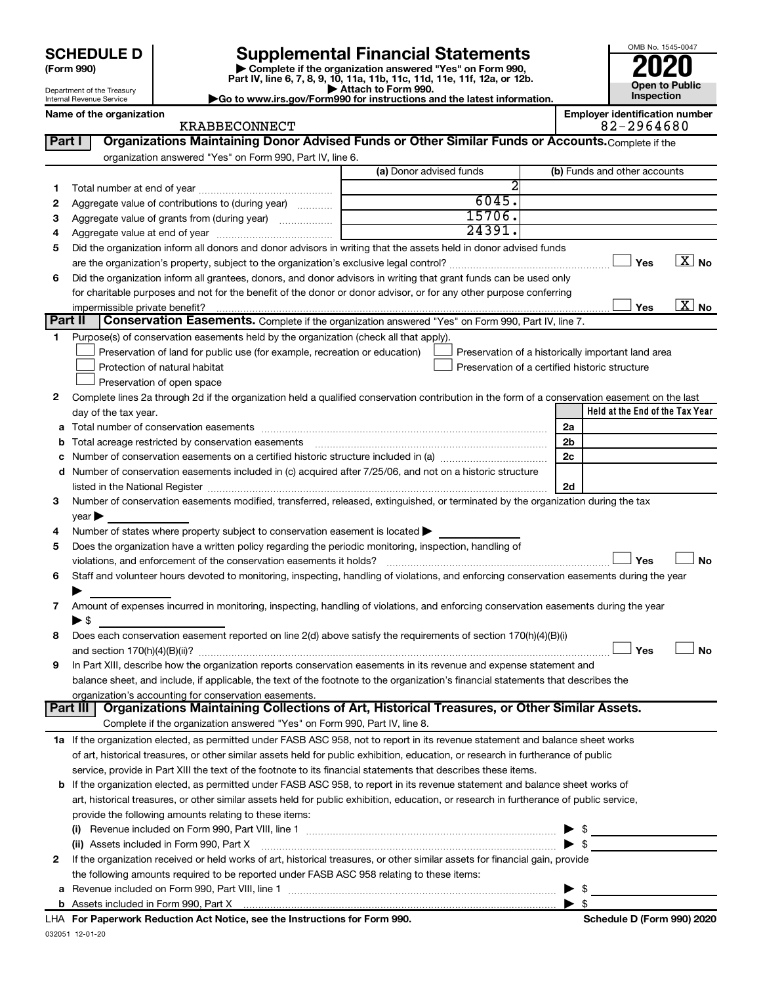| (Form 990) |  |
|------------|--|
|------------|--|

# **SCHEDULE D Supplemental Financial Statements**<br> **Form 990 2020**<br> **Part IV** line 6.7.8.9.10, 11a, 11b, 11d, 11d, 11d, 11d, 11d, 12a, 0r, 12b

**(Form 990) | Complete if the organization answered "Yes" on Form 990, Part IV, line 6, 7, 8, 9, 10, 11a, 11b, 11c, 11d, 11e, 11f, 12a, or 12b.**

**| Attach to Form 990. |Go to www.irs.gov/Form990 for instructions and the latest information.**



Department of the Treasury Internal Revenue Service

# KRABBECONNECT 82-2964680

Name of the organization<br>**KRABBECONNECT** Employer identification number<br> $82-2964680$ 

| Part I  | Organizations Maintaining Donor Advised Funds or Other Similar Funds or Accounts. Complete if the                                                                                                                              |                         |                                                    |  |  |  |
|---------|--------------------------------------------------------------------------------------------------------------------------------------------------------------------------------------------------------------------------------|-------------------------|----------------------------------------------------|--|--|--|
|         | organization answered "Yes" on Form 990, Part IV, line 6.                                                                                                                                                                      |                         |                                                    |  |  |  |
|         |                                                                                                                                                                                                                                | (a) Donor advised funds | (b) Funds and other accounts                       |  |  |  |
| 1.      |                                                                                                                                                                                                                                |                         |                                                    |  |  |  |
| 2       | Aggregate value of contributions to (during year)                                                                                                                                                                              | 6045.                   |                                                    |  |  |  |
| з       | Aggregate value of grants from (during year)                                                                                                                                                                                   | 15706.                  |                                                    |  |  |  |
| 4       |                                                                                                                                                                                                                                | 24391.                  |                                                    |  |  |  |
| 5       | Did the organization inform all donors and donor advisors in writing that the assets held in donor advised funds                                                                                                               |                         |                                                    |  |  |  |
|         |                                                                                                                                                                                                                                |                         | $\overline{X}$ No<br>Yes                           |  |  |  |
| 6       | Did the organization inform all grantees, donors, and donor advisors in writing that grant funds can be used only                                                                                                              |                         |                                                    |  |  |  |
|         | for charitable purposes and not for the benefit of the donor or donor advisor, or for any other purpose conferring                                                                                                             |                         |                                                    |  |  |  |
|         | impermissible private benefit?                                                                                                                                                                                                 |                         | $\overline{\text{X}}$ No<br>Yes                    |  |  |  |
| Part II | Conservation Easements. Complete if the organization answered "Yes" on Form 990, Part IV, line 7.                                                                                                                              |                         |                                                    |  |  |  |
| 1.      | Purpose(s) of conservation easements held by the organization (check all that apply).                                                                                                                                          |                         |                                                    |  |  |  |
|         | Preservation of land for public use (for example, recreation or education)                                                                                                                                                     |                         | Preservation of a historically important land area |  |  |  |
|         | Protection of natural habitat                                                                                                                                                                                                  |                         | Preservation of a certified historic structure     |  |  |  |
|         | Preservation of open space                                                                                                                                                                                                     |                         |                                                    |  |  |  |
| 2       | Complete lines 2a through 2d if the organization held a qualified conservation contribution in the form of a conservation easement on the last                                                                                 |                         |                                                    |  |  |  |
|         | day of the tax year.                                                                                                                                                                                                           |                         | Held at the End of the Tax Year                    |  |  |  |
| a       |                                                                                                                                                                                                                                |                         | 2a                                                 |  |  |  |
| b       | Total acreage restricted by conservation easements                                                                                                                                                                             |                         | 2b                                                 |  |  |  |
| с       |                                                                                                                                                                                                                                |                         | 2c                                                 |  |  |  |
| d       | Number of conservation easements included in (c) acquired after 7/25/06, and not on a historic structure                                                                                                                       |                         |                                                    |  |  |  |
|         |                                                                                                                                                                                                                                |                         | 2d                                                 |  |  |  |
| З.      | Number of conservation easements modified, transferred, released, extinguished, or terminated by the organization during the tax                                                                                               |                         |                                                    |  |  |  |
|         | year                                                                                                                                                                                                                           |                         |                                                    |  |  |  |
| 4       | Number of states where property subject to conservation easement is located >                                                                                                                                                  |                         |                                                    |  |  |  |
| 5       | Does the organization have a written policy regarding the periodic monitoring, inspection, handling of                                                                                                                         |                         |                                                    |  |  |  |
|         | Yes<br>No<br>violations, and enforcement of the conservation easements it holds?                                                                                                                                               |                         |                                                    |  |  |  |
| 6       | Staff and volunteer hours devoted to monitoring, inspecting, handling of violations, and enforcing conservation easements during the year                                                                                      |                         |                                                    |  |  |  |
|         |                                                                                                                                                                                                                                |                         |                                                    |  |  |  |
| 7       | Amount of expenses incurred in monitoring, inspecting, handling of violations, and enforcing conservation easements during the year                                                                                            |                         |                                                    |  |  |  |
|         | $\blacktriangleright$ \$                                                                                                                                                                                                       |                         |                                                    |  |  |  |
| 8       | Does each conservation easement reported on line 2(d) above satisfy the requirements of section 170(h)(4)(B)(i)                                                                                                                |                         |                                                    |  |  |  |
|         |                                                                                                                                                                                                                                |                         | Yes<br><b>No</b>                                   |  |  |  |
| 9       | In Part XIII, describe how the organization reports conservation easements in its revenue and expense statement and                                                                                                            |                         |                                                    |  |  |  |
|         | balance sheet, and include, if applicable, the text of the footnote to the organization's financial statements that describes the                                                                                              |                         |                                                    |  |  |  |
|         | organization's accounting for conservation easements.<br>Organizations Maintaining Collections of Art, Historical Treasures, or Other Similar Assets.                                                                          |                         |                                                    |  |  |  |
|         | <b>Part III</b>                                                                                                                                                                                                                |                         |                                                    |  |  |  |
|         | Complete if the organization answered "Yes" on Form 990, Part IV, line 8.                                                                                                                                                      |                         |                                                    |  |  |  |
|         | 1a If the organization elected, as permitted under FASB ASC 958, not to report in its revenue statement and balance sheet works                                                                                                |                         |                                                    |  |  |  |
|         | of art, historical treasures, or other similar assets held for public exhibition, education, or research in furtherance of public                                                                                              |                         |                                                    |  |  |  |
|         | service, provide in Part XIII the text of the footnote to its financial statements that describes these items.                                                                                                                 |                         |                                                    |  |  |  |
| b       | If the organization elected, as permitted under FASB ASC 958, to report in its revenue statement and balance sheet works of                                                                                                    |                         |                                                    |  |  |  |
|         | art, historical treasures, or other similar assets held for public exhibition, education, or research in furtherance of public service,                                                                                        |                         |                                                    |  |  |  |
|         | provide the following amounts relating to these items:                                                                                                                                                                         |                         |                                                    |  |  |  |
|         | (i)                                                                                                                                                                                                                            |                         | $\frac{1}{2}$                                      |  |  |  |
|         | (ii) Assets included in Form 990, Part X [11] [2000] [2010] Assets included in Form 990, Part X [11] [2000] [2010] [2010] [2010] [2010] [2010] [2010] [2010] [2010] [2010] [2010] [2010] [2010] [2010] [2010] [2010] [2010] [2 |                         | $\blacktriangleright$ \$                           |  |  |  |
| 2       | If the organization received or held works of art, historical treasures, or other similar assets for financial gain, provide                                                                                                   |                         |                                                    |  |  |  |
|         | the following amounts required to be reported under FASB ASC 958 relating to these items:                                                                                                                                      |                         |                                                    |  |  |  |
| а       |                                                                                                                                                                                                                                |                         | $\blacktriangleright$ \$                           |  |  |  |
|         |                                                                                                                                                                                                                                |                         | $\blacktriangleright$ s                            |  |  |  |

032051 12-01-20 **For Paperwork Reduction Act Notice, see the Instructions for Form 990. Schedule D (Form 990) 2020** LHA

| Schedule D (Form 990) 2020 |  |  |
|----------------------------|--|--|
|                            |  |  |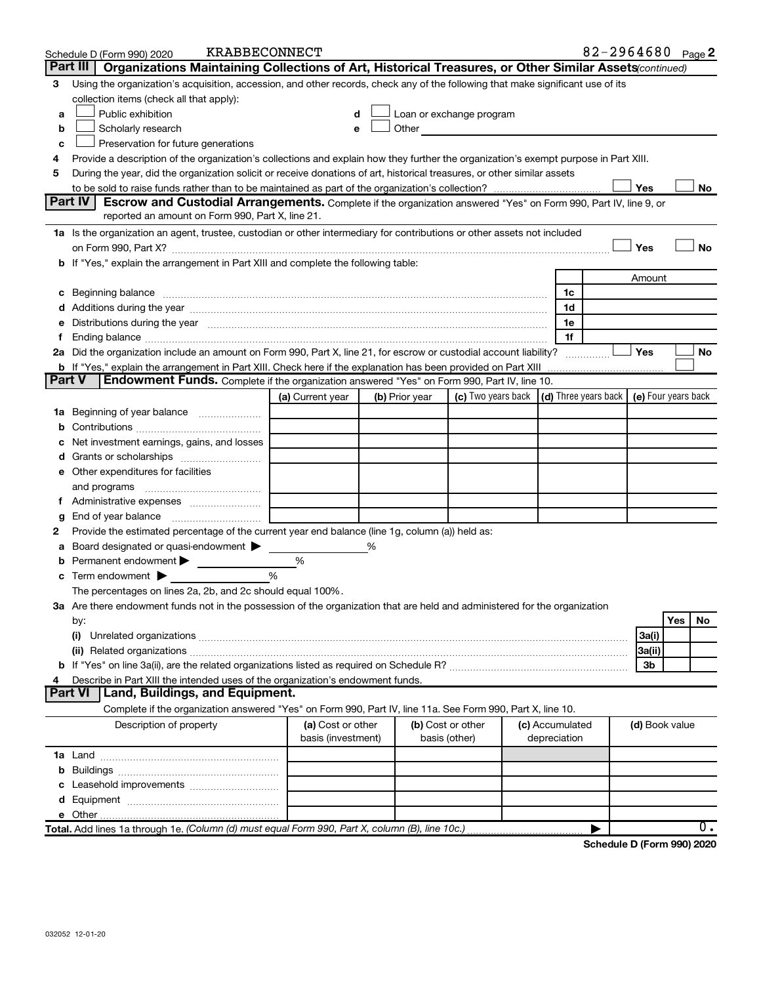|        | <b>KRABBECONNECT</b><br>Schedule D (Form 990) 2020                                                                                                                                                                             |                                         |                |                                                                                                                                                                                                                                      |                                                   |   |                | 82-2964680 Page 2          |
|--------|--------------------------------------------------------------------------------------------------------------------------------------------------------------------------------------------------------------------------------|-----------------------------------------|----------------|--------------------------------------------------------------------------------------------------------------------------------------------------------------------------------------------------------------------------------------|---------------------------------------------------|---|----------------|----------------------------|
|        | Part III<br>Organizations Maintaining Collections of Art, Historical Treasures, or Other Similar Assets (continued)                                                                                                            |                                         |                |                                                                                                                                                                                                                                      |                                                   |   |                |                            |
| 3      | Using the organization's acquisition, accession, and other records, check any of the following that make significant use of its                                                                                                |                                         |                |                                                                                                                                                                                                                                      |                                                   |   |                |                            |
|        | collection items (check all that apply):                                                                                                                                                                                       |                                         |                |                                                                                                                                                                                                                                      |                                                   |   |                |                            |
| a      | Public exhibition                                                                                                                                                                                                              | d                                       |                | Loan or exchange program                                                                                                                                                                                                             |                                                   |   |                |                            |
| b      | Scholarly research                                                                                                                                                                                                             | е                                       |                | Other <u>the contract of the contract of the contract of the contract of the contract of the contract of the contract of the contract of the contract of the contract of the contract of the contract of the contract of the con</u> |                                                   |   |                |                            |
| с      | Preservation for future generations                                                                                                                                                                                            |                                         |                |                                                                                                                                                                                                                                      |                                                   |   |                |                            |
| 4      | Provide a description of the organization's collections and explain how they further the organization's exempt purpose in Part XIII.                                                                                           |                                         |                |                                                                                                                                                                                                                                      |                                                   |   |                |                            |
| 5      | During the year, did the organization solicit or receive donations of art, historical treasures, or other similar assets                                                                                                       |                                         |                |                                                                                                                                                                                                                                      |                                                   |   |                |                            |
|        |                                                                                                                                                                                                                                |                                         |                |                                                                                                                                                                                                                                      |                                                   |   | Yes            | No                         |
|        | <b>Part IV</b><br><b>Escrow and Custodial Arrangements.</b> Complete if the organization answered "Yes" on Form 990, Part IV, line 9, or                                                                                       |                                         |                |                                                                                                                                                                                                                                      |                                                   |   |                |                            |
|        | reported an amount on Form 990, Part X, line 21.                                                                                                                                                                               |                                         |                |                                                                                                                                                                                                                                      |                                                   |   |                |                            |
|        | 1a Is the organization an agent, trustee, custodian or other intermediary for contributions or other assets not included                                                                                                       |                                         |                |                                                                                                                                                                                                                                      |                                                   |   |                |                            |
|        |                                                                                                                                                                                                                                |                                         |                |                                                                                                                                                                                                                                      |                                                   |   | Yes            | No                         |
|        | b If "Yes," explain the arrangement in Part XIII and complete the following table:                                                                                                                                             |                                         |                |                                                                                                                                                                                                                                      |                                                   |   |                |                            |
|        |                                                                                                                                                                                                                                |                                         |                |                                                                                                                                                                                                                                      |                                                   |   | Amount         |                            |
|        |                                                                                                                                                                                                                                |                                         |                |                                                                                                                                                                                                                                      | 1c                                                |   |                |                            |
|        |                                                                                                                                                                                                                                |                                         |                |                                                                                                                                                                                                                                      | 1d                                                |   |                |                            |
|        | Distributions during the year manufactured and an account of the state of the state of the state of the state of the state of the state of the state of the state of the state of the state of the state of the state of the s |                                         |                |                                                                                                                                                                                                                                      | 1e                                                |   |                |                            |
|        |                                                                                                                                                                                                                                |                                         |                |                                                                                                                                                                                                                                      | 1f                                                |   |                |                            |
|        | 2a Did the organization include an amount on Form 990, Part X, line 21, for escrow or custodial account liability?                                                                                                             |                                         |                |                                                                                                                                                                                                                                      |                                                   | . | Yes            | No                         |
| Part V | <b>b</b> If "Yes," explain the arrangement in Part XIII. Check here if the explanation has been provided on Part XIII                                                                                                          |                                         |                |                                                                                                                                                                                                                                      |                                                   |   |                |                            |
|        | <b>Endowment Funds.</b> Complete if the organization answered "Yes" on Form 990, Part IV, line 10.                                                                                                                             |                                         |                |                                                                                                                                                                                                                                      |                                                   |   |                |                            |
|        |                                                                                                                                                                                                                                | (a) Current year                        | (b) Prior year | (c) Two years back                                                                                                                                                                                                                   | $(d)$ Three years back $\mid$ (e) Four years back |   |                |                            |
| ٦а     | Beginning of year balance                                                                                                                                                                                                      |                                         |                |                                                                                                                                                                                                                                      |                                                   |   |                |                            |
|        |                                                                                                                                                                                                                                |                                         |                |                                                                                                                                                                                                                                      |                                                   |   |                |                            |
|        | Net investment earnings, gains, and losses                                                                                                                                                                                     |                                         |                |                                                                                                                                                                                                                                      |                                                   |   |                |                            |
|        |                                                                                                                                                                                                                                |                                         |                |                                                                                                                                                                                                                                      |                                                   |   |                |                            |
|        | e Other expenditures for facilities                                                                                                                                                                                            |                                         |                |                                                                                                                                                                                                                                      |                                                   |   |                |                            |
|        |                                                                                                                                                                                                                                |                                         |                |                                                                                                                                                                                                                                      |                                                   |   |                |                            |
|        |                                                                                                                                                                                                                                |                                         |                |                                                                                                                                                                                                                                      |                                                   |   |                |                            |
| g      | Provide the estimated percentage of the current year end balance (line 1g, column (a)) held as:                                                                                                                                |                                         |                |                                                                                                                                                                                                                                      |                                                   |   |                |                            |
| 2      | Board designated or quasi-endowment                                                                                                                                                                                            |                                         | ℅              |                                                                                                                                                                                                                                      |                                                   |   |                |                            |
| а      | Permanent endowment                                                                                                                                                                                                            | %                                       |                |                                                                                                                                                                                                                                      |                                                   |   |                |                            |
|        | Term endowment $\blacktriangleright$                                                                                                                                                                                           | %                                       |                |                                                                                                                                                                                                                                      |                                                   |   |                |                            |
|        | The percentages on lines 2a, 2b, and 2c should equal 100%.                                                                                                                                                                     |                                         |                |                                                                                                                                                                                                                                      |                                                   |   |                |                            |
|        | 3a Are there endowment funds not in the possession of the organization that are held and administered for the organization                                                                                                     |                                         |                |                                                                                                                                                                                                                                      |                                                   |   |                |                            |
|        | by:                                                                                                                                                                                                                            |                                         |                |                                                                                                                                                                                                                                      |                                                   |   |                | Yes<br>No.                 |
|        | (i)                                                                                                                                                                                                                            |                                         |                |                                                                                                                                                                                                                                      |                                                   |   | 3a(i)          |                            |
|        |                                                                                                                                                                                                                                |                                         |                |                                                                                                                                                                                                                                      |                                                   |   | 3a(ii)         |                            |
|        |                                                                                                                                                                                                                                |                                         |                |                                                                                                                                                                                                                                      |                                                   |   | Зb             |                            |
|        | Describe in Part XIII the intended uses of the organization's endowment funds.                                                                                                                                                 |                                         |                |                                                                                                                                                                                                                                      |                                                   |   |                |                            |
|        | Land, Buildings, and Equipment.<br><b>Part VI</b>                                                                                                                                                                              |                                         |                |                                                                                                                                                                                                                                      |                                                   |   |                |                            |
|        | Complete if the organization answered "Yes" on Form 990, Part IV, line 11a. See Form 990, Part X, line 10.                                                                                                                     |                                         |                |                                                                                                                                                                                                                                      |                                                   |   |                |                            |
|        | Description of property                                                                                                                                                                                                        | (a) Cost or other<br>basis (investment) |                | (b) Cost or other<br>basis (other)                                                                                                                                                                                                   | (c) Accumulated<br>depreciation                   |   | (d) Book value |                            |
|        |                                                                                                                                                                                                                                |                                         |                |                                                                                                                                                                                                                                      |                                                   |   |                |                            |
|        |                                                                                                                                                                                                                                |                                         |                |                                                                                                                                                                                                                                      |                                                   |   |                |                            |
|        |                                                                                                                                                                                                                                |                                         |                |                                                                                                                                                                                                                                      |                                                   |   |                |                            |
|        |                                                                                                                                                                                                                                |                                         |                |                                                                                                                                                                                                                                      |                                                   |   |                |                            |
|        |                                                                                                                                                                                                                                |                                         |                |                                                                                                                                                                                                                                      |                                                   |   |                |                            |
|        | Total. Add lines 1a through 1e. (Column (d) must equal Form 990, Part X, column (B), line 10c.)                                                                                                                                |                                         |                |                                                                                                                                                                                                                                      |                                                   |   |                | 0.                         |
|        |                                                                                                                                                                                                                                |                                         |                |                                                                                                                                                                                                                                      |                                                   |   |                | Schodule D (Form 000) 2020 |

**Schedule D (Form 990) 2020**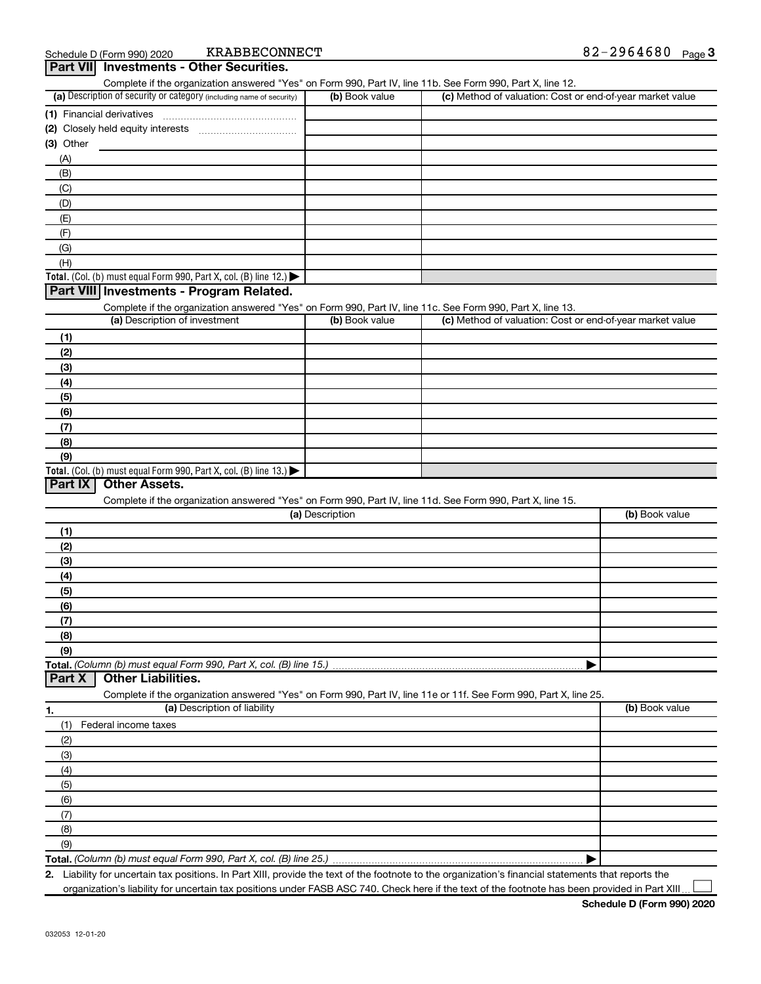| (a) Description of security or category (including name of security)                                              |                 | Complete if the organization answered "Yes" on Form 990, Part IV, line 11b. See Form 990, Part X, line 12. |                |
|-------------------------------------------------------------------------------------------------------------------|-----------------|------------------------------------------------------------------------------------------------------------|----------------|
|                                                                                                                   | (b) Book value  | (c) Method of valuation: Cost or end-of-year market value                                                  |                |
| (1) Financial derivatives                                                                                         |                 |                                                                                                            |                |
|                                                                                                                   |                 |                                                                                                            |                |
| (3) Other                                                                                                         |                 |                                                                                                            |                |
| (A)                                                                                                               |                 |                                                                                                            |                |
| (B)                                                                                                               |                 |                                                                                                            |                |
| (C)                                                                                                               |                 |                                                                                                            |                |
| (D)                                                                                                               |                 |                                                                                                            |                |
| (E)                                                                                                               |                 |                                                                                                            |                |
| (F)                                                                                                               |                 |                                                                                                            |                |
| (G)                                                                                                               |                 |                                                                                                            |                |
| (H)                                                                                                               |                 |                                                                                                            |                |
| Total. (Col. (b) must equal Form 990, Part X, col. (B) line 12.)                                                  |                 |                                                                                                            |                |
| Part VIII Investments - Program Related.                                                                          |                 |                                                                                                            |                |
| Complete if the organization answered "Yes" on Form 990, Part IV, line 11c. See Form 990, Part X, line 13.        |                 |                                                                                                            |                |
| (a) Description of investment                                                                                     | (b) Book value  | (c) Method of valuation: Cost or end-of-year market value                                                  |                |
| (1)                                                                                                               |                 |                                                                                                            |                |
| (2)                                                                                                               |                 |                                                                                                            |                |
| (3)                                                                                                               |                 |                                                                                                            |                |
| (4)                                                                                                               |                 |                                                                                                            |                |
| (5)                                                                                                               |                 |                                                                                                            |                |
| (6)                                                                                                               |                 |                                                                                                            |                |
| (7)                                                                                                               |                 |                                                                                                            |                |
| (8)                                                                                                               |                 |                                                                                                            |                |
| (9)                                                                                                               |                 |                                                                                                            |                |
| Total. (Col. (b) must equal Form 990, Part X, col. (B) line 13.)                                                  |                 |                                                                                                            |                |
| Part IX<br><b>Other Assets.</b>                                                                                   |                 |                                                                                                            |                |
| Complete if the organization answered "Yes" on Form 990, Part IV, line 11d. See Form 990, Part X, line 15.        |                 |                                                                                                            |                |
|                                                                                                                   | (a) Description |                                                                                                            | (b) Book value |
| (1)                                                                                                               |                 |                                                                                                            |                |
| (2)                                                                                                               |                 |                                                                                                            |                |
| (3)                                                                                                               |                 |                                                                                                            |                |
| (4)                                                                                                               |                 |                                                                                                            |                |
| (5)                                                                                                               |                 |                                                                                                            |                |
| (6)                                                                                                               |                 |                                                                                                            |                |
|                                                                                                                   |                 |                                                                                                            |                |
|                                                                                                                   |                 |                                                                                                            |                |
| (7)                                                                                                               |                 |                                                                                                            |                |
| (8)<br>(9)                                                                                                        |                 |                                                                                                            |                |
|                                                                                                                   |                 | ▶                                                                                                          |                |
| <b>Other Liabilities.</b><br>Part X                                                                               |                 |                                                                                                            |                |
| Complete if the organization answered "Yes" on Form 990, Part IV, line 11e or 11f. See Form 990, Part X, line 25. |                 |                                                                                                            |                |
| (a) Description of liability<br>1.                                                                                |                 |                                                                                                            | (b) Book value |
| Federal income taxes<br>(1)                                                                                       |                 |                                                                                                            |                |
| (2)                                                                                                               |                 |                                                                                                            |                |
|                                                                                                                   |                 |                                                                                                            |                |
| (3)                                                                                                               |                 |                                                                                                            |                |
| (4)                                                                                                               |                 |                                                                                                            |                |
| (5)                                                                                                               |                 |                                                                                                            |                |
| (6)                                                                                                               |                 |                                                                                                            |                |
| (7)                                                                                                               |                 |                                                                                                            |                |
| (8)<br>(9)                                                                                                        |                 |                                                                                                            |                |

**2.** Liability for uncertain tax positions. In Part XIII, provide the text of the footnote to the organization's financial statements that reports the organization's liability for uncertain tax positions under FASB ASC 740. Check here if the text of the footnote has been provided in Part XIII

 $\perp$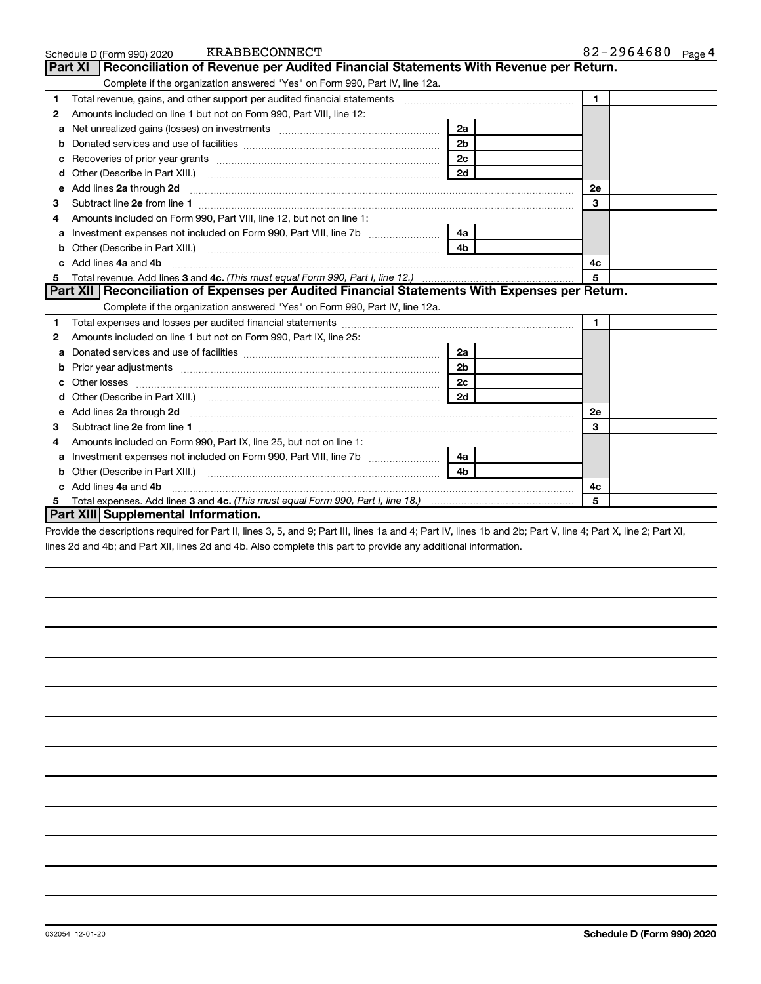|    | KRABBECONNECT<br>Schedule D (Form 990) 2020                                                                                                                                                                                         |                | 82-2964680 Page 4 |
|----|-------------------------------------------------------------------------------------------------------------------------------------------------------------------------------------------------------------------------------------|----------------|-------------------|
|    | <b>Part XI</b><br>Reconciliation of Revenue per Audited Financial Statements With Revenue per Return.                                                                                                                               |                |                   |
|    | Complete if the organization answered "Yes" on Form 990, Part IV, line 12a.                                                                                                                                                         |                |                   |
| 1  | Total revenue, gains, and other support per audited financial statements [[[[[[[[[[[[[[[[[[[[[[[[]]]]]]]]]]]]                                                                                                                       |                | $\mathbf{1}$      |
| 2  | Amounts included on line 1 but not on Form 990, Part VIII, line 12:                                                                                                                                                                 |                |                   |
| a  |                                                                                                                                                                                                                                     | 2a             |                   |
| b  |                                                                                                                                                                                                                                     | 2 <sub>b</sub> |                   |
| с  |                                                                                                                                                                                                                                     | 2c             |                   |
| d  |                                                                                                                                                                                                                                     | 2d             |                   |
| е  | Add lines 2a through 2d                                                                                                                                                                                                             |                | 2e                |
| з  |                                                                                                                                                                                                                                     |                | 3                 |
|    | Amounts included on Form 990, Part VIII, line 12, but not on line 1:                                                                                                                                                                |                |                   |
| a  | Investment expenses not included on Form 990, Part VIII, line 7b [11, 111, 111, 111]                                                                                                                                                | 4a             |                   |
| b  | Other (Describe in Part XIII.)                                                                                                                                                                                                      | 4 <sub>b</sub> |                   |
|    | Add lines 4a and 4b                                                                                                                                                                                                                 |                | 4с                |
| 5  |                                                                                                                                                                                                                                     |                | 5                 |
|    | Part XII Reconciliation of Expenses per Audited Financial Statements With Expenses per Return.                                                                                                                                      |                |                   |
|    | Complete if the organization answered "Yes" on Form 990, Part IV, line 12a.                                                                                                                                                         |                |                   |
| 1. |                                                                                                                                                                                                                                     |                | $\mathbf{1}$      |
| 2  | Amounts included on line 1 but not on Form 990, Part IX, line 25:                                                                                                                                                                   |                |                   |
| a  |                                                                                                                                                                                                                                     | 2a             |                   |
| b  |                                                                                                                                                                                                                                     | 2 <sub>b</sub> |                   |
| с  |                                                                                                                                                                                                                                     | 2 <sub>c</sub> |                   |
|    |                                                                                                                                                                                                                                     | 2d             |                   |
| e  | Add lines 2a through 2d <b>[10]</b> University of the state of the state of the state of the state of the state of the state of the state of the state of the state of the state of the state of the state of the state of the stat |                | 2e                |
| З  |                                                                                                                                                                                                                                     |                | 3                 |
| 4  | Amounts included on Form 990, Part IX, line 25, but not on line 1:                                                                                                                                                                  |                |                   |
| a  |                                                                                                                                                                                                                                     | 4а             |                   |
|    |                                                                                                                                                                                                                                     | 4b.            |                   |
|    | Add lines 4a and 4b                                                                                                                                                                                                                 |                | 4с                |
| 5  |                                                                                                                                                                                                                                     |                | 5                 |
|    | <b>Part XIII Supplemental Information.</b>                                                                                                                                                                                          |                |                   |

Provide the descriptions required for Part II, lines 3, 5, and 9; Part III, lines 1a and 4; Part IV, lines 1b and 2b; Part V, line 4; Part X, line 2; Part XI, lines 2d and 4b; and Part XII, lines 2d and 4b. Also complete this part to provide any additional information.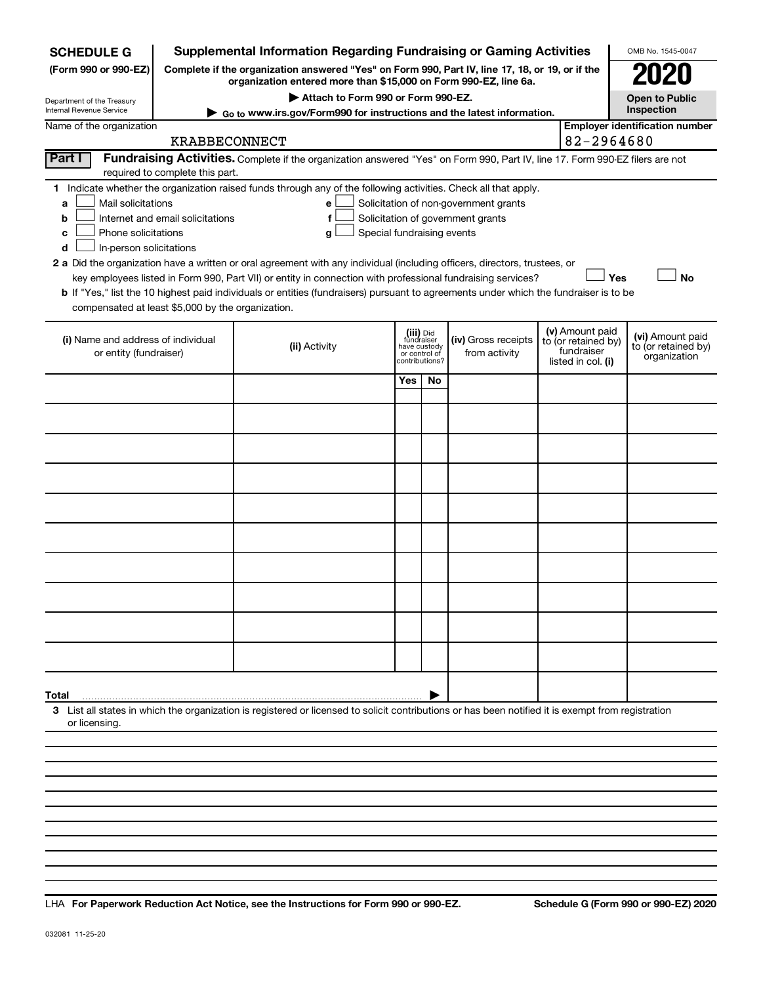| <b>SCHEDULE G</b>                                                                                                                             | <b>Supplemental Information Regarding Fundraising or Gaming Activities</b> |                                                                                                                                                                                                                                                                                                                                                                                                                                                                                                                                                    |                               |                                           |                                                                            | OMB No. 1545-0047 |                                                                            |                                                         |  |
|-----------------------------------------------------------------------------------------------------------------------------------------------|----------------------------------------------------------------------------|----------------------------------------------------------------------------------------------------------------------------------------------------------------------------------------------------------------------------------------------------------------------------------------------------------------------------------------------------------------------------------------------------------------------------------------------------------------------------------------------------------------------------------------------------|-------------------------------|-------------------------------------------|----------------------------------------------------------------------------|-------------------|----------------------------------------------------------------------------|---------------------------------------------------------|--|
| (Form 990 or 990-EZ)                                                                                                                          |                                                                            | Complete if the organization answered "Yes" on Form 990, Part IV, line 17, 18, or 19, or if the<br>organization entered more than \$15,000 on Form 990-EZ, line 6a.                                                                                                                                                                                                                                                                                                                                                                                |                               |                                           |                                                                            |                   |                                                                            | 2020                                                    |  |
| Department of the Treasury<br>Internal Revenue Service                                                                                        |                                                                            | Attach to Form 990 or Form 990-EZ.                                                                                                                                                                                                                                                                                                                                                                                                                                                                                                                 |                               |                                           |                                                                            |                   | <b>Open to Public</b><br>Inspection                                        |                                                         |  |
| Name of the organization                                                                                                                      |                                                                            | ► Go to www.irs.gov/Form990 for instructions and the latest information.<br><b>Employer identification number</b>                                                                                                                                                                                                                                                                                                                                                                                                                                  |                               |                                           |                                                                            |                   |                                                                            |                                                         |  |
|                                                                                                                                               |                                                                            | 82-2964680<br><b>KRABBECONNECT</b>                                                                                                                                                                                                                                                                                                                                                                                                                                                                                                                 |                               |                                           |                                                                            |                   |                                                                            |                                                         |  |
| Part I                                                                                                                                        | required to complete this part.                                            | Fundraising Activities. Complete if the organization answered "Yes" on Form 990, Part IV, line 17. Form 990-EZ filers are not                                                                                                                                                                                                                                                                                                                                                                                                                      |                               |                                           |                                                                            |                   |                                                                            |                                                         |  |
| Mail solicitations<br>a<br>b<br>Phone solicitations<br>c<br>In-person solicitations<br>d<br>compensated at least \$5,000 by the organization. | Internet and email solicitations                                           | 1 Indicate whether the organization raised funds through any of the following activities. Check all that apply.<br>e<br>f<br>Special fundraising events<br>g<br>2 a Did the organization have a written or oral agreement with any individual (including officers, directors, trustees, or<br>key employees listed in Form 990, Part VII) or entity in connection with professional fundraising services?<br>b If "Yes," list the 10 highest paid individuals or entities (fundraisers) pursuant to agreements under which the fundraiser is to be |                               |                                           | Solicitation of non-government grants<br>Solicitation of government grants |                   | Yes                                                                        | <b>No</b>                                               |  |
| (i) Name and address of individual<br>or entity (fundraiser)                                                                                  |                                                                            | (ii) Activity                                                                                                                                                                                                                                                                                                                                                                                                                                                                                                                                      | have custody<br>or control of | (iii) Did<br>fundraiser<br>contributions? | (iv) Gross receipts<br>from activity                                       |                   | (v) Amount paid<br>to (or retained by)<br>fundraiser<br>listed in col. (i) | (vi) Amount paid<br>to (or retained by)<br>organization |  |
|                                                                                                                                               |                                                                            |                                                                                                                                                                                                                                                                                                                                                                                                                                                                                                                                                    | Yes                           | No                                        |                                                                            |                   |                                                                            |                                                         |  |
|                                                                                                                                               |                                                                            |                                                                                                                                                                                                                                                                                                                                                                                                                                                                                                                                                    |                               |                                           |                                                                            |                   |                                                                            |                                                         |  |
|                                                                                                                                               |                                                                            |                                                                                                                                                                                                                                                                                                                                                                                                                                                                                                                                                    |                               |                                           |                                                                            |                   |                                                                            |                                                         |  |
|                                                                                                                                               |                                                                            |                                                                                                                                                                                                                                                                                                                                                                                                                                                                                                                                                    |                               |                                           |                                                                            |                   |                                                                            |                                                         |  |
|                                                                                                                                               |                                                                            |                                                                                                                                                                                                                                                                                                                                                                                                                                                                                                                                                    |                               |                                           |                                                                            |                   |                                                                            |                                                         |  |
|                                                                                                                                               |                                                                            |                                                                                                                                                                                                                                                                                                                                                                                                                                                                                                                                                    |                               |                                           |                                                                            |                   |                                                                            |                                                         |  |
|                                                                                                                                               |                                                                            |                                                                                                                                                                                                                                                                                                                                                                                                                                                                                                                                                    |                               |                                           |                                                                            |                   |                                                                            |                                                         |  |
|                                                                                                                                               |                                                                            |                                                                                                                                                                                                                                                                                                                                                                                                                                                                                                                                                    |                               |                                           |                                                                            |                   |                                                                            |                                                         |  |
|                                                                                                                                               |                                                                            |                                                                                                                                                                                                                                                                                                                                                                                                                                                                                                                                                    |                               |                                           |                                                                            |                   |                                                                            |                                                         |  |
|                                                                                                                                               |                                                                            |                                                                                                                                                                                                                                                                                                                                                                                                                                                                                                                                                    |                               |                                           |                                                                            |                   |                                                                            |                                                         |  |
| Total                                                                                                                                         |                                                                            |                                                                                                                                                                                                                                                                                                                                                                                                                                                                                                                                                    |                               |                                           |                                                                            |                   |                                                                            |                                                         |  |
| or licensing.                                                                                                                                 |                                                                            | 3 List all states in which the organization is registered or licensed to solicit contributions or has been notified it is exempt from registration                                                                                                                                                                                                                                                                                                                                                                                                 |                               |                                           |                                                                            |                   |                                                                            |                                                         |  |
|                                                                                                                                               |                                                                            |                                                                                                                                                                                                                                                                                                                                                                                                                                                                                                                                                    |                               |                                           |                                                                            |                   |                                                                            |                                                         |  |
|                                                                                                                                               |                                                                            |                                                                                                                                                                                                                                                                                                                                                                                                                                                                                                                                                    |                               |                                           |                                                                            |                   |                                                                            |                                                         |  |
|                                                                                                                                               |                                                                            |                                                                                                                                                                                                                                                                                                                                                                                                                                                                                                                                                    |                               |                                           |                                                                            |                   |                                                                            |                                                         |  |

**For Paperwork Reduction Act Notice, see the Instructions for Form 990 or 990-EZ. Schedule G (Form 990 or 990-EZ) 2020** LHA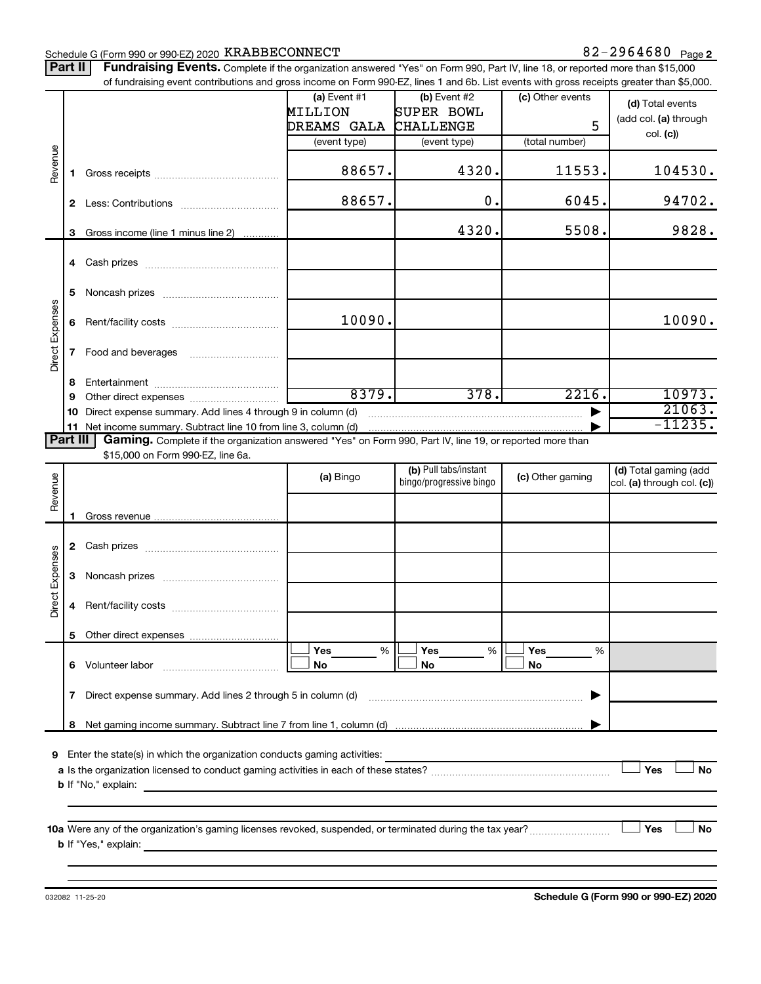### Schedule G (Form 990 or 990-EZ) 2020 KRABBECONNECT  $82-2964680$  Page

Part II | Fundraising Events. Complete if the organization answered "Yes" on Form 990, Part IV, line 18, or reported more than \$15,000

|                 |    | of fundraising event contributions and gross income on Form 990-EZ, lines 1 and 6b. List events with gross receipts greater than \$5,000.                                   |                |                         |                       |                            |
|-----------------|----|-----------------------------------------------------------------------------------------------------------------------------------------------------------------------------|----------------|-------------------------|-----------------------|----------------------------|
|                 |    |                                                                                                                                                                             | $(a)$ Event #1 | (b) Event #2            | (c) Other events      | (d) Total events           |
|                 |    |                                                                                                                                                                             | MILLION        | <b>SUPER BOWL</b>       |                       | (add col. (a) through      |
|                 |    |                                                                                                                                                                             | DREAMS GALA    | CHALLENGE               | 5                     | col. (c)                   |
|                 |    |                                                                                                                                                                             | (event type)   | (event type)            | (total number)        |                            |
|                 |    |                                                                                                                                                                             |                |                         |                       |                            |
| Revenue         | 1. |                                                                                                                                                                             | 88657.         | 4320.                   | 11553.                | 104530.                    |
|                 |    |                                                                                                                                                                             |                |                         |                       |                            |
|                 |    |                                                                                                                                                                             | 88657.         | 0.                      | 6045.                 | 94702.                     |
|                 |    |                                                                                                                                                                             |                |                         |                       |                            |
|                 | 3  | Gross income (line 1 minus line 2)                                                                                                                                          |                | 4320.                   | 5508.                 | 9828.                      |
|                 |    |                                                                                                                                                                             |                |                         |                       |                            |
|                 |    |                                                                                                                                                                             |                |                         |                       |                            |
|                 |    |                                                                                                                                                                             |                |                         |                       |                            |
|                 | 5  |                                                                                                                                                                             |                |                         |                       |                            |
| Direct Expenses |    |                                                                                                                                                                             |                |                         |                       |                            |
|                 | 6  |                                                                                                                                                                             | 10090.         |                         |                       | 10090.                     |
|                 |    |                                                                                                                                                                             |                |                         |                       |                            |
|                 | 7  | Food and beverages                                                                                                                                                          |                |                         |                       |                            |
|                 |    |                                                                                                                                                                             |                |                         |                       |                            |
|                 | 8  |                                                                                                                                                                             | 8379.          | 378.                    | 2216.                 | 10973.                     |
|                 | 9  |                                                                                                                                                                             |                |                         |                       | 21063.                     |
|                 | 10 | Direct expense summary. Add lines 4 through 9 in column (d)                                                                                                                 |                |                         |                       | $-11235.$                  |
| <b>Part III</b> |    | 11 Net income summary. Subtract line 10 from line 3, column (d)<br>Gaming. Complete if the organization answered "Yes" on Form 990, Part IV, line 19, or reported more than |                |                         |                       |                            |
|                 |    | \$15,000 on Form 990-EZ, line 6a.                                                                                                                                           |                |                         |                       |                            |
|                 |    |                                                                                                                                                                             |                | (b) Pull tabs/instant   |                       | (d) Total gaming (add      |
|                 |    |                                                                                                                                                                             | (a) Bingo      | bingo/progressive bingo | (c) Other gaming      | col. (a) through col. (c)) |
| Revenue         |    |                                                                                                                                                                             |                |                         |                       |                            |
|                 |    |                                                                                                                                                                             |                |                         |                       |                            |
|                 |    |                                                                                                                                                                             |                |                         |                       |                            |
|                 |    |                                                                                                                                                                             |                |                         |                       |                            |
|                 |    |                                                                                                                                                                             |                |                         |                       |                            |
| Direct Expenses | 3  |                                                                                                                                                                             |                |                         |                       |                            |
|                 |    |                                                                                                                                                                             |                |                         |                       |                            |
|                 | 4  |                                                                                                                                                                             |                |                         |                       |                            |
|                 |    |                                                                                                                                                                             |                |                         |                       |                            |
|                 |    |                                                                                                                                                                             |                |                         |                       |                            |
|                 |    |                                                                                                                                                                             | %<br>Yes       | %<br>Yes                | Yes<br>%              |                            |
|                 |    | 6 Volunteer labor                                                                                                                                                           | No             | No                      | No                    |                            |
|                 |    |                                                                                                                                                                             |                |                         |                       |                            |
|                 | 7  | Direct expense summary. Add lines 2 through 5 in column (d)                                                                                                                 |                |                         | $\blacktriangleright$ |                            |
|                 |    |                                                                                                                                                                             |                |                         |                       |                            |
|                 | 8  |                                                                                                                                                                             |                |                         |                       |                            |
|                 |    |                                                                                                                                                                             |                |                         |                       |                            |
| 9               |    | Enter the state(s) in which the organization conducts gaming activities:                                                                                                    |                |                         |                       |                            |
|                 |    |                                                                                                                                                                             |                |                         |                       | Yes<br><b>No</b>           |
|                 |    | <b>b</b> If "No," explain:<br><u> 1989 - Johann Stoff, deutscher Stoff, der Stoff, der Stoff, der Stoff, der Stoff, der Stoff, der Stoff, der S</u>                         |                |                         |                       |                            |
|                 |    |                                                                                                                                                                             |                |                         |                       |                            |
|                 |    |                                                                                                                                                                             |                |                         |                       | Yes<br>No                  |
|                 |    |                                                                                                                                                                             |                |                         |                       |                            |
|                 |    |                                                                                                                                                                             |                |                         |                       |                            |
|                 |    |                                                                                                                                                                             |                |                         |                       |                            |

**Schedule G (Form 990 or 990-EZ) 2020**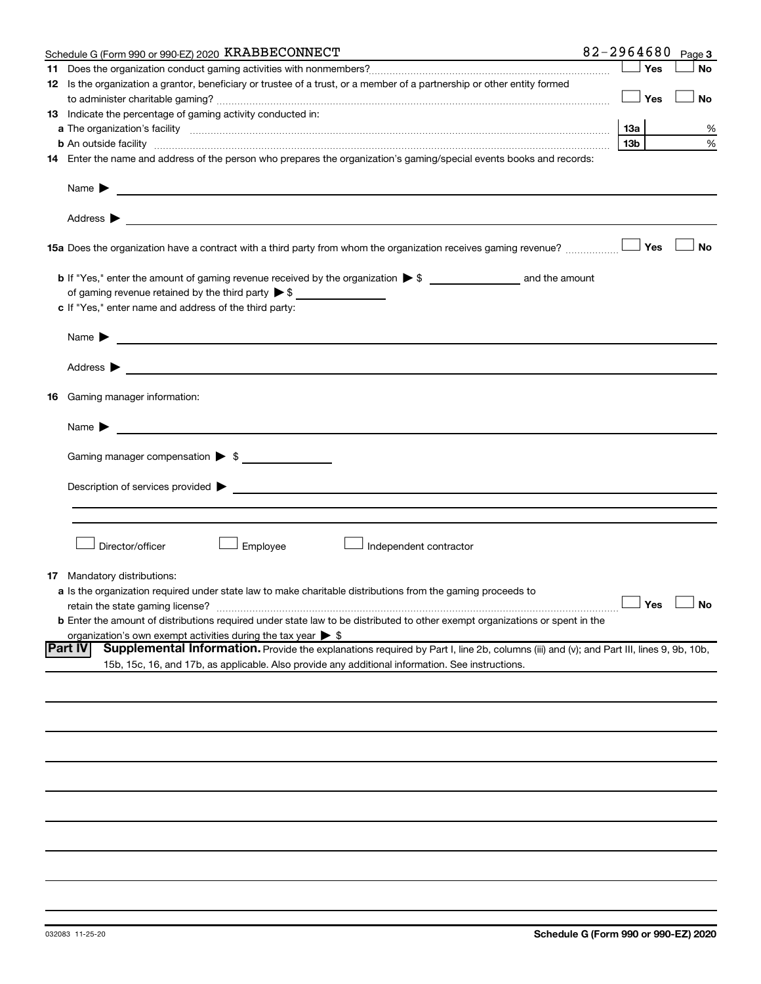| Schedule G (Form 990 or 990-EZ) 2020 KRABBECONNECT                                                                                                       | 82-2964680 Page 3 |     |                      |
|----------------------------------------------------------------------------------------------------------------------------------------------------------|-------------------|-----|----------------------|
|                                                                                                                                                          |                   | Yes | No                   |
| 12 Is the organization a grantor, beneficiary or trustee of a trust, or a member of a partnership or other entity formed                                 |                   |     |                      |
|                                                                                                                                                          |                   | Yes | No                   |
| 13 Indicate the percentage of gaming activity conducted in:                                                                                              |                   |     |                      |
|                                                                                                                                                          |                   |     | %                    |
| <b>b</b> An outside facility <i>www.communicality.communicality.communicality www.communicality.communicality.communicality.com</i>                      | 13 <sub>b</sub>   |     | %                    |
| 14 Enter the name and address of the person who prepares the organization's gaming/special events books and records:                                     |                   |     |                      |
|                                                                                                                                                          |                   |     |                      |
|                                                                                                                                                          |                   |     |                      |
| 15a Does the organization have a contract with a third party from whom the organization receives gaming revenue?                                         |                   | Yes | <b>No</b>            |
|                                                                                                                                                          |                   |     |                      |
| of gaming revenue retained by the third party $\triangleright$ \$                                                                                        |                   |     |                      |
| c If "Yes," enter name and address of the third party:                                                                                                   |                   |     |                      |
|                                                                                                                                                          |                   |     |                      |
|                                                                                                                                                          |                   |     |                      |
|                                                                                                                                                          |                   |     |                      |
| <b>16</b> Gaming manager information:                                                                                                                    |                   |     |                      |
| Name $\blacktriangleright$                                                                                                                               |                   |     |                      |
| Gaming manager compensation > \$                                                                                                                         |                   |     |                      |
|                                                                                                                                                          |                   |     |                      |
|                                                                                                                                                          |                   |     |                      |
|                                                                                                                                                          |                   |     |                      |
|                                                                                                                                                          |                   |     |                      |
| Employee<br>Director/officer<br>Independent contractor                                                                                                   |                   |     |                      |
| <b>17</b> Mandatory distributions:                                                                                                                       |                   |     |                      |
| a Is the organization required under state law to make charitable distributions from the gaming proceeds to                                              |                   |     |                      |
| retain the state gaming license?                                                                                                                         |                   |     | $\Box$ Yes $\Box$ No |
| <b>b</b> Enter the amount of distributions required under state law to be distributed to other exempt organizations or spent in the                      |                   |     |                      |
| organization's own exempt activities during the tax year $\triangleright$ \$                                                                             |                   |     |                      |
| Supplemental Information. Provide the explanations required by Part I, line 2b, columns (iii) and (v); and Part III, lines 9, 9b, 10b,<br><b>Part IV</b> |                   |     |                      |
| 15b, 15c, 16, and 17b, as applicable. Also provide any additional information. See instructions.                                                         |                   |     |                      |
|                                                                                                                                                          |                   |     |                      |
|                                                                                                                                                          |                   |     |                      |
|                                                                                                                                                          |                   |     |                      |
|                                                                                                                                                          |                   |     |                      |
|                                                                                                                                                          |                   |     |                      |
|                                                                                                                                                          |                   |     |                      |
|                                                                                                                                                          |                   |     |                      |
|                                                                                                                                                          |                   |     |                      |
|                                                                                                                                                          |                   |     |                      |
|                                                                                                                                                          |                   |     |                      |